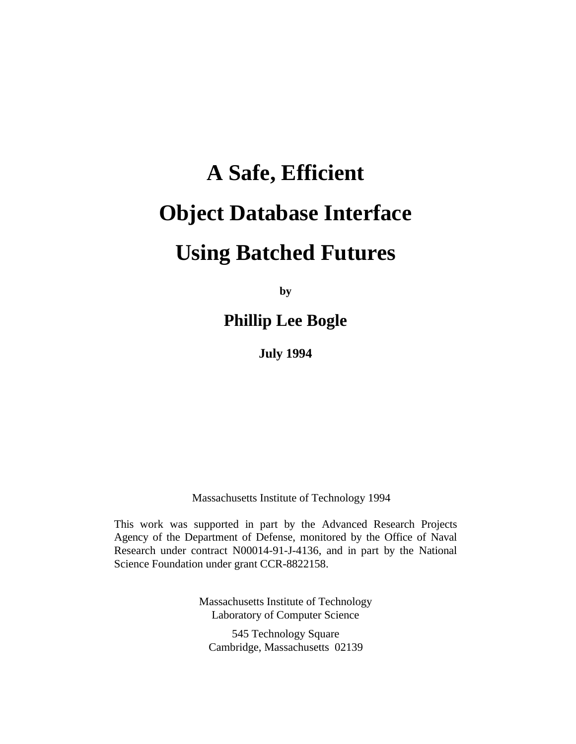# **A Safe, Efficient Object Database Interface Using Batched Futures**

**by**

**Phillip Lee Bogle**

**July 1994**

Massachusetts Institute of Technology 1994

This work was supported in part by the Advanced Research Projects Agency of the Department of Defense, monitored by the Office of Naval Research under contract N00014-91-J-4136, and in part by the National Science Foundation under grant CCR-8822158.

> Massachusetts Institute of Technology Laboratory of Computer Science

545 Technology Square Cambridge, Massachusetts 02139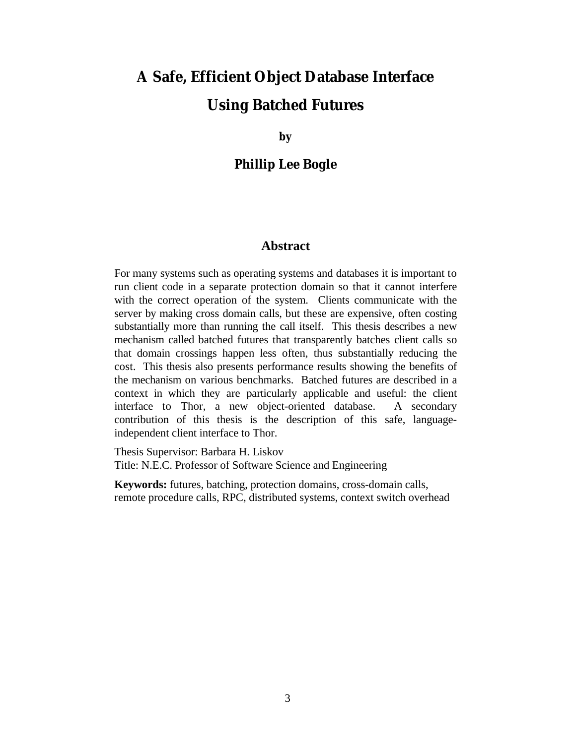# **A Safe, Efficient Object Database Interface Using Batched Futures**

**by**

### **Phillip Lee Bogle**

### **Abstract**

For many systems such as operating systems and databases it is important to run client code in a separate protection domain so that it cannot interfere with the correct operation of the system. Clients communicate with the server by making cross domain calls, but these are expensive, often costing substantially more than running the call itself. This thesis describes a new mechanism called batched futures that transparently batches client calls so that domain crossings happen less often, thus substantially reducing the cost. This thesis also presents performance results showing the benefits of the mechanism on various benchmarks. Batched futures are described in a context in which they are particularly applicable and useful: the client interface to Thor, a new object-oriented database. A secondary contribution of this thesis is the description of this safe, languageindependent client interface to Thor.

Thesis Supervisor: Barbara H. Liskov Title: N.E.C. Professor of Software Science and Engineering

**Keywords:** futures, batching, protection domains, cross-domain calls, remote procedure calls, RPC, distributed systems, context switch overhead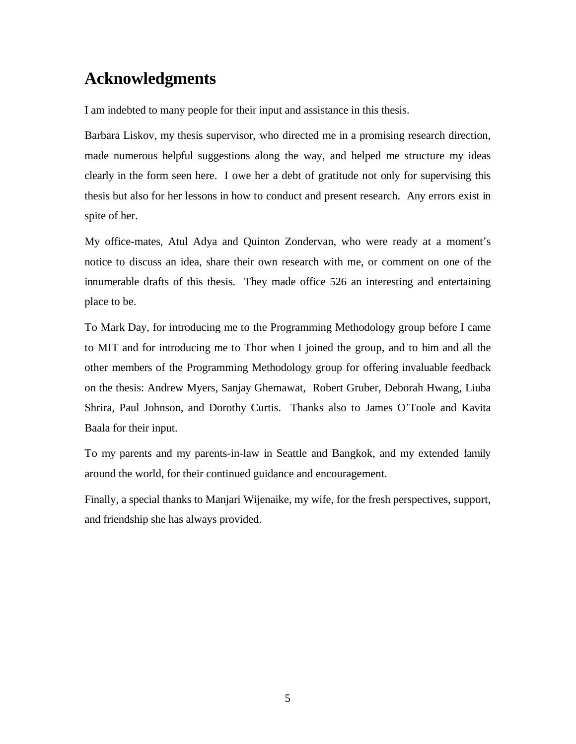### **Acknowledgments**

I am indebted to many people for their input and assistance in this thesis.

Barbara Liskov, my thesis supervisor, who directed me in a promising research direction, made numerous helpful suggestions along the way, and helped me structure my ideas clearly in the form seen here. I owe her a debt of gratitude not only for supervising this thesis but also for her lessons in how to conduct and present research. Any errors exist in spite of her.

My office-mates, Atul Adya and Quinton Zondervan, who were ready at a moment's notice to discuss an idea, share their own research with me, or comment on one of the innumerable drafts of this thesis. They made office 526 an interesting and entertaining place to be.

To Mark Day, for introducing me to the Programming Methodology group before I came to MIT and for introducing me to Thor when I joined the group, and to him and all the other members of the Programming Methodology group for offering invaluable feedback on the thesis: Andrew Myers, Sanjay Ghemawat, Robert Gruber, Deborah Hwang, Liuba Shrira, Paul Johnson, and Dorothy Curtis. Thanks also to James O'Toole and Kavita Baala for their input.

To my parents and my parents-in-law in Seattle and Bangkok, and my extended family around the world, for their continued guidance and encouragement.

Finally, a special thanks to Manjari Wijenaike, my wife, for the fresh perspectives, support, and friendship she has always provided.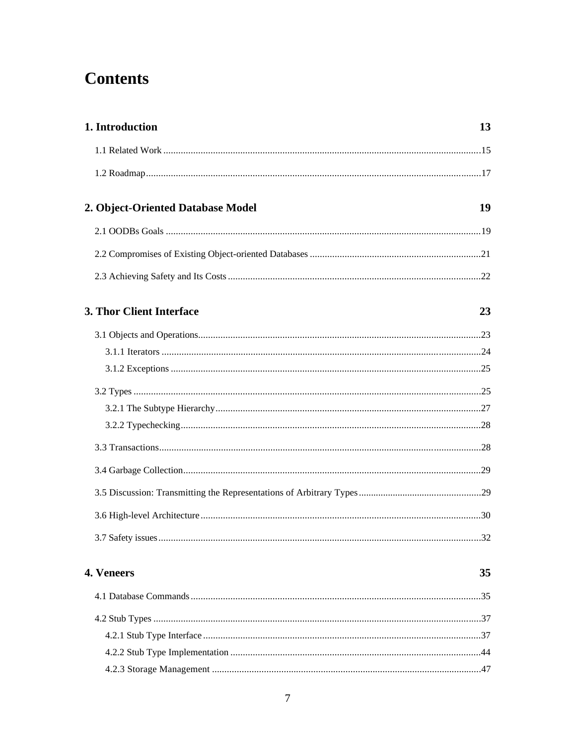### **Contents**

| 1. Introduction                   | 13  |
|-----------------------------------|-----|
|                                   |     |
|                                   |     |
| 2. Object-Oriented Database Model | 19  |
|                                   |     |
|                                   |     |
|                                   |     |
| 3. Thor Client Interface          | 23  |
|                                   |     |
|                                   |     |
|                                   |     |
|                                   |     |
|                                   |     |
|                                   |     |
|                                   |     |
|                                   |     |
|                                   |     |
|                                   |     |
|                                   | .32 |
| 4. Veneers                        | 35  |
|                                   |     |
|                                   |     |
|                                   |     |
|                                   |     |
|                                   |     |
|                                   |     |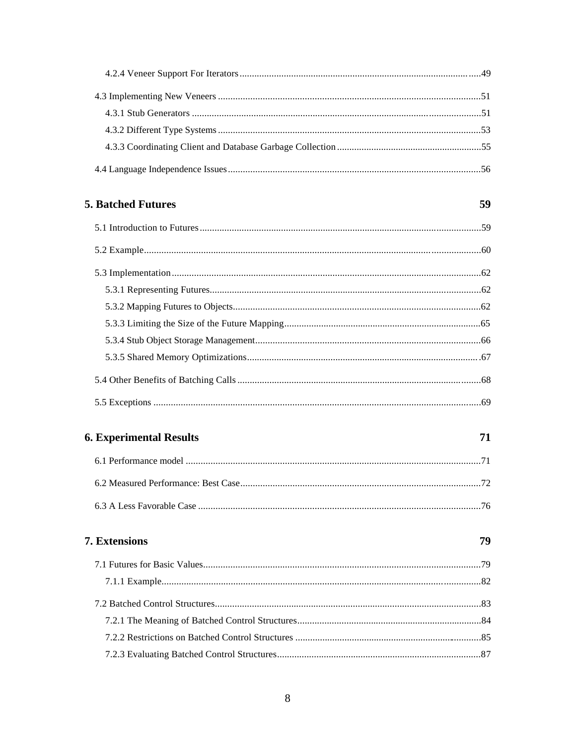| <b>5. Batched Futures</b>           | 59 |
|-------------------------------------|----|
|                                     |    |
|                                     |    |
|                                     |    |
|                                     |    |
|                                     |    |
|                                     |    |
|                                     |    |
|                                     |    |
|                                     |    |
|                                     |    |
| <b>6. Experimental Results</b>      | 71 |
|                                     |    |
| 6.2 Measured Performance: Best Case | 72 |
|                                     |    |
| 7. Extensions                       | 79 |
|                                     |    |
|                                     |    |
|                                     |    |
|                                     |    |
|                                     |    |
|                                     |    |
|                                     |    |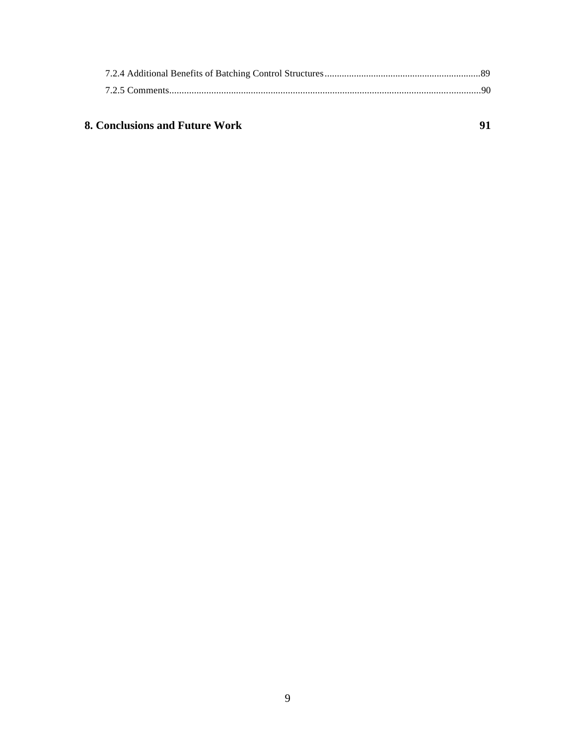### **8. Conclusions and Future Work 91 <b>91**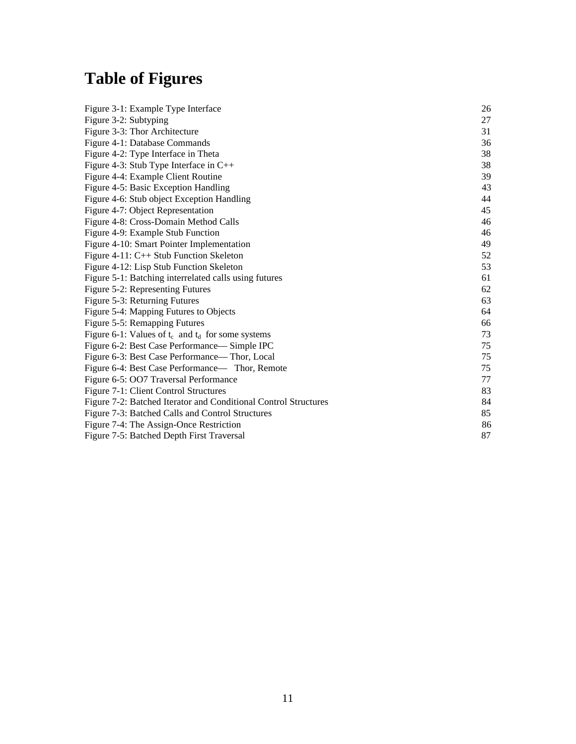# **Table of Figures**

| Figure 3-1: Example Type Interface                              | 26 |
|-----------------------------------------------------------------|----|
| Figure 3-2: Subtyping                                           | 27 |
| Figure 3-3: Thor Architecture                                   | 31 |
| Figure 4-1: Database Commands                                   | 36 |
| Figure 4-2: Type Interface in Theta                             | 38 |
| Figure 4-3: Stub Type Interface in $C++$                        | 38 |
| Figure 4-4: Example Client Routine                              | 39 |
| Figure 4-5: Basic Exception Handling                            | 43 |
| Figure 4-6: Stub object Exception Handling                      | 44 |
| Figure 4-7: Object Representation                               | 45 |
| Figure 4-8: Cross-Domain Method Calls                           | 46 |
| Figure 4-9: Example Stub Function                               | 46 |
| Figure 4-10: Smart Pointer Implementation                       | 49 |
| Figure 4-11: C++ Stub Function Skeleton                         | 52 |
| Figure 4-12: Lisp Stub Function Skeleton                        | 53 |
| Figure 5-1: Batching interrelated calls using futures           | 61 |
| Figure 5-2: Representing Futures                                | 62 |
| Figure 5-3: Returning Futures                                   | 63 |
| Figure 5-4: Mapping Futures to Objects                          | 64 |
| Figure 5-5: Remapping Futures                                   | 66 |
| Figure 6-1: Values of $t_c$ and $t_d$ for some systems          | 73 |
| Figure 6-2: Best Case Performance— Simple IPC                   | 75 |
| Figure 6-3: Best Case Performance— Thor, Local                  | 75 |
| Figure 6-4: Best Case Performance— Thor, Remote                 | 75 |
| Figure 6-5: OO7 Traversal Performance                           | 77 |
| Figure 7-1: Client Control Structures                           | 83 |
| Figure 7-2: Batched Iterator and Conditional Control Structures | 84 |
| Figure 7-3: Batched Calls and Control Structures                | 85 |
| Figure 7-4: The Assign-Once Restriction                         | 86 |
| Figure 7-5: Batched Depth First Traversal                       | 87 |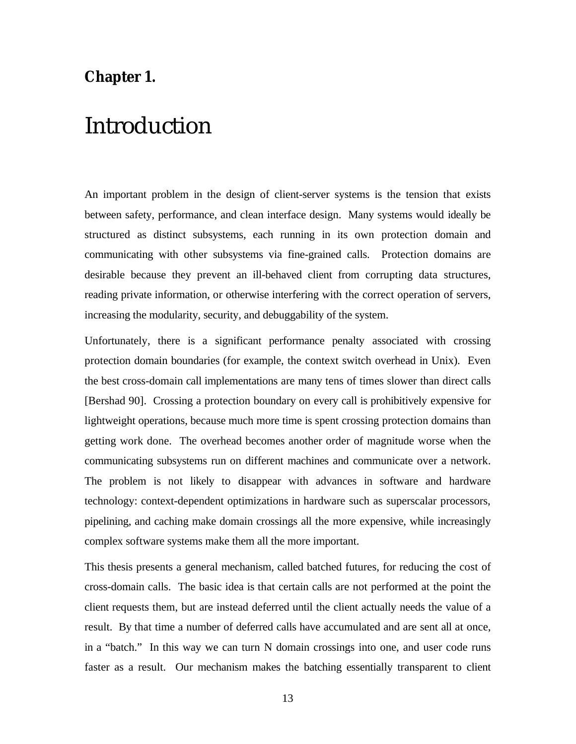### **Chapter 1.**

# Introduction

An important problem in the design of client-server systems is the tension that exists between safety, performance, and clean interface design. Many systems would ideally be structured as distinct subsystems, each running in its own protection domain and communicating with other subsystems via fine-grained calls. Protection domains are desirable because they prevent an ill-behaved client from corrupting data structures, reading private information, or otherwise interfering with the correct operation of servers, increasing the modularity, security, and debuggability of the system.

Unfortunately, there is a significant performance penalty associated with crossing protection domain boundaries (for example, the context switch overhead in Unix). Even the best cross-domain call implementations are many tens of times slower than direct calls [Bershad 90]. Crossing a protection boundary on every call is prohibitively expensive for lightweight operations, because much more time is spent crossing protection domains than getting work done. The overhead becomes another order of magnitude worse when the communicating subsystems run on different machines and communicate over a network. The problem is not likely to disappear with advances in software and hardware technology: context-dependent optimizations in hardware such as superscalar processors, pipelining, and caching make domain crossings all the more expensive, while increasingly complex software systems make them all the more important.

This thesis presents a general mechanism, called batched futures, for reducing the cost of cross-domain calls. The basic idea is that certain calls are not performed at the point the client requests them, but are instead deferred until the client actually needs the value of a result. By that time a number of deferred calls have accumulated and are sent all at once, in a "batch." In this way we can turn N domain crossings into one, and user code runs faster as a result. Our mechanism makes the batching essentially transparent to client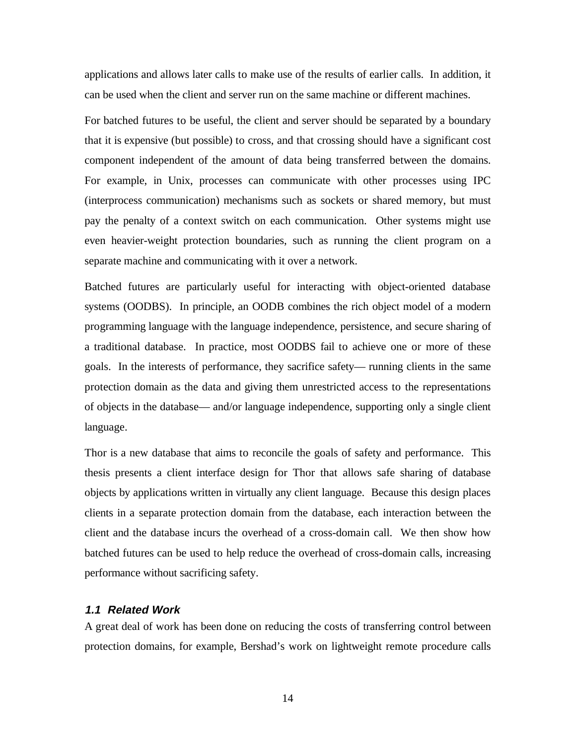applications and allows later calls to make use of the results of earlier calls. In addition, it can be used when the client and server run on the same machine or different machines.

For batched futures to be useful, the client and server should be separated by a boundary that it is expensive (but possible) to cross, and that crossing should have a significant cost component independent of the amount of data being transferred between the domains. For example, in Unix, processes can communicate with other processes using IPC (interprocess communication) mechanisms such as sockets or shared memory, but must pay the penalty of a context switch on each communication. Other systems might use even heavier-weight protection boundaries, such as running the client program on a separate machine and communicating with it over a network.

Batched futures are particularly useful for interacting with object-oriented database systems (OODBS). In principle, an OODB combines the rich object model of a modern programming language with the language independence, persistence, and secure sharing of a traditional database. In practice, most OODBS fail to achieve one or more of these goals. In the interests of performance, they sacrifice safety— running clients in the same protection domain as the data and giving them unrestricted access to the representations of objects in the database— and/or language independence, supporting only a single client language.

Thor is a new database that aims to reconcile the goals of safety and performance. This thesis presents a client interface design for Thor that allows safe sharing of database objects by applications written in virtually any client language. Because this design places clients in a separate protection domain from the database, each interaction between the client and the database incurs the overhead of a cross-domain call. We then show how batched futures can be used to help reduce the overhead of cross-domain calls, increasing performance without sacrificing safety.

### **1.1 Related Work**

A great deal of work has been done on reducing the costs of transferring control between protection domains, for example, Bershad's work on lightweight remote procedure calls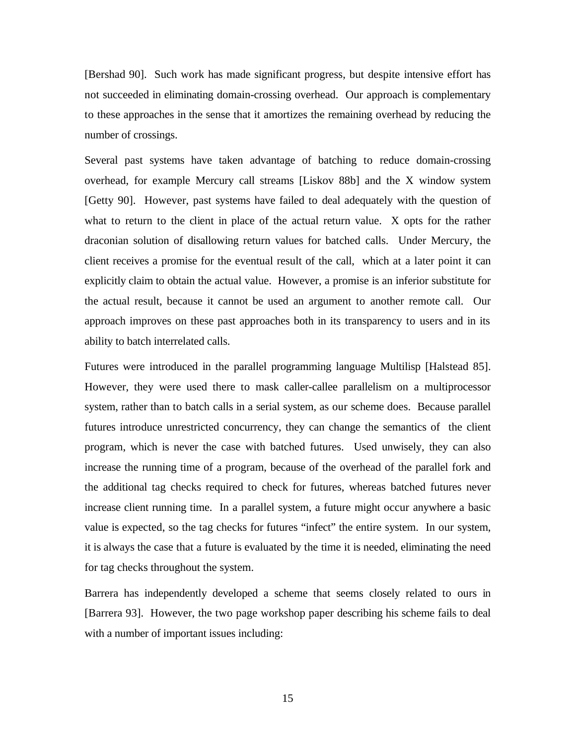[Bershad 90]. Such work has made significant progress, but despite intensive effort has not succeeded in eliminating domain-crossing overhead. Our approach is complementary to these approaches in the sense that it amortizes the remaining overhead by reducing the number of crossings.

Several past systems have taken advantage of batching to reduce domain-crossing overhead, for example Mercury call streams [Liskov 88b] and the X window system [Getty 90]. However, past systems have failed to deal adequately with the question of what to return to the client in place of the actual return value. X opts for the rather draconian solution of disallowing return values for batched calls. Under Mercury, the client receives a promise for the eventual result of the call, which at a later point it can explicitly claim to obtain the actual value. However, a promise is an inferior substitute for the actual result, because it cannot be used an argument to another remote call. Our approach improves on these past approaches both in its transparency to users and in its ability to batch interrelated calls.

Futures were introduced in the parallel programming language Multilisp [Halstead 85]. However, they were used there to mask caller-callee parallelism on a multiprocessor system, rather than to batch calls in a serial system, as our scheme does. Because parallel futures introduce unrestricted concurrency, they can change the semantics of the client program, which is never the case with batched futures. Used unwisely, they can also increase the running time of a program, because of the overhead of the parallel fork and the additional tag checks required to check for futures, whereas batched futures never increase client running time. In a parallel system, a future might occur anywhere a basic value is expected, so the tag checks for futures "infect" the entire system. In our system, it is always the case that a future is evaluated by the time it is needed, eliminating the need for tag checks throughout the system.

Barrera has independently developed a scheme that seems closely related to ours in [Barrera 93]. However, the two page workshop paper describing his scheme fails to deal with a number of important issues including: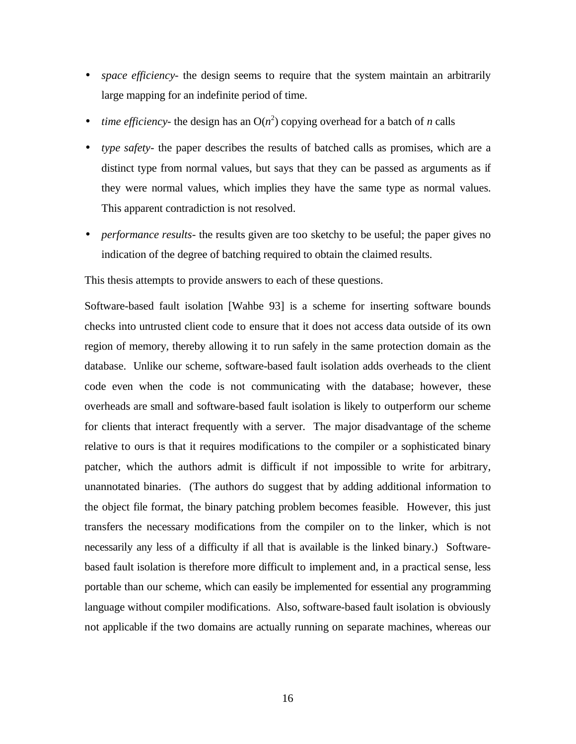- *space efficiency* the design seems to require that the system maintain an arbitrarily large mapping for an indefinite period of time.
- *time efficiency* the design has an  $O(n^2)$  copying overhead for a batch of *n* calls
- *type safety* the paper describes the results of batched calls as promises, which are a distinct type from normal values, but says that they can be passed as arguments as if they were normal values, which implies they have the same type as normal values. This apparent contradiction is not resolved.
- *performance results* the results given are too sketchy to be useful; the paper gives no indication of the degree of batching required to obtain the claimed results.

This thesis attempts to provide answers to each of these questions.

Software-based fault isolation [Wahbe 93] is a scheme for inserting software bounds checks into untrusted client code to ensure that it does not access data outside of its own region of memory, thereby allowing it to run safely in the same protection domain as the database. Unlike our scheme, software-based fault isolation adds overheads to the client code even when the code is not communicating with the database; however, these overheads are small and software-based fault isolation is likely to outperform our scheme for clients that interact frequently with a server. The major disadvantage of the scheme relative to ours is that it requires modifications to the compiler or a sophisticated binary patcher, which the authors admit is difficult if not impossible to write for arbitrary, unannotated binaries. (The authors do suggest that by adding additional information to the object file format, the binary patching problem becomes feasible. However, this just transfers the necessary modifications from the compiler on to the linker, which is not necessarily any less of a difficulty if all that is available is the linked binary.) Softwarebased fault isolation is therefore more difficult to implement and, in a practical sense, less portable than our scheme, which can easily be implemented for essential any programming language without compiler modifications. Also, software-based fault isolation is obviously not applicable if the two domains are actually running on separate machines, whereas our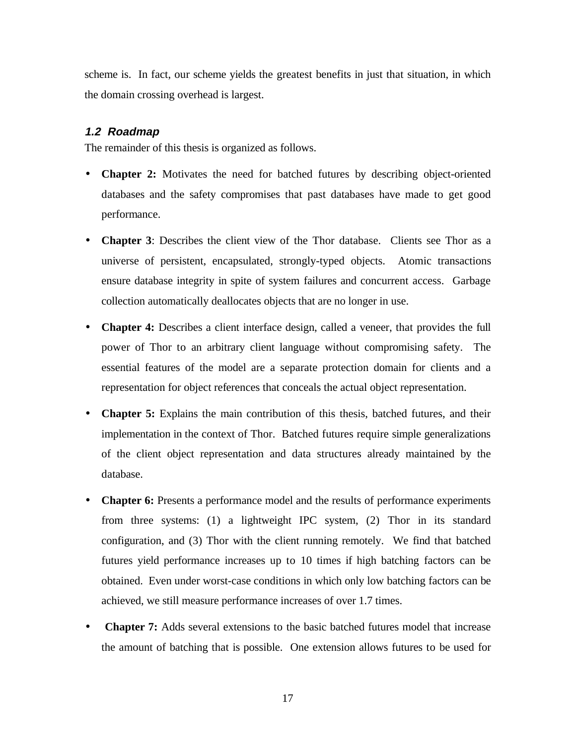scheme is. In fact, our scheme yields the greatest benefits in just that situation, in which the domain crossing overhead is largest.

### **1.2 Roadmap**

The remainder of this thesis is organized as follows.

- **Chapter 2:** Motivates the need for batched futures by describing object-oriented databases and the safety compromises that past databases have made to get good performance.
- **Chapter 3**: Describes the client view of the Thor database. Clients see Thor as a universe of persistent, encapsulated, strongly-typed objects. Atomic transactions ensure database integrity in spite of system failures and concurrent access. Garbage collection automatically deallocates objects that are no longer in use.
- **Chapter 4:** Describes a client interface design, called a veneer, that provides the full power of Thor to an arbitrary client language without compromising safety. The essential features of the model are a separate protection domain for clients and a representation for object references that conceals the actual object representation.
- **Chapter 5:** Explains the main contribution of this thesis, batched futures, and their implementation in the context of Thor. Batched futures require simple generalizations of the client object representation and data structures already maintained by the database.
- **Chapter 6:** Presents a performance model and the results of performance experiments from three systems: (1) a lightweight IPC system, (2) Thor in its standard configuration, and (3) Thor with the client running remotely. We find that batched futures yield performance increases up to 10 times if high batching factors can be obtained. Even under worst-case conditions in which only low batching factors can be achieved, we still measure performance increases of over 1.7 times.
- **Chapter 7:** Adds several extensions to the basic batched futures model that increase the amount of batching that is possible. One extension allows futures to be used for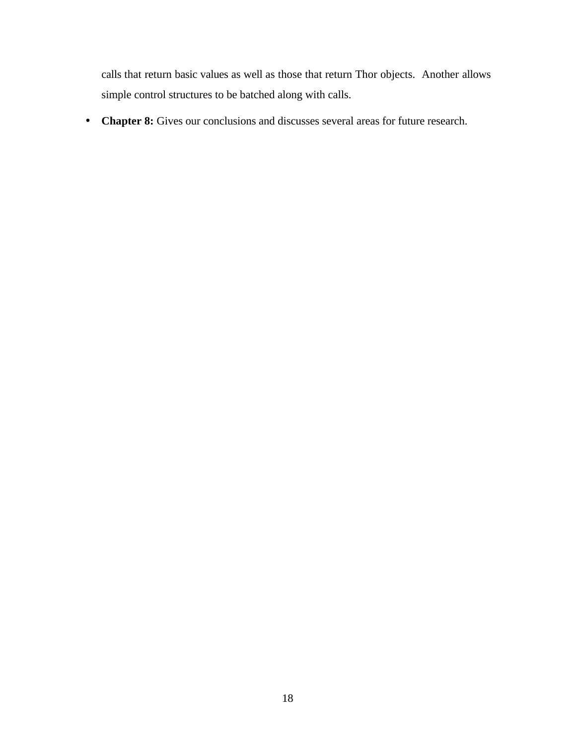calls that return basic values as well as those that return Thor objects. Another allows simple control structures to be batched along with calls.

• **Chapter 8:** Gives our conclusions and discusses several areas for future research.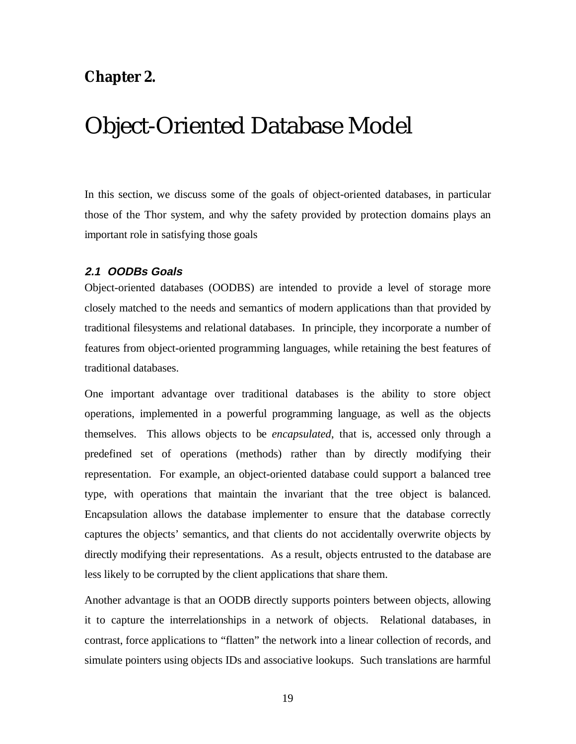### **Chapter 2.**

# Object-Oriented Database Model

In this section, we discuss some of the goals of object-oriented databases, in particular those of the Thor system, and why the safety provided by protection domains plays an important role in satisfying those goals

### **2.1 OODBs Goals**

Object-oriented databases (OODBS) are intended to provide a level of storage more closely matched to the needs and semantics of modern applications than that provided by traditional filesystems and relational databases. In principle, they incorporate a number of features from object-oriented programming languages, while retaining the best features of traditional databases.

One important advantage over traditional databases is the ability to store object operations, implemented in a powerful programming language, as well as the objects themselves. This allows objects to be *encapsulated*, that is, accessed only through a predefined set of operations (methods) rather than by directly modifying their representation. For example, an object-oriented database could support a balanced tree type, with operations that maintain the invariant that the tree object is balanced. Encapsulation allows the database implementer to ensure that the database correctly captures the objects' semantics, and that clients do not accidentally overwrite objects by directly modifying their representations. As a result, objects entrusted to the database are less likely to be corrupted by the client applications that share them.

Another advantage is that an OODB directly supports pointers between objects, allowing it to capture the interrelationships in a network of objects. Relational databases, in contrast, force applications to "flatten" the network into a linear collection of records, and simulate pointers using objects IDs and associative lookups. Such translations are harmful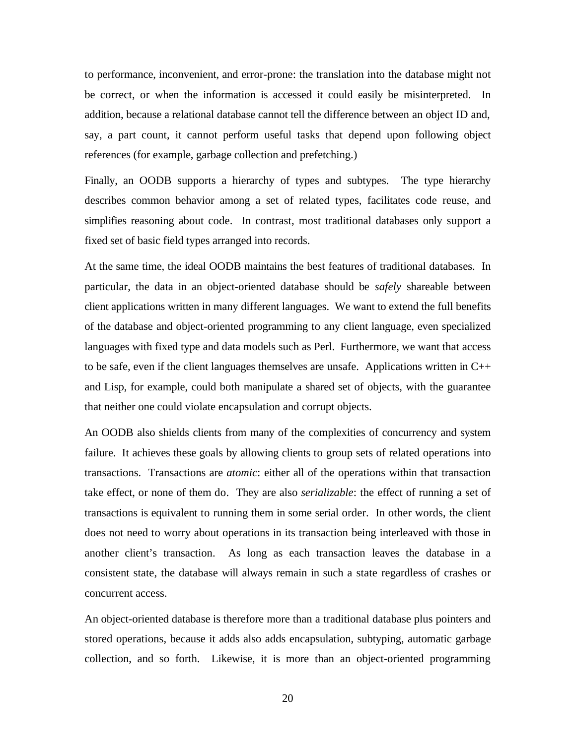to performance, inconvenient, and error-prone: the translation into the database might not be correct, or when the information is accessed it could easily be misinterpreted. In addition, because a relational database cannot tell the difference between an object ID and, say, a part count, it cannot perform useful tasks that depend upon following object references (for example, garbage collection and prefetching.)

Finally, an OODB supports a hierarchy of types and subtypes. The type hierarchy describes common behavior among a set of related types, facilitates code reuse, and simplifies reasoning about code. In contrast, most traditional databases only support a fixed set of basic field types arranged into records.

At the same time, the ideal OODB maintains the best features of traditional databases. In particular, the data in an object-oriented database should be *safely* shareable between client applications written in many different languages. We want to extend the full benefits of the database and object-oriented programming to any client language, even specialized languages with fixed type and data models such as Perl. Furthermore, we want that access to be safe, even if the client languages themselves are unsafe. Applications written in C++ and Lisp, for example, could both manipulate a shared set of objects, with the guarantee that neither one could violate encapsulation and corrupt objects.

An OODB also shields clients from many of the complexities of concurrency and system failure. It achieves these goals by allowing clients to group sets of related operations into transactions. Transactions are *atomic*: either all of the operations within that transaction take effect, or none of them do. They are also *serializable*: the effect of running a set of transactions is equivalent to running them in some serial order. In other words, the client does not need to worry about operations in its transaction being interleaved with those in another client's transaction. As long as each transaction leaves the database in a consistent state, the database will always remain in such a state regardless of crashes or concurrent access.

An object-oriented database is therefore more than a traditional database plus pointers and stored operations, because it adds also adds encapsulation, subtyping, automatic garbage collection, and so forth. Likewise, it is more than an object-oriented programming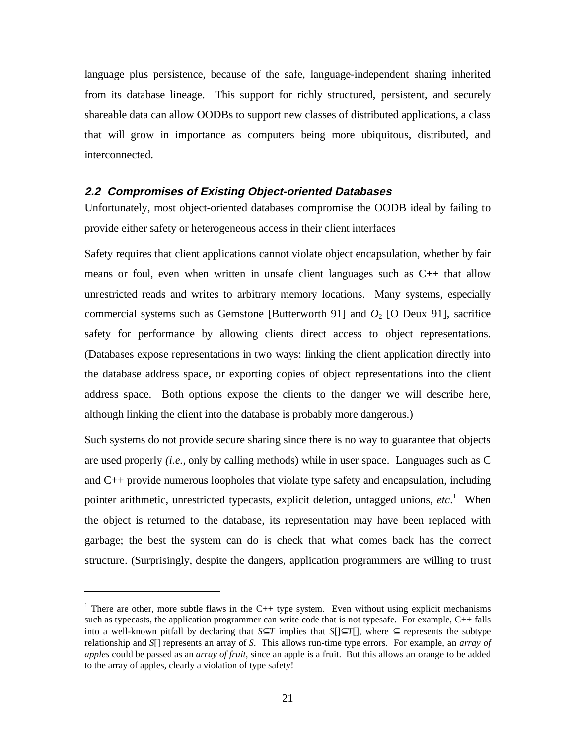language plus persistence, because of the safe, language-independent sharing inherited from its database lineage. This support for richly structured, persistent, and securely shareable data can allow OODBs to support new classes of distributed applications, a class that will grow in importance as computers being more ubiquitous, distributed, and interconnected.

### **2.2 Compromises of Existing Object-oriented Databases**

Unfortunately, most object-oriented databases compromise the OODB ideal by failing to provide either safety or heterogeneous access in their client interfaces

Safety requires that client applications cannot violate object encapsulation, whether by fair means or foul, even when written in unsafe client languages such as C++ that allow unrestricted reads and writes to arbitrary memory locations. Many systems, especially commercial systems such as Gemstone [Butterworth 91] and  $O_2$  [O Deux 91], sacrifice safety for performance by allowing clients direct access to object representations. (Databases expose representations in two ways: linking the client application directly into the database address space, or exporting copies of object representations into the client address space. Both options expose the clients to the danger we will describe here, although linking the client into the database is probably more dangerous.)

Such systems do not provide secure sharing since there is no way to guarantee that objects are used properly *(i.e.*, only by calling methods) while in user space. Languages such as C and C++ provide numerous loopholes that violate type safety and encapsulation, including pointer arithmetic, unrestricted typecasts, explicit deletion, untagged unions, *etc*. 1 When the object is returned to the database, its representation may have been replaced with garbage; the best the system can do is check that what comes back has the correct structure. (Surprisingly, despite the dangers, application programmers are willing to trust

 $\overline{a}$ 

<sup>&</sup>lt;sup>1</sup> There are other, more subtle flaws in the C++ type system. Even without using explicit mechanisms such as typecasts, the application programmer can write code that is not typesafe. For example, C++ falls into a well-known pitfall by declaring that *S*⊂*T* implies that *S*[ $\subset$ *T*[], where  $\subset$  represents the subtype relationship and *S*[] represents an array of *S*. This allows run-time type errors. For example, an *array of apples* could be passed as an *array of fruit*, since an apple is a fruit. But this allows an orange to be added to the array of apples, clearly a violation of type safety!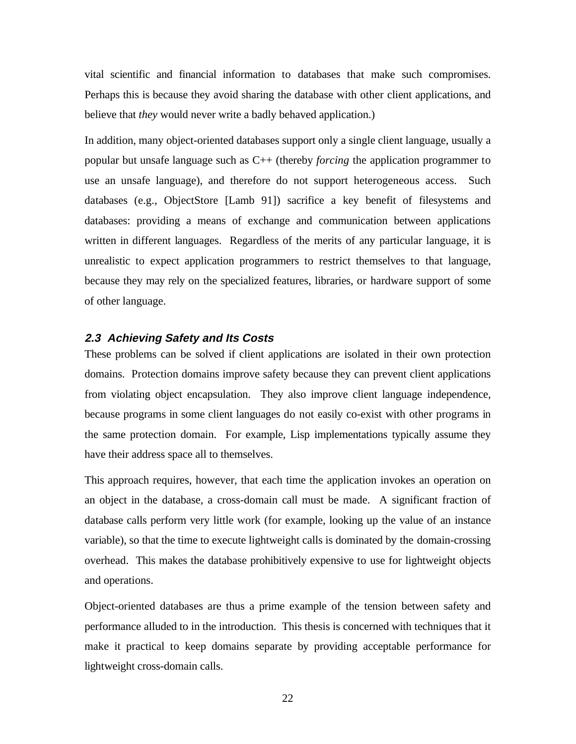vital scientific and financial information to databases that make such compromises. Perhaps this is because they avoid sharing the database with other client applications, and believe that *they* would never write a badly behaved application.)

In addition, many object-oriented databases support only a single client language, usually a popular but unsafe language such as C++ (thereby *forcing* the application programmer to use an unsafe language), and therefore do not support heterogeneous access. Such databases (e.g., ObjectStore [Lamb 91]) sacrifice a key benefit of filesystems and databases: providing a means of exchange and communication between applications written in different languages. Regardless of the merits of any particular language, it is unrealistic to expect application programmers to restrict themselves to that language, because they may rely on the specialized features, libraries, or hardware support of some of other language.

### **2.3 Achieving Safety and Its Costs**

These problems can be solved if client applications are isolated in their own protection domains. Protection domains improve safety because they can prevent client applications from violating object encapsulation. They also improve client language independence, because programs in some client languages do not easily co-exist with other programs in the same protection domain. For example, Lisp implementations typically assume they have their address space all to themselves.

This approach requires, however, that each time the application invokes an operation on an object in the database, a cross-domain call must be made. A significant fraction of database calls perform very little work (for example, looking up the value of an instance variable), so that the time to execute lightweight calls is dominated by the domain-crossing overhead. This makes the database prohibitively expensive to use for lightweight objects and operations.

Object-oriented databases are thus a prime example of the tension between safety and performance alluded to in the introduction. This thesis is concerned with techniques that it make it practical to keep domains separate by providing acceptable performance for lightweight cross-domain calls.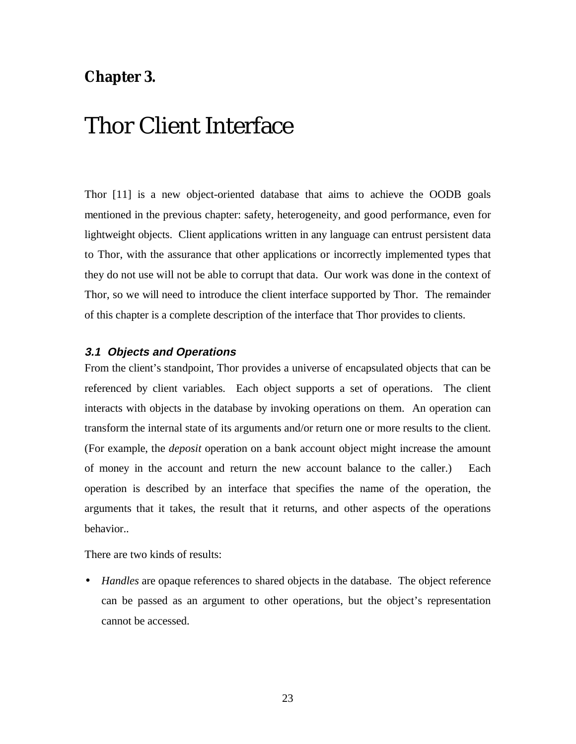### **Chapter 3.**

# Thor Client Interface

Thor [11] is a new object-oriented database that aims to achieve the OODB goals mentioned in the previous chapter: safety, heterogeneity, and good performance, even for lightweight objects. Client applications written in any language can entrust persistent data to Thor, with the assurance that other applications or incorrectly implemented types that they do not use will not be able to corrupt that data. Our work was done in the context of Thor, so we will need to introduce the client interface supported by Thor. The remainder of this chapter is a complete description of the interface that Thor provides to clients.

### **3.1 Objects and Operations**

From the client's standpoint, Thor provides a universe of encapsulated objects that can be referenced by client variables. Each object supports a set of operations. The client interacts with objects in the database by invoking operations on them. An operation can transform the internal state of its arguments and/or return one or more results to the client. (For example, the *deposit* operation on a bank account object might increase the amount of money in the account and return the new account balance to the caller.) Each operation is described by an interface that specifies the name of the operation, the arguments that it takes, the result that it returns, and other aspects of the operations behavior..

There are two kinds of results:

• *Handles* are opaque references to shared objects in the database. The object reference can be passed as an argument to other operations, but the object's representation cannot be accessed.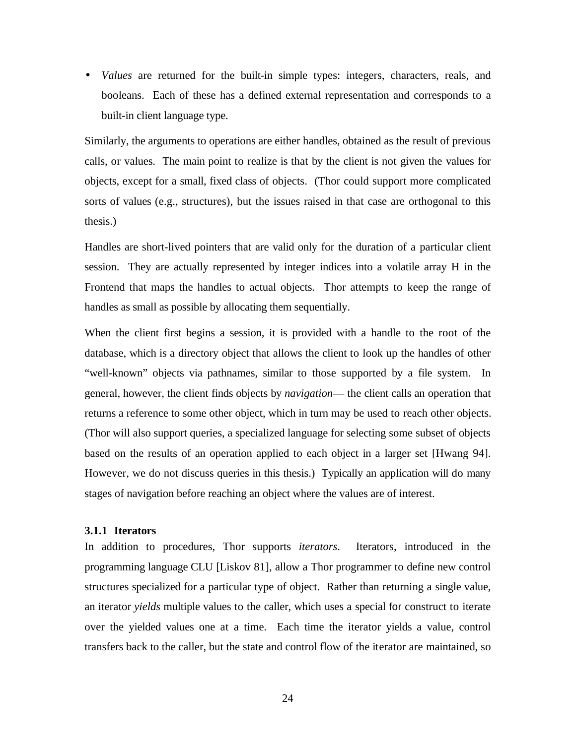• *Values* are returned for the built-in simple types: integers, characters, reals, and booleans. Each of these has a defined external representation and corresponds to a built-in client language type.

Similarly, the arguments to operations are either handles, obtained as the result of previous calls, or values. The main point to realize is that by the client is not given the values for objects, except for a small, fixed class of objects. (Thor could support more complicated sorts of values (e.g., structures), but the issues raised in that case are orthogonal to this thesis.)

Handles are short-lived pointers that are valid only for the duration of a particular client session. They are actually represented by integer indices into a volatile array H in the Frontend that maps the handles to actual objects. Thor attempts to keep the range of handles as small as possible by allocating them sequentially.

When the client first begins a session, it is provided with a handle to the root of the database, which is a directory object that allows the client to look up the handles of other "well-known" objects via pathnames, similar to those supported by a file system. In general, however, the client finds objects by *navigation*— the client calls an operation that returns a reference to some other object, which in turn may be used to reach other objects. (Thor will also support queries, a specialized language for selecting some subset of objects based on the results of an operation applied to each object in a larger set [Hwang 94]. However, we do not discuss queries in this thesis.) Typically an application will do many stages of navigation before reaching an object where the values are of interest.

### **3.1.1 Iterators**

In addition to procedures, Thor supports *iterators*. Iterators, introduced in the programming language CLU [Liskov 81], allow a Thor programmer to define new control structures specialized for a particular type of object. Rather than returning a single value, an iterator *yields* multiple values to the caller, which uses a special for construct to iterate over the yielded values one at a time. Each time the iterator yields a value, control transfers back to the caller, but the state and control flow of the iterator are maintained, so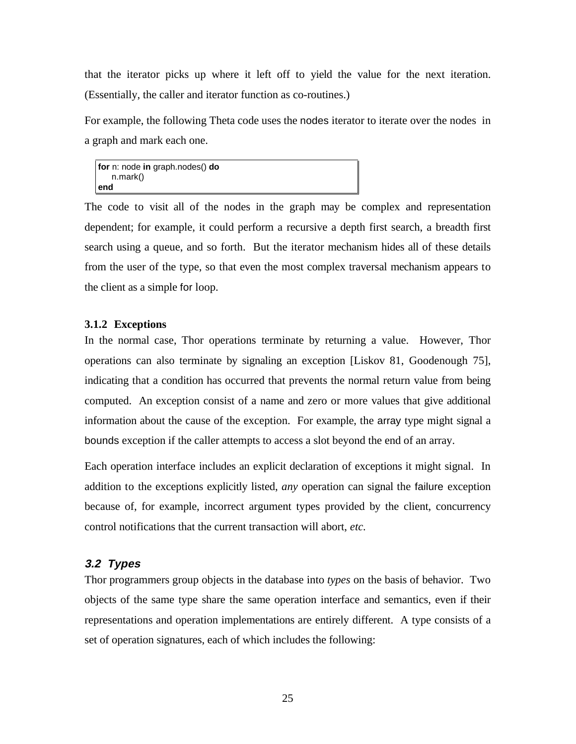that the iterator picks up where it left off to yield the value for the next iteration. (Essentially, the caller and iterator function as co-routines.)

For example, the following Theta code uses the nodes iterator to iterate over the nodes in a graph and mark each one.

**for** n: node **in** graph.nodes() **do** n.mark() **end**

The code to visit all of the nodes in the graph may be complex and representation dependent; for example, it could perform a recursive a depth first search, a breadth first search using a queue, and so forth. But the iterator mechanism hides all of these details from the user of the type, so that even the most complex traversal mechanism appears to the client as a simple for loop.

#### **3.1.2 Exceptions**

In the normal case, Thor operations terminate by returning a value. However, Thor operations can also terminate by signaling an exception [Liskov 81, Goodenough 75], indicating that a condition has occurred that prevents the normal return value from being computed. An exception consist of a name and zero or more values that give additional information about the cause of the exception. For example, the array type might signal a bounds exception if the caller attempts to access a slot beyond the end of an array.

Each operation interface includes an explicit declaration of exceptions it might signal. In addition to the exceptions explicitly listed, *any* operation can signal the failure exception because of, for example, incorrect argument types provided by the client, concurrency control notifications that the current transaction will abort, *etc.*

### **3.2 Types**

Thor programmers group objects in the database into *types* on the basis of behavior. Two objects of the same type share the same operation interface and semantics, even if their representations and operation implementations are entirely different. A type consists of a set of operation signatures, each of which includes the following: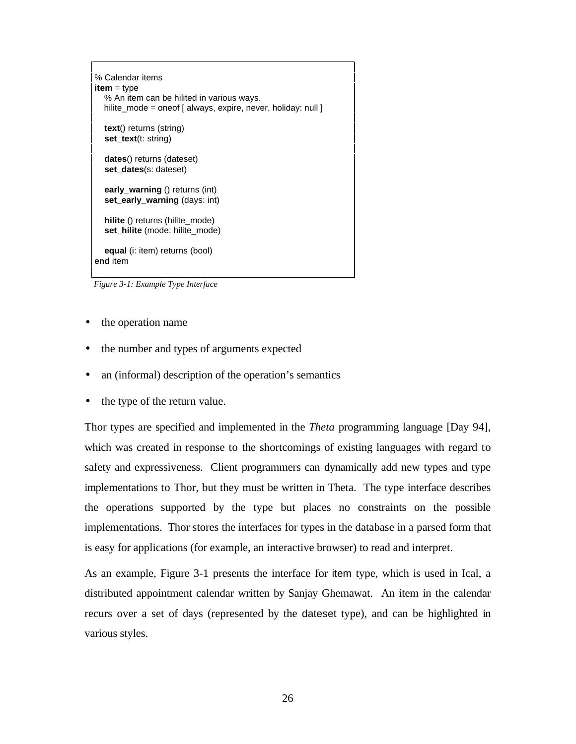```
% Calendar items
item = type
   % An item can be hilited in various ways.
  hilite_mode = oneof [ always, expire, never, holiday: null ] text() returns (string)
  set_text(t: string)
   dates() returns (dateset)
   set_dates(s: dateset)
   early_warning () returns (int)
   set_early_warning (days: int)
   hilite () returns (hilite_mode)
   set_hilite (mode: hilite_mode)
   equal (i: item) returns (bool)
end item
```
*Figure 3-1: Example Type Interface*

- the operation name
- the number and types of arguments expected
- an (informal) description of the operation's semantics
- the type of the return value.

Thor types are specified and implemented in the *Theta* programming language [Day 94], which was created in response to the shortcomings of existing languages with regard to safety and expressiveness. Client programmers can dynamically add new types and type implementations to Thor, but they must be written in Theta. The type interface describes the operations supported by the type but places no constraints on the possible implementations. Thor stores the interfaces for types in the database in a parsed form that is easy for applications (for example, an interactive browser) to read and interpret.

As an example, Figure 3-1 presents the interface for item type, which is used in Ical, a distributed appointment calendar written by Sanjay Ghemawat. An item in the calendar recurs over a set of days (represented by the dateset type), and can be highlighted in various styles.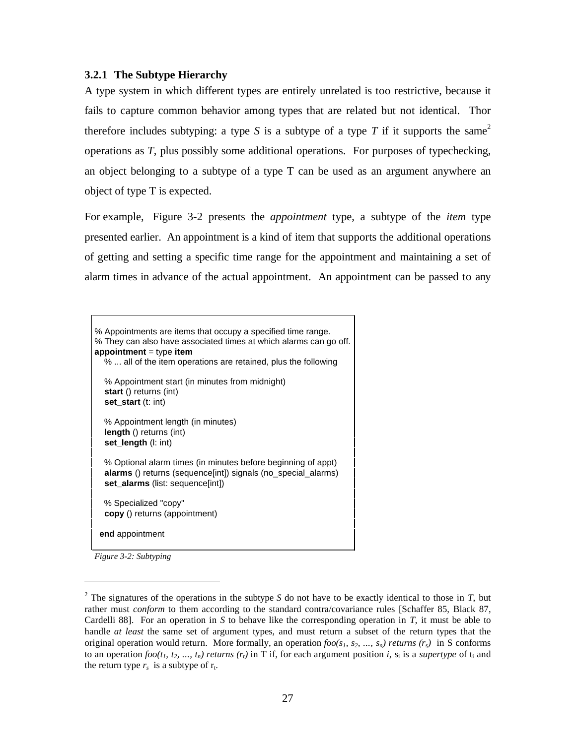### **3.2.1 The Subtype Hierarchy**

A type system in which different types are entirely unrelated is too restrictive, because it fails to capture common behavior among types that are related but not identical. Thor therefore includes subtyping: a type S is a subtype of a type T if it supports the same<sup>2</sup> operations as *T*, plus possibly some additional operations. For purposes of typechecking, an object belonging to a subtype of a type T can be used as an argument anywhere an object of type T is expected.

For example, Figure 3-2 presents the *appointment* type, a subtype of the *item* type presented earlier. An appointment is a kind of item that supports the additional operations of getting and setting a specific time range for the appointment and maintaining a set of alarm times in advance of the actual appointment. An appointment can be passed to any



*Figure 3-2: Subtyping*

 $\overline{a}$ 

<sup>&</sup>lt;sup>2</sup> The signatures of the operations in the subtype *S* do not have to be exactly identical to those in *T*, but rather must *conform* to them according to the standard contra/covariance rules [Schaffer 85, Black 87, Cardelli 88]. For an operation in *S* to behave like the corresponding operation in *T*, it must be able to handle *at least* the same set of argument types, and must return a subset of the return types that the original operation would return. More formally, an operation  $foo(s_1, s_2, ..., s_n)$  returns  $(r_s)$  in S conforms to an operation *foo(t<sub>1</sub>, t<sub>2</sub>, ..., t<sub>n</sub>) returns*  $(r_i)$  in T if, for each argument position *i*,  $s_i$  is a *supertype* of t<sub>i</sub> and the return type  $r_s$  is a subtype of  $r_t$ .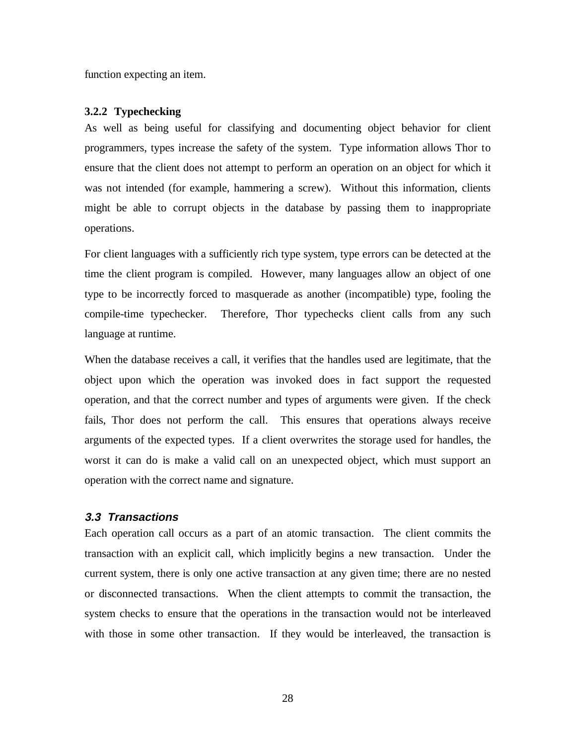function expecting an item.

#### **3.2.2 Typechecking**

As well as being useful for classifying and documenting object behavior for client programmers, types increase the safety of the system. Type information allows Thor to ensure that the client does not attempt to perform an operation on an object for which it was not intended (for example, hammering a screw). Without this information, clients might be able to corrupt objects in the database by passing them to inappropriate operations.

For client languages with a sufficiently rich type system, type errors can be detected at the time the client program is compiled. However, many languages allow an object of one type to be incorrectly forced to masquerade as another (incompatible) type, fooling the compile-time typechecker. Therefore, Thor typechecks client calls from any such language at runtime.

When the database receives a call, it verifies that the handles used are legitimate, that the object upon which the operation was invoked does in fact support the requested operation, and that the correct number and types of arguments were given. If the check fails, Thor does not perform the call. This ensures that operations always receive arguments of the expected types. If a client overwrites the storage used for handles, the worst it can do is make a valid call on an unexpected object, which must support an operation with the correct name and signature.

### **3.3 Transactions**

Each operation call occurs as a part of an atomic transaction. The client commits the transaction with an explicit call, which implicitly begins a new transaction. Under the current system, there is only one active transaction at any given time; there are no nested or disconnected transactions. When the client attempts to commit the transaction, the system checks to ensure that the operations in the transaction would not be interleaved with those in some other transaction. If they would be interleaved, the transaction is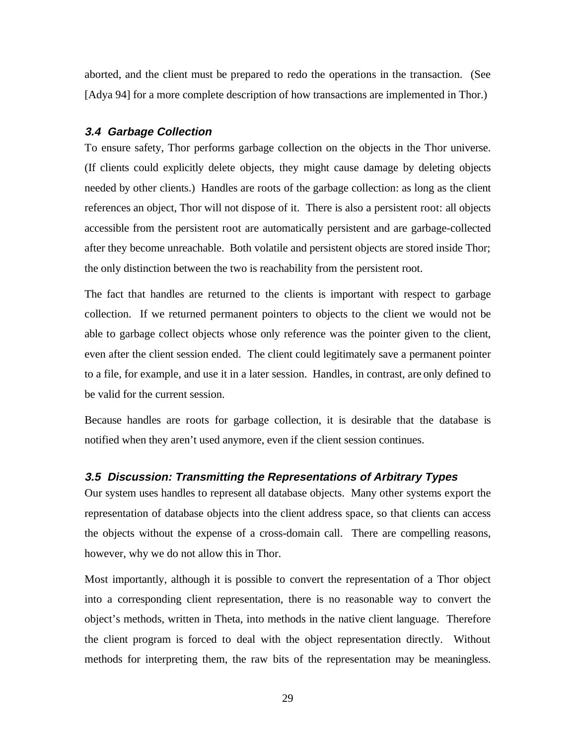aborted, and the client must be prepared to redo the operations in the transaction. (See [Adya 94] for a more complete description of how transactions are implemented in Thor.)

### **3.4 Garbage Collection**

To ensure safety, Thor performs garbage collection on the objects in the Thor universe. (If clients could explicitly delete objects, they might cause damage by deleting objects needed by other clients.) Handles are roots of the garbage collection: as long as the client references an object, Thor will not dispose of it. There is also a persistent root: all objects accessible from the persistent root are automatically persistent and are garbage-collected after they become unreachable. Both volatile and persistent objects are stored inside Thor; the only distinction between the two is reachability from the persistent root.

The fact that handles are returned to the clients is important with respect to garbage collection. If we returned permanent pointers to objects to the client we would not be able to garbage collect objects whose only reference was the pointer given to the client, even after the client session ended. The client could legitimately save a permanent pointer to a file, for example, and use it in a later session. Handles, in contrast, are only defined to be valid for the current session.

Because handles are roots for garbage collection, it is desirable that the database is notified when they aren't used anymore, even if the client session continues.

### **3.5 Discussion: Transmitting the Representations of Arbitrary Types**

Our system uses handles to represent all database objects. Many other systems export the representation of database objects into the client address space, so that clients can access the objects without the expense of a cross-domain call. There are compelling reasons, however, why we do not allow this in Thor.

Most importantly, although it is possible to convert the representation of a Thor object into a corresponding client representation, there is no reasonable way to convert the object's methods, written in Theta, into methods in the native client language. Therefore the client program is forced to deal with the object representation directly. Without methods for interpreting them, the raw bits of the representation may be meaningless.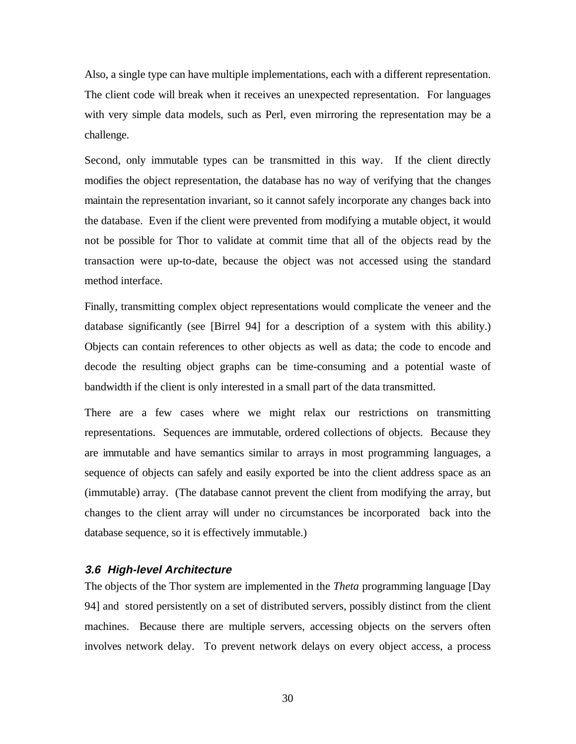Also, a single type can have multiple implementations, each with a different representation. The client code will break when it receives an unexpected representation. For languages with very simple data models, such as Perl, even mirroring the representation may be a challenge.

Second, only immutable types can be transmitted in this way. If the client directly modifies the object representation, the database has no way of verifying that the changes maintain the representation invariant, so it cannot safely incorporate any changes back into the database. Even if the client were prevented from modifying a mutable object, it would not be possible for Thor to validate at commit time that all of the objects read by the transaction were up-to-date, because the object was not accessed using the standard method interface.

Finally, transmitting complex object representations would complicate the veneer and the database significantly (see [Birrel 94] for a description of a system with this ability.) Objects can contain references to other objects as well as data; the code to encode and decode the resulting object graphs can be time-consuming and a potential waste of bandwidth if the client is only interested in a small part of the data transmitted.

There are a few cases where we might relax our restrictions on transmitting representations. Sequences are immutable, ordered collections of objects. Because they are immutable and have semantics similar to arrays in most programming languages, a sequence of objects can safely and easily exported be into the client address space as an (immutable) array. (The database cannot prevent the client from modifying the array, but changes to the client array will under no circumstances be incorporated back into the database sequence, so it is effectively immutable.)

### **3.6 High-level Architecture**

The objects of the Thor system are implemented in the *Theta* programming language [Day 94] and stored persistently on a set of distributed servers, possibly distinct from the client machines. Because there are multiple servers, accessing objects on the servers often involves network delay. To prevent network delays on every object access, a process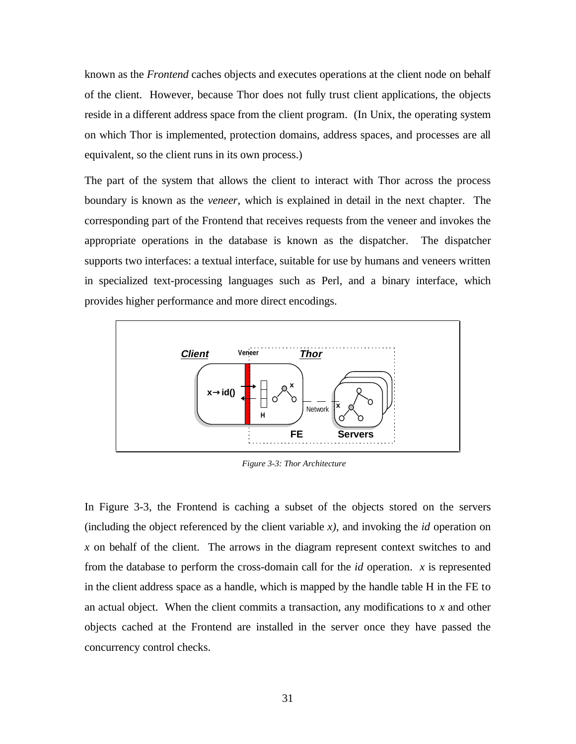known as the *Frontend* caches objects and executes operations at the client node on behalf of the client. However, because Thor does not fully trust client applications, the objects reside in a different address space from the client program. (In Unix, the operating system on which Thor is implemented, protection domains, address spaces, and processes are all equivalent, so the client runs in its own process.)

The part of the system that allows the client to interact with Thor across the process boundary is known as the *veneer*, which is explained in detail in the next chapter. The corresponding part of the Frontend that receives requests from the veneer and invokes the appropriate operations in the database is known as the dispatcher. The dispatcher supports two interfaces: a textual interface, suitable for use by humans and veneers written in specialized text-processing languages such as Perl, and a binary interface, which provides higher performance and more direct encodings.



*Figure 3-3: Thor Architecture*

In Figure 3-3, the Frontend is caching a subset of the objects stored on the servers (including the object referenced by the client variable *x)*, and invoking the *id* operation on *x* on behalf of the client. The arrows in the diagram represent context switches to and from the database to perform the cross-domain call for the *id* operation. *x* is represented in the client address space as a handle, which is mapped by the handle table H in the FE to an actual object. When the client commits a transaction, any modifications to *x* and other objects cached at the Frontend are installed in the server once they have passed the concurrency control checks.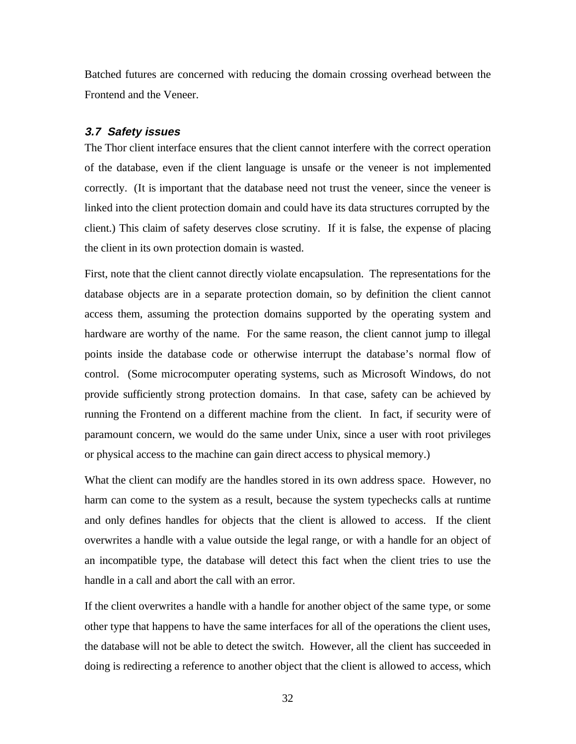Batched futures are concerned with reducing the domain crossing overhead between the Frontend and the Veneer.

#### **3.7 Safety issues**

The Thor client interface ensures that the client cannot interfere with the correct operation of the database, even if the client language is unsafe or the veneer is not implemented correctly. (It is important that the database need not trust the veneer, since the veneer is linked into the client protection domain and could have its data structures corrupted by the client.) This claim of safety deserves close scrutiny. If it is false, the expense of placing the client in its own protection domain is wasted.

First, note that the client cannot directly violate encapsulation. The representations for the database objects are in a separate protection domain, so by definition the client cannot access them, assuming the protection domains supported by the operating system and hardware are worthy of the name. For the same reason, the client cannot jump to illegal points inside the database code or otherwise interrupt the database's normal flow of control. (Some microcomputer operating systems, such as Microsoft Windows, do not provide sufficiently strong protection domains. In that case, safety can be achieved by running the Frontend on a different machine from the client. In fact, if security were of paramount concern, we would do the same under Unix, since a user with root privileges or physical access to the machine can gain direct access to physical memory.)

What the client can modify are the handles stored in its own address space. However, no harm can come to the system as a result, because the system typechecks calls at runtime and only defines handles for objects that the client is allowed to access. If the client overwrites a handle with a value outside the legal range, or with a handle for an object of an incompatible type, the database will detect this fact when the client tries to use the handle in a call and abort the call with an error.

If the client overwrites a handle with a handle for another object of the same type, or some other type that happens to have the same interfaces for all of the operations the client uses, the database will not be able to detect the switch. However, all the client has succeeded in doing is redirecting a reference to another object that the client is allowed to access, which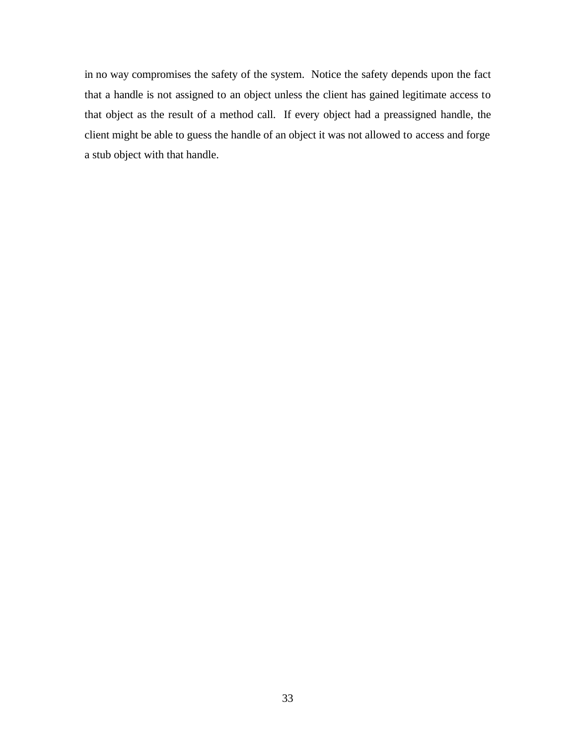in no way compromises the safety of the system. Notice the safety depends upon the fact that a handle is not assigned to an object unless the client has gained legitimate access to that object as the result of a method call. If every object had a preassigned handle, the client might be able to guess the handle of an object it was not allowed to access and forge a stub object with that handle.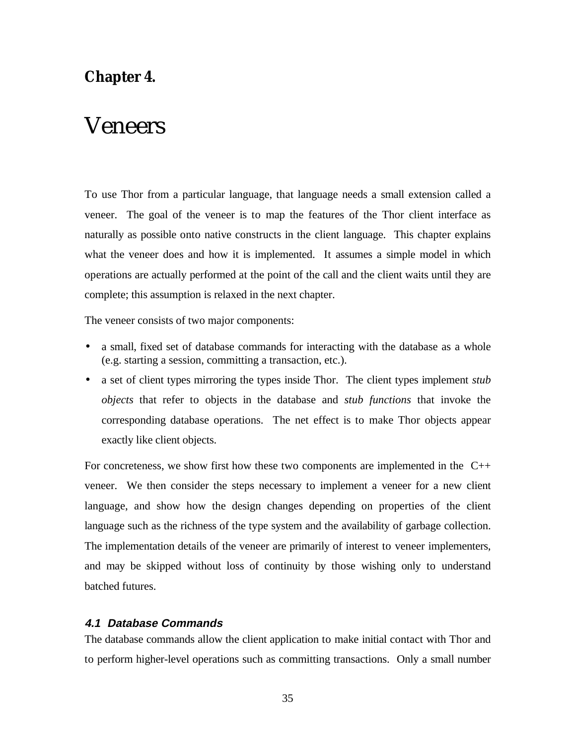### **Chapter 4.**

## Veneers

To use Thor from a particular language, that language needs a small extension called a veneer. The goal of the veneer is to map the features of the Thor client interface as naturally as possible onto native constructs in the client language. This chapter explains what the veneer does and how it is implemented. It assumes a simple model in which operations are actually performed at the point of the call and the client waits until they are complete; this assumption is relaxed in the next chapter.

The veneer consists of two major components:

- a small, fixed set of database commands for interacting with the database as a whole (e.g. starting a session, committing a transaction, etc.).
- a set of client types mirroring the types inside Thor. The client types implement *stub objects* that refer to objects in the database and *stub functions* that invoke the corresponding database operations. The net effect is to make Thor objects appear exactly like client objects.

For concreteness, we show first how these two components are implemented in the  $C_{++}$ veneer. We then consider the steps necessary to implement a veneer for a new client language, and show how the design changes depending on properties of the client language such as the richness of the type system and the availability of garbage collection. The implementation details of the veneer are primarily of interest to veneer implementers, and may be skipped without loss of continuity by those wishing only to understand batched futures.

### **4.1 Database Commands**

The database commands allow the client application to make initial contact with Thor and to perform higher-level operations such as committing transactions. Only a small number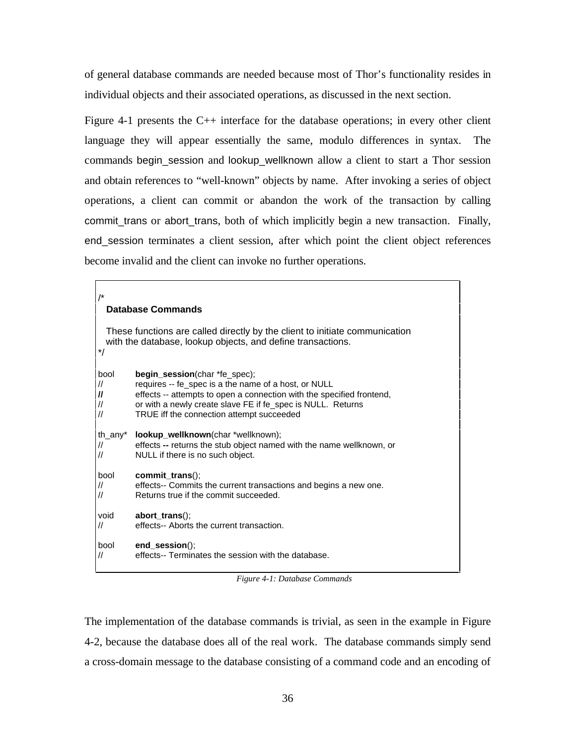of general database commands are needed because most of Thor's functionality resides in individual objects and their associated operations, as discussed in the next section.

Figure 4-1 presents the  $C_{++}$  interface for the database operations; in every other client language they will appear essentially the same, modulo differences in syntax. The commands begin\_session and lookup\_wellknown allow a client to start a Thor session and obtain references to "well-known" objects by name. After invoking a series of object operations, a client can commit or abandon the work of the transaction by calling commit\_trans or abort\_trans, both of which implicitly begin a new transaction. Finally, end\_session terminates a client session, after which point the client object references become invalid and the client can invoke no further operations.

#### /\* **Database Commands**

 These functions are called directly by the client to initiate communication with the database, lookup objects, and define transactions. \*/ bool **begin\_session**(char \*fe\_spec); // requires -- fe\_spec is a the name of a host, or NULL **//** effects -- attempts to open a connection with the specified frontend, // or with a newly create slave FE if fe\_spec is NULL. Returns // TRUE iff the connection attempt succeeded th\_any\* **lookup\_wellknown**(char \*wellknown); // effects **--** returns the stub object named with the name wellknown, or NULL if there is no such object. bool **commit\_trans**(); // effects-- Commits the current transactions and begins a new one.<br>// Returns true if the commit succeeded. Returns true if the commit succeeded. void **abort\_trans**(); // effects-- Aborts the current transaction. bool **end\_session**();

// effects-- Terminates the session with the database.

*Figure 4-1: Database Commands*

The implementation of the database commands is trivial, as seen in the example in Figure 4-2, because the database does all of the real work. The database commands simply send a cross-domain message to the database consisting of a command code and an encoding of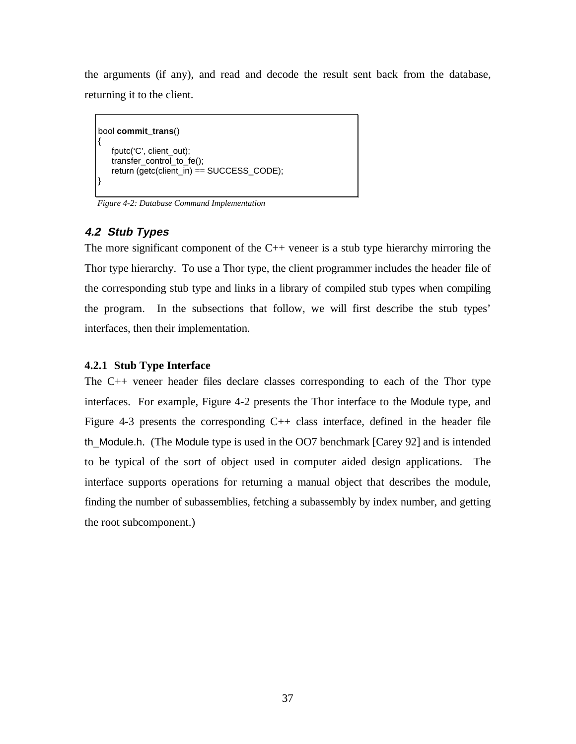the arguments (if any), and read and decode the result sent back from the database, returning it to the client.

```
bool commit_trans()
{
   fputc('C', client_out);
   transfer_control_to_fe();
   return (getc(client_in) = SUCCESS_CODE);}
```
*Figure 4-2: Database Command Implementation*

# **4.2 Stub Types**

The more significant component of the  $C_{++}$  veneer is a stub type hierarchy mirroring the Thor type hierarchy. To use a Thor type, the client programmer includes the header file of the corresponding stub type and links in a library of compiled stub types when compiling the program. In the subsections that follow, we will first describe the stub types' interfaces, then their implementation.

### **4.2.1 Stub Type Interface**

The C++ veneer header files declare classes corresponding to each of the Thor type interfaces. For example, Figure 4-2 presents the Thor interface to the Module type, and Figure 4-3 presents the corresponding C++ class interface, defined in the header file th\_Module.h. (The Module type is used in the OO7 benchmark [Carey 92] and is intended to be typical of the sort of object used in computer aided design applications. The interface supports operations for returning a manual object that describes the module, finding the number of subassemblies, fetching a subassembly by index number, and getting the root subcomponent.)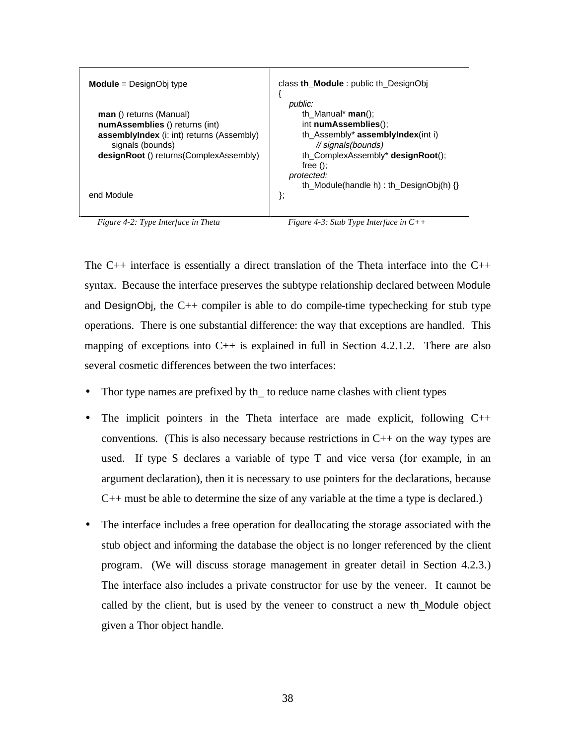| <b>Module</b> = $DesignObj$ type                                                                                                                                             | class th <b>Module</b> : public th DesignObj                                                                                                                                                         |
|------------------------------------------------------------------------------------------------------------------------------------------------------------------------------|------------------------------------------------------------------------------------------------------------------------------------------------------------------------------------------------------|
| man () returns (Manual)<br>numAssemblies () returns (int)<br><b>assemblyIndex</b> (i: int) returns (Assembly)<br>signals (bounds)<br>designRoot () returns (ComplexAssembly) | public:<br>th Manual* $man()$ ;<br>int numAssemblies();<br>th $\Delta$ ssembly* <b>assemblyIndex</b> (int i)<br>// signals(bounds)<br>th_ComplexAssembly* designRoot();<br>free $()$ :<br>protected: |
| end Module                                                                                                                                                                   | th_Module(handle h) : th_DesignObj(h) $\{\}$<br>};                                                                                                                                                   |

*Figure 4-2: Type Interface in Theta Figure 4-3: Stub Type Interface in C++* 

The  $C_{++}$  interface is essentially a direct translation of the Theta interface into the  $C_{++}$ syntax. Because the interface preserves the subtype relationship declared between Module and DesignObj, the C++ compiler is able to do compile-time typechecking for stub type operations. There is one substantial difference: the way that exceptions are handled. This mapping of exceptions into  $C_{++}$  is explained in full in Section 4.2.1.2. There are also several cosmetic differences between the two interfaces:

- Thor type names are prefixed by th\_ to reduce name clashes with client types
- The implicit pointers in the Theta interface are made explicit, following  $C++$ conventions. (This is also necessary because restrictions in C++ on the way types are used. If type S declares a variable of type T and vice versa (for example, in an argument declaration), then it is necessary to use pointers for the declarations, because C++ must be able to determine the size of any variable at the time a type is declared.)
- The interface includes a free operation for deallocating the storage associated with the stub object and informing the database the object is no longer referenced by the client program. (We will discuss storage management in greater detail in Section 4.2.3.) The interface also includes a private constructor for use by the veneer. It cannot be called by the client, but is used by the veneer to construct a new th\_Module object given a Thor object handle.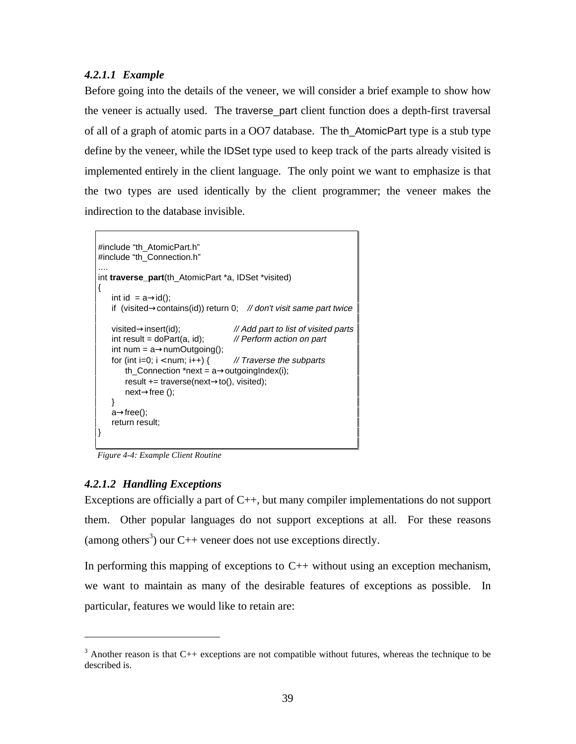# *4.2.1.1 Example*

Before going into the details of the veneer, we will consider a brief example to show how the veneer is actually used. The traverse\_part client function does a depth-first traversal of all of a graph of atomic parts in a OO7 database. The th\_AtomicPart type is a stub type define by the veneer, while the IDSet type used to keep track of the parts already visited is implemented entirely in the client language. The only point we want to emphasize is that the two types are used identically by the client programmer; the veneer makes the indirection to the database invisible.

```
#include "th_AtomicPart.h"
#include "th_Connection.h"
....
int traverse_part(th_AtomicPart *a, IDSet *visited)
{
   int id = a \rightarrow id;
   if (visited\rightarrowcontains(id)) return 0; // don't visit same part twice
   visited→insert(id); // Add part to list of visited parts
   int result = doPart(a, id); // Perform action on part
   int num = a \rightarrow numOutgoing();
   for (int i=0; i < num; i+1) { // Traverse the subparts
       th_Connection *next = a \rightarrowoutgoingIndex(i);
       result += traverse(next→to(), visited);
       next→free ();
   }
   a→free();
   return result;
}
```
*Figure 4-4: Example Client Routine*

### *4.2.1.2 Handling Exceptions*

 $\overline{a}$ 

Exceptions are officially a part of  $C_{++}$ , but many compiler implementations do not support them. Other popular languages do not support exceptions at all. For these reasons (among others<sup>3</sup>) our C++ veneer does not use exceptions directly.

In performing this mapping of exceptions to  $C_{++}$  without using an exception mechanism, we want to maintain as many of the desirable features of exceptions as possible. In particular, features we would like to retain are:

 $3$  Another reason is that C++ exceptions are not compatible without futures, whereas the technique to be described is.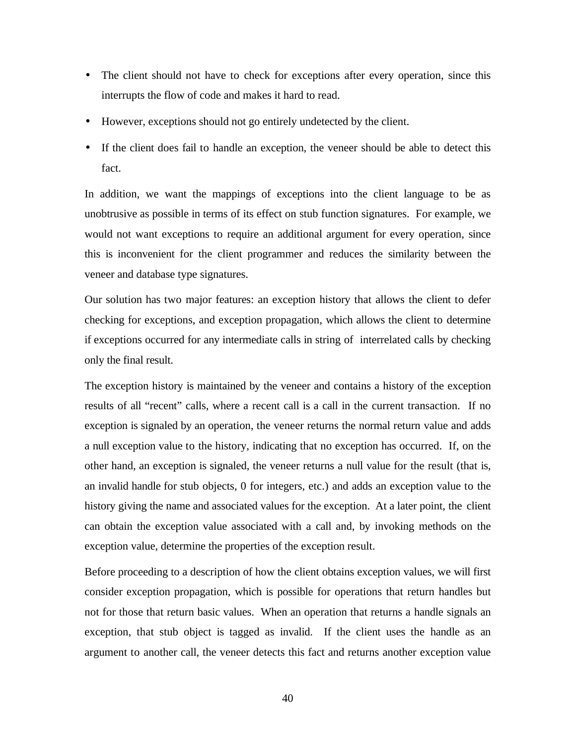- The client should not have to check for exceptions after every operation, since this interrupts the flow of code and makes it hard to read.
- However, exceptions should not go entirely undetected by the client.
- If the client does fail to handle an exception, the veneer should be able to detect this fact.

In addition, we want the mappings of exceptions into the client language to be as unobtrusive as possible in terms of its effect on stub function signatures. For example, we would not want exceptions to require an additional argument for every operation, since this is inconvenient for the client programmer and reduces the similarity between the veneer and database type signatures.

Our solution has two major features: an exception history that allows the client to defer checking for exceptions, and exception propagation, which allows the client to determine if exceptions occurred for any intermediate calls in string of interrelated calls by checking only the final result.

The exception history is maintained by the veneer and contains a history of the exception results of all "recent" calls, where a recent call is a call in the current transaction. If no exception is signaled by an operation, the veneer returns the normal return value and adds a null exception value to the history, indicating that no exception has occurred. If, on the other hand, an exception is signaled, the veneer returns a null value for the result (that is, an invalid handle for stub objects, 0 for integers, etc.) and adds an exception value to the history giving the name and associated values for the exception. At a later point, the client can obtain the exception value associated with a call and, by invoking methods on the exception value, determine the properties of the exception result.

Before proceeding to a description of how the client obtains exception values, we will first consider exception propagation, which is possible for operations that return handles but not for those that return basic values. When an operation that returns a handle signals an exception, that stub object is tagged as invalid. If the client uses the handle as an argument to another call, the veneer detects this fact and returns another exception value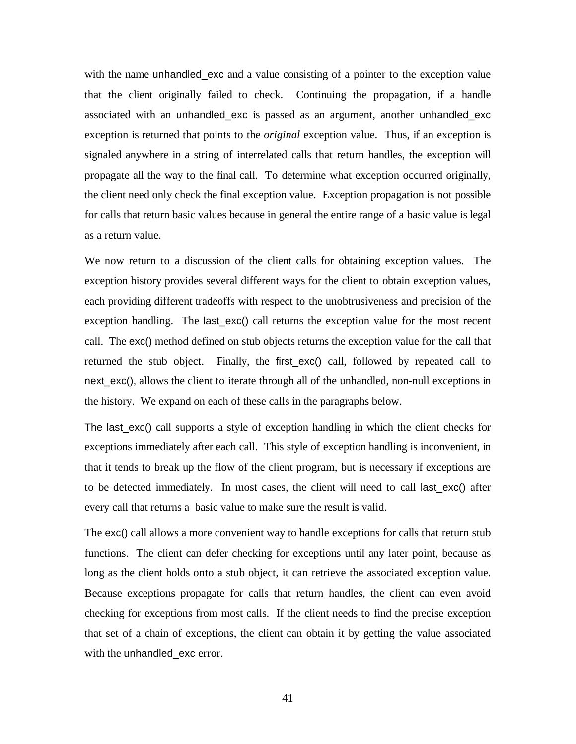with the name unhandled exc and a value consisting of a pointer to the exception value that the client originally failed to check. Continuing the propagation, if a handle associated with an unhandled\_exc is passed as an argument, another unhandled\_exc exception is returned that points to the *original* exception value. Thus, if an exception is signaled anywhere in a string of interrelated calls that return handles, the exception will propagate all the way to the final call. To determine what exception occurred originally, the client need only check the final exception value. Exception propagation is not possible for calls that return basic values because in general the entire range of a basic value is legal as a return value.

We now return to a discussion of the client calls for obtaining exception values. The exception history provides several different ways for the client to obtain exception values, each providing different tradeoffs with respect to the unobtrusiveness and precision of the exception handling. The last exc() call returns the exception value for the most recent call. The exc() method defined on stub objects returns the exception value for the call that returned the stub object. Finally, the first\_exc() call, followed by repeated call to next\_exc(), allows the client to iterate through all of the unhandled, non-null exceptions in the history. We expand on each of these calls in the paragraphs below.

The last\_exc() call supports a style of exception handling in which the client checks for exceptions immediately after each call. This style of exception handling is inconvenient, in that it tends to break up the flow of the client program, but is necessary if exceptions are to be detected immediately. In most cases, the client will need to call last\_exc() after every call that returns a basic value to make sure the result is valid.

The exc() call allows a more convenient way to handle exceptions for calls that return stub functions. The client can defer checking for exceptions until any later point, because as long as the client holds onto a stub object, it can retrieve the associated exception value. Because exceptions propagate for calls that return handles, the client can even avoid checking for exceptions from most calls. If the client needs to find the precise exception that set of a chain of exceptions, the client can obtain it by getting the value associated with the unhandled\_exc error.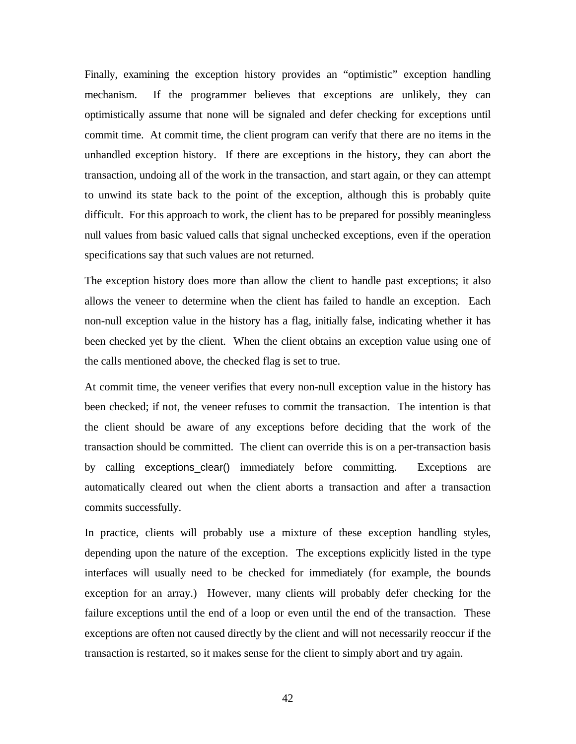Finally, examining the exception history provides an "optimistic" exception handling mechanism. If the programmer believes that exceptions are unlikely, they can optimistically assume that none will be signaled and defer checking for exceptions until commit time. At commit time, the client program can verify that there are no items in the unhandled exception history. If there are exceptions in the history, they can abort the transaction, undoing all of the work in the transaction, and start again, or they can attempt to unwind its state back to the point of the exception, although this is probably quite difficult. For this approach to work, the client has to be prepared for possibly meaningless null values from basic valued calls that signal unchecked exceptions, even if the operation specifications say that such values are not returned.

The exception history does more than allow the client to handle past exceptions; it also allows the veneer to determine when the client has failed to handle an exception. Each non-null exception value in the history has a flag, initially false, indicating whether it has been checked yet by the client. When the client obtains an exception value using one of the calls mentioned above, the checked flag is set to true.

At commit time, the veneer verifies that every non-null exception value in the history has been checked; if not, the veneer refuses to commit the transaction. The intention is that the client should be aware of any exceptions before deciding that the work of the transaction should be committed. The client can override this is on a per-transaction basis by calling exceptions\_clear() immediately before committing. Exceptions are automatically cleared out when the client aborts a transaction and after a transaction commits successfully.

In practice, clients will probably use a mixture of these exception handling styles, depending upon the nature of the exception. The exceptions explicitly listed in the type interfaces will usually need to be checked for immediately (for example, the bounds exception for an array.) However, many clients will probably defer checking for the failure exceptions until the end of a loop or even until the end of the transaction. These exceptions are often not caused directly by the client and will not necessarily reoccur if the transaction is restarted, so it makes sense for the client to simply abort and try again.

42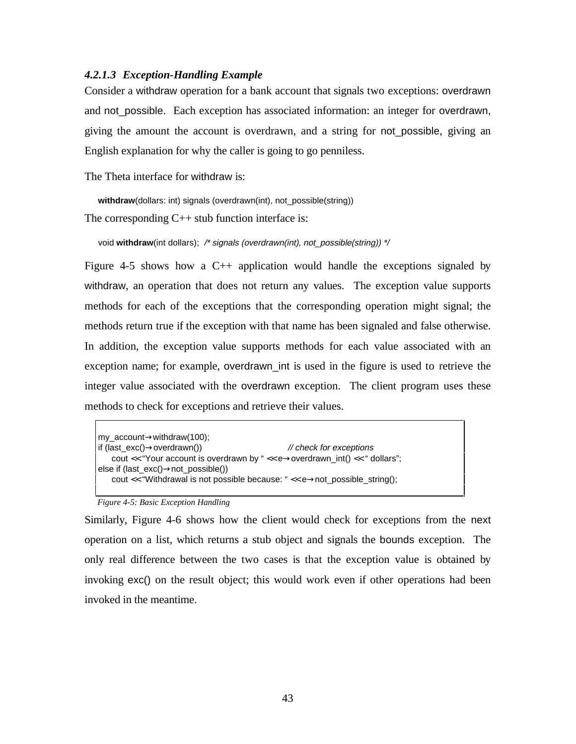# *4.2.1.3 Exception-Handling Example*

Consider a withdraw operation for a bank account that signals two exceptions: overdrawn and not\_possible. Each exception has associated information: an integer for overdrawn, giving the amount the account is overdrawn, and a string for not\_possible, giving an English explanation for why the caller is going to go penniless.

The Theta interface for withdraw is:

withdraw(dollars: int) signals (overdrawn(int), not\_possible(string)) The corresponding C++ stub function interface is:

void **withdraw**(int dollars); /\* signals (overdrawn(int), not\_possible(string)) \*/

Figure 4-5 shows how a C++ application would handle the exceptions signaled by withdraw, an operation that does not return any values. The exception value supports methods for each of the exceptions that the corresponding operation might signal; the methods return true if the exception with that name has been signaled and false otherwise. In addition, the exception value supports methods for each value associated with an exception name; for example, overdrawn\_int is used in the figure is used to retrieve the integer value associated with the overdrawn exception. The client program uses these methods to check for exceptions and retrieve their values.

```
my_account→withdraw(100);
if (last\_exc() \rightarrow overdrawn()) // check for exceptions
   cout << "Your account is overdrawn by " << e→overdrawn_int() << " dollars";
else if (last_exc()→not_possible())
   cout << "Withdrawal is not possible because: " << e→not_possible_string();
```
#### *Figure 4-5: Basic Exception Handling*

Similarly, Figure 4-6 shows how the client would check for exceptions from the next operation on a list, which returns a stub object and signals the bounds exception. The only real difference between the two cases is that the exception value is obtained by invoking exc() on the result object; this would work even if other operations had been invoked in the meantime.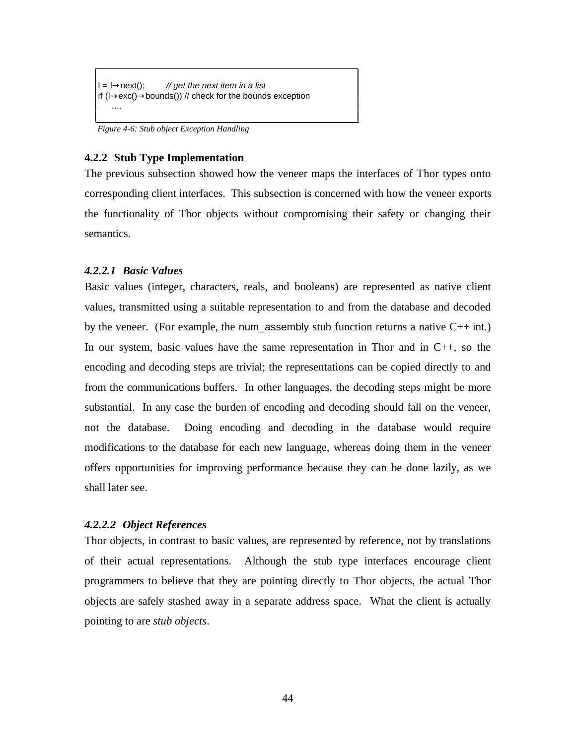$l = l \rightarrow$ next(); // get the next item in a list if  $(l \rightarrow exc() \rightarrow boundaries()$  // check for the bounds exception ....

*Figure 4-6: Stub object Exception Handling*

### **4.2.2 Stub Type Implementation**

The previous subsection showed how the veneer maps the interfaces of Thor types onto corresponding client interfaces. This subsection is concerned with how the veneer exports the functionality of Thor objects without compromising their safety or changing their semantics.

### *4.2.2.1 Basic Values*

Basic values (integer, characters, reals, and booleans) are represented as native client values, transmitted using a suitable representation to and from the database and decoded by the veneer. (For example, the num assembly stub function returns a native  $C_{++}$  int.) In our system, basic values have the same representation in Thor and in  $C_{++}$ , so the encoding and decoding steps are trivial; the representations can be copied directly to and from the communications buffers. In other languages, the decoding steps might be more substantial. In any case the burden of encoding and decoding should fall on the veneer, not the database. Doing encoding and decoding in the database would require modifications to the database for each new language, whereas doing them in the veneer offers opportunities for improving performance because they can be done lazily, as we shall later see.

### *4.2.2.2 Object References*

Thor objects, in contrast to basic values, are represented by reference, not by translations of their actual representations. Although the stub type interfaces encourage client programmers to believe that they are pointing directly to Thor objects, the actual Thor objects are safely stashed away in a separate address space. What the client is actually pointing to are *stub objects*.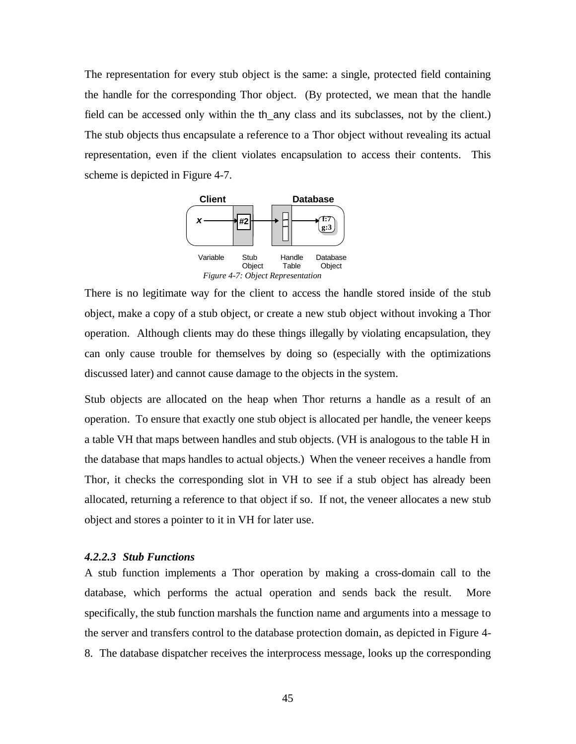The representation for every stub object is the same: a single, protected field containing the handle for the corresponding Thor object. (By protected, we mean that the handle field can be accessed only within the th\_any class and its subclasses, not by the client.) The stub objects thus encapsulate a reference to a Thor object without revealing its actual representation, even if the client violates encapsulation to access their contents. This scheme is depicted in Figure 4-7.



There is no legitimate way for the client to access the handle stored inside of the stub object, make a copy of a stub object, or create a new stub object without invoking a Thor operation. Although clients may do these things illegally by violating encapsulation, they can only cause trouble for themselves by doing so (especially with the optimizations discussed later) and cannot cause damage to the objects in the system.

Stub objects are allocated on the heap when Thor returns a handle as a result of an operation. To ensure that exactly one stub object is allocated per handle, the veneer keeps a table VH that maps between handles and stub objects. (VH is analogous to the table H in the database that maps handles to actual objects.) When the veneer receives a handle from Thor, it checks the corresponding slot in VH to see if a stub object has already been allocated, returning a reference to that object if so. If not, the veneer allocates a new stub object and stores a pointer to it in VH for later use.

### *4.2.2.3 Stub Functions*

A stub function implements a Thor operation by making a cross-domain call to the database, which performs the actual operation and sends back the result. More specifically, the stub function marshals the function name and arguments into a message to the server and transfers control to the database protection domain, as depicted in Figure 4- 8. The database dispatcher receives the interprocess message, looks up the corresponding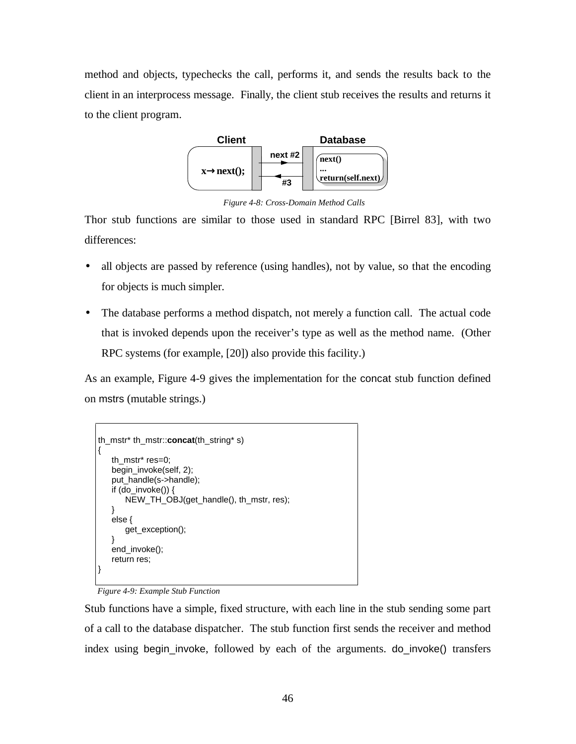method and objects, typechecks the call, performs it, and sends the results back to the client in an interprocess message. Finally, the client stub receives the results and returns it to the client program.



*Figure 4-8: Cross-Domain Method Calls*

Thor stub functions are similar to those used in standard RPC [Birrel 83], with two differences:

- all objects are passed by reference (using handles), not by value, so that the encoding for objects is much simpler.
- The database performs a method dispatch, not merely a function call. The actual code that is invoked depends upon the receiver's type as well as the method name. (Other RPC systems (for example, [20]) also provide this facility.)

As an example, Figure 4-9 gives the implementation for the concat stub function defined on mstrs (mutable strings.)

```
th_mstr* th_mstr::concat(th_string* s)
{
   th_mstr* res=0;
   begin_invoke(self, 2);
   put_handle(s->handle);
   if (do_invoke()) \{NEW_TH_OBJ(get_handle(), th_mstr, res);
   }
   else {
       get_exception();
    }
   end_invoke();
   return res;
}
```
### *Figure 4-9: Example Stub Function*

Stub functions have a simple, fixed structure, with each line in the stub sending some part of a call to the database dispatcher. The stub function first sends the receiver and method index using begin\_invoke, followed by each of the arguments. do\_invoke() transfers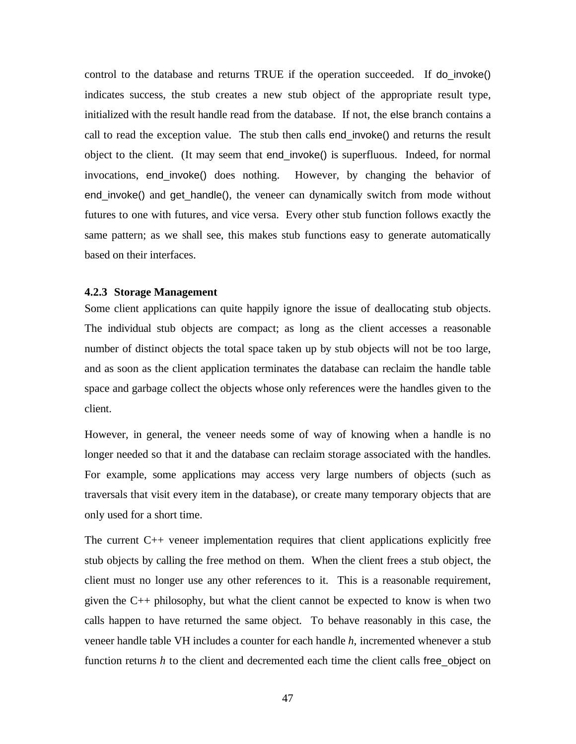control to the database and returns TRUE if the operation succeeded. If do\_invoke() indicates success, the stub creates a new stub object of the appropriate result type, initialized with the result handle read from the database. If not, the else branch contains a call to read the exception value. The stub then calls end\_invoke() and returns the result object to the client. (It may seem that end\_invoke() is superfluous. Indeed, for normal invocations, end\_invoke() does nothing. However, by changing the behavior of end\_invoke() and get\_handle(), the veneer can dynamically switch from mode without futures to one with futures, and vice versa. Every other stub function follows exactly the same pattern; as we shall see, this makes stub functions easy to generate automatically based on their interfaces.

### **4.2.3 Storage Management**

Some client applications can quite happily ignore the issue of deallocating stub objects. The individual stub objects are compact; as long as the client accesses a reasonable number of distinct objects the total space taken up by stub objects will not be too large, and as soon as the client application terminates the database can reclaim the handle table space and garbage collect the objects whose only references were the handles given to the client.

However, in general, the veneer needs some of way of knowing when a handle is no longer needed so that it and the database can reclaim storage associated with the handles. For example, some applications may access very large numbers of objects (such as traversals that visit every item in the database), or create many temporary objects that are only used for a short time.

The current C++ veneer implementation requires that client applications explicitly free stub objects by calling the free method on them. When the client frees a stub object, the client must no longer use any other references to it. This is a reasonable requirement, given the C++ philosophy, but what the client cannot be expected to know is when two calls happen to have returned the same object. To behave reasonably in this case, the veneer handle table VH includes a counter for each handle *h*, incremented whenever a stub function returns *h* to the client and decremented each time the client calls free\_object on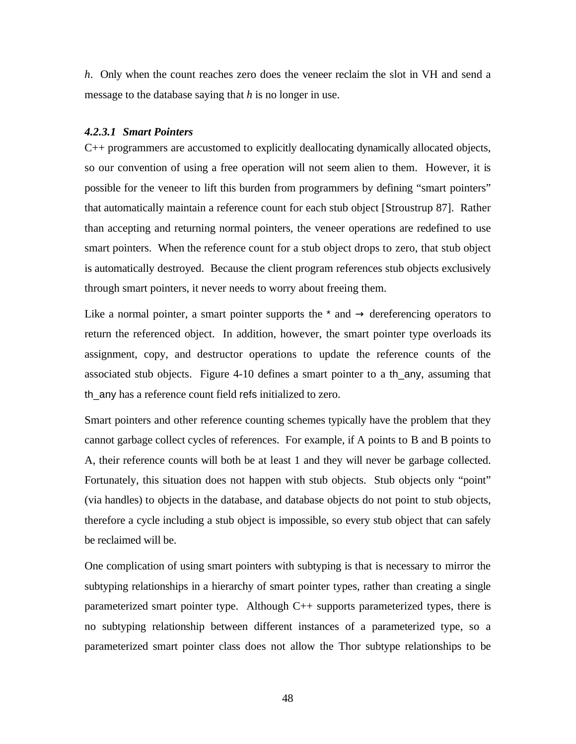*h*. Only when the count reaches zero does the veneer reclaim the slot in VH and send a message to the database saying that *h* is no longer in use.

### *4.2.3.1 Smart Pointers*

C++ programmers are accustomed to explicitly deallocating dynamically allocated objects, so our convention of using a free operation will not seem alien to them. However, it is possible for the veneer to lift this burden from programmers by defining "smart pointers" that automatically maintain a reference count for each stub object [Stroustrup 87]. Rather than accepting and returning normal pointers, the veneer operations are redefined to use smart pointers. When the reference count for a stub object drops to zero, that stub object is automatically destroyed. Because the client program references stub objects exclusively through smart pointers, it never needs to worry about freeing them.

Like a normal pointer, a smart pointer supports the  $*$  and  $\rightarrow$  dereferencing operators to return the referenced object. In addition, however, the smart pointer type overloads its assignment, copy, and destructor operations to update the reference counts of the associated stub objects. Figure 4-10 defines a smart pointer to a th\_any, assuming that th any has a reference count field refs initialized to zero.

Smart pointers and other reference counting schemes typically have the problem that they cannot garbage collect cycles of references. For example, if A points to B and B points to A, their reference counts will both be at least 1 and they will never be garbage collected. Fortunately, this situation does not happen with stub objects. Stub objects only "point" (via handles) to objects in the database, and database objects do not point to stub objects, therefore a cycle including a stub object is impossible, so every stub object that can safely be reclaimed will be.

One complication of using smart pointers with subtyping is that is necessary to mirror the subtyping relationships in a hierarchy of smart pointer types, rather than creating a single parameterized smart pointer type. Although C++ supports parameterized types, there is no subtyping relationship between different instances of a parameterized type, so a parameterized smart pointer class does not allow the Thor subtype relationships to be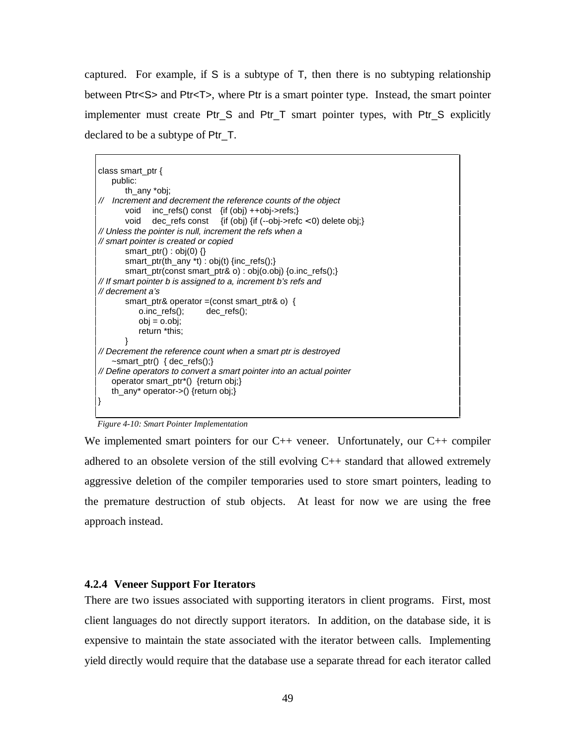captured. For example, if S is a subtype of T, then there is no subtyping relationship between Ptr<S> and Ptr<T>, where Ptr is a smart pointer type. Instead, the smart pointer implementer must create Ptr\_S and Ptr\_T smart pointer types, with Ptr\_S explicitly declared to be a subtype of Ptr\_T.

```
class smart_ptr {
    public:
       th_any *obj;
// Increment and decrement the reference counts of the object
       void inc_refs() const {if (obj) ++obj->refs;}
       void dec_refs const {if (obj) {if (--obj->refc < 0) delete obj;}
// Unless the pointer is null, increment the refs when a
// smart pointer is created or copied
       smart_ptr() : obj(0) {}
       smart_ptr(th_any *t) : obj(t) {inc_refs();}
       smart_ptr(const smart_ptr& o) : obj(o.obj) {o.inc_refs();}
// If smart pointer b is assigned to a, increment b's refs and
// decrement a's
       smart_ptr& operator =(const smart_ptr& o) {
           o.inc_refs(); dec_refs();
           obj = 0.0bj;return *this;
       }
// Decrement the reference count when a smart ptr is destroyed
   ~smart_ptr() { dec_refs();}
// Define operators to convert a smart pointer into an actual pointer
   operator smart_ptr*() {return obj;}
   th_any* operator->() {return obj;}
}
```
*Figure 4-10: Smart Pointer Implementation*

We implemented smart pointers for our C<sup>++</sup> veneer. Unfortunately, our C<sup>++</sup> compiler adhered to an obsolete version of the still evolving  $C_{++}$  standard that allowed extremely aggressive deletion of the compiler temporaries used to store smart pointers, leading to the premature destruction of stub objects. At least for now we are using the free approach instead.

### **4.2.4 Veneer Support For Iterators**

There are two issues associated with supporting iterators in client programs. First, most client languages do not directly support iterators. In addition, on the database side, it is expensive to maintain the state associated with the iterator between calls. Implementing yield directly would require that the database use a separate thread for each iterator called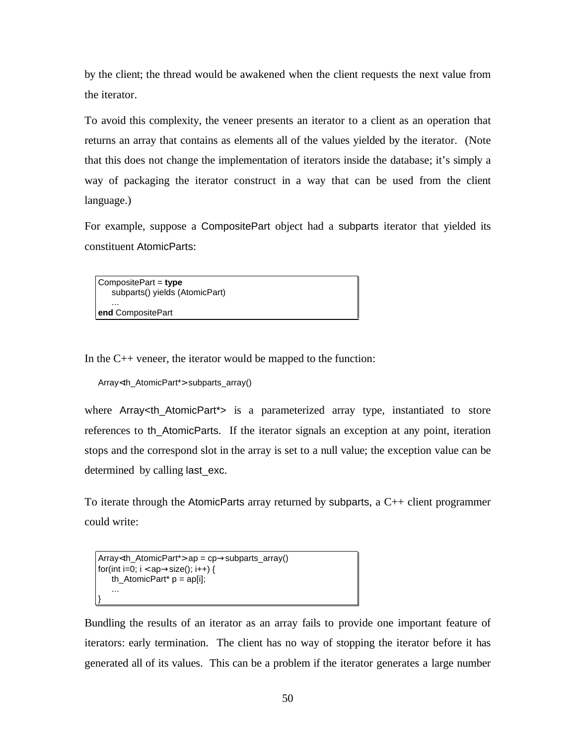by the client; the thread would be awakened when the client requests the next value from the iterator.

To avoid this complexity, the veneer presents an iterator to a client as an operation that returns an array that contains as elements all of the values yielded by the iterator. (Note that this does not change the implementation of iterators inside the database; it's simply a way of packaging the iterator construct in a way that can be used from the client language.)

For example, suppose a CompositePart object had a subparts iterator that yielded its constituent AtomicParts:

CompositePart = **type** subparts() yields (AtomicPart) ... **end** CompositePart

In the C++ veneer, the iterator would be mapped to the function:

```
Array<th_AtomicPart*> subparts_array()
```
where Array in AtomicPart<sup>\*</sup>> is a parameterized array type, instantiated to store references to th\_AtomicParts. If the iterator signals an exception at any point, iteration stops and the correspond slot in the array is set to a null value; the exception value can be determined by calling last\_exc.

To iterate through the AtomicParts array returned by subparts, a  $C_{++}$  client programmer could write:

```
Array<th_AtomicPart*> ap = cp→subparts_array()
for(int i=0; i < ap \rightarrow size); i++) {
    th<sub>_</sub>AtomicPart<sup>*</sup> p = ap[i];
     ...
}
```
Bundling the results of an iterator as an array fails to provide one important feature of iterators: early termination. The client has no way of stopping the iterator before it has generated all of its values. This can be a problem if the iterator generates a large number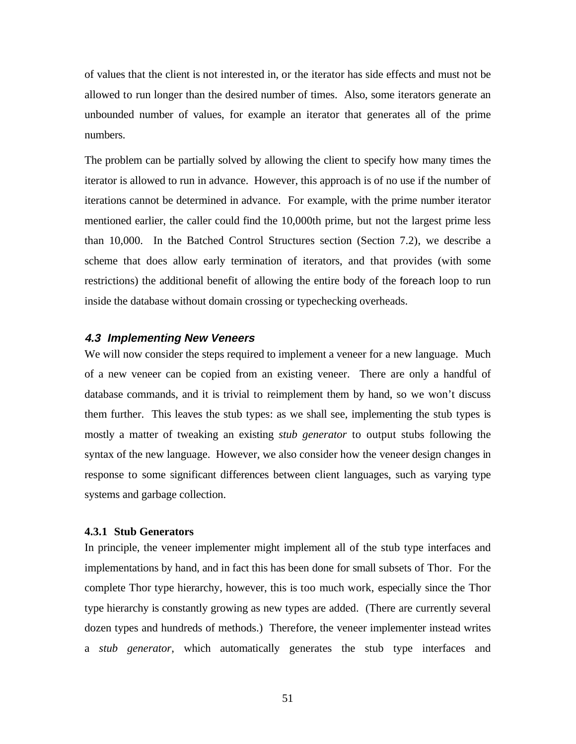of values that the client is not interested in, or the iterator has side effects and must not be allowed to run longer than the desired number of times. Also, some iterators generate an unbounded number of values, for example an iterator that generates all of the prime numbers.

The problem can be partially solved by allowing the client to specify how many times the iterator is allowed to run in advance. However, this approach is of no use if the number of iterations cannot be determined in advance. For example, with the prime number iterator mentioned earlier, the caller could find the 10,000th prime, but not the largest prime less than 10,000. In the Batched Control Structures section (Section 7.2), we describe a scheme that does allow early termination of iterators, and that provides (with some restrictions) the additional benefit of allowing the entire body of the foreach loop to run inside the database without domain crossing or typechecking overheads.

## **4.3 Implementing New Veneers**

We will now consider the steps required to implement a veneer for a new language. Much of a new veneer can be copied from an existing veneer. There are only a handful of database commands, and it is trivial to reimplement them by hand, so we won't discuss them further. This leaves the stub types: as we shall see, implementing the stub types is mostly a matter of tweaking an existing *stub generator* to output stubs following the syntax of the new language. However, we also consider how the veneer design changes in response to some significant differences between client languages, such as varying type systems and garbage collection.

### **4.3.1 Stub Generators**

In principle, the veneer implementer might implement all of the stub type interfaces and implementations by hand, and in fact this has been done for small subsets of Thor. For the complete Thor type hierarchy, however, this is too much work, especially since the Thor type hierarchy is constantly growing as new types are added. (There are currently several dozen types and hundreds of methods.) Therefore, the veneer implementer instead writes a *stub generator*, which automatically generates the stub type interfaces and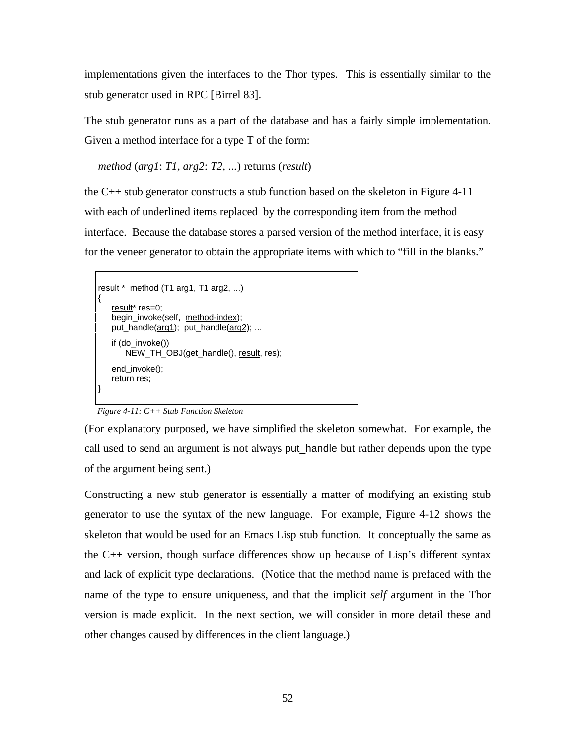implementations given the interfaces to the Thor types. This is essentially similar to the stub generator used in RPC [Birrel 83].

The stub generator runs as a part of the database and has a fairly simple implementation. Given a method interface for a type T of the form:

*method* (*arg1*: *T1, arg2*: *T2, ...*) returns (*result*)

the  $C_{++}$  stub generator constructs a stub function based on the skeleton in Figure 4-11 with each of underlined items replaced by the corresponding item from the method interface. Because the database stores a parsed version of the method interface, it is easy for the veneer generator to obtain the appropriate items with which to "fill in the blanks."

```
result * method (T1 arg1, T1 arg2, ...)
{
   result* res=0:
   begin_invoke(self, method-index);
   put_handle(arg1); put_handle(arg2); ...
   if (do_invoke())
       NEW_TH_OBJ(get_handle(), result, res);
   end_invoke();
   return res;
}
```
*Figure 4-11: C++ Stub Function Skeleton*

(For explanatory purposed, we have simplified the skeleton somewhat. For example, the call used to send an argument is not always put\_handle but rather depends upon the type of the argument being sent.)

Constructing a new stub generator is essentially a matter of modifying an existing stub generator to use the syntax of the new language. For example, Figure 4-12 shows the skeleton that would be used for an Emacs Lisp stub function. It conceptually the same as the C++ version, though surface differences show up because of Lisp's different syntax and lack of explicit type declarations. (Notice that the method name is prefaced with the name of the type to ensure uniqueness, and that the implicit *self* argument in the Thor version is made explicit. In the next section, we will consider in more detail these and other changes caused by differences in the client language.)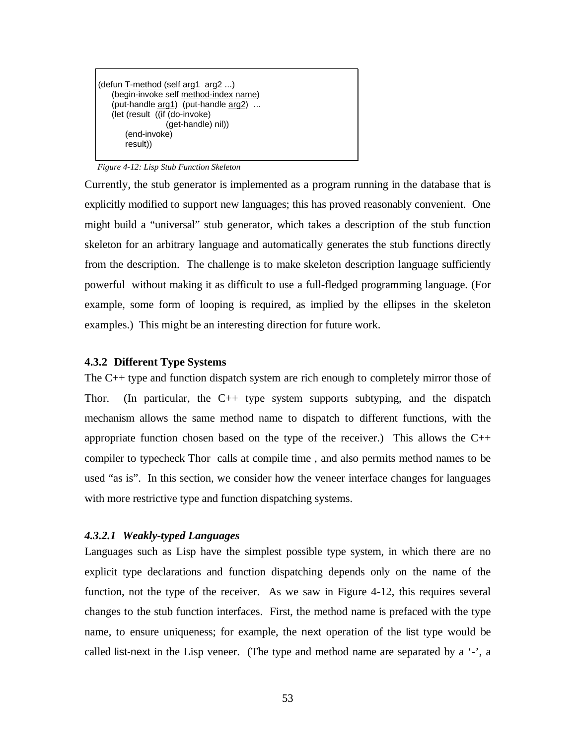```
(defun T-method (self arg1 arg2 ...)
   (begin-invoke self method-index name)
   (put-handle arg1) (put-handle arg2) ...
   (let (result ((if (do-invoke)
                  (get-handle) nil))
       (end-invoke)
       result))
```
*Figure 4-12: Lisp Stub Function Skeleton*

Currently, the stub generator is implemented as a program running in the database that is explicitly modified to support new languages; this has proved reasonably convenient. One might build a "universal" stub generator, which takes a description of the stub function skeleton for an arbitrary language and automatically generates the stub functions directly from the description. The challenge is to make skeleton description language sufficiently powerful without making it as difficult to use a full-fledged programming language. (For example, some form of looping is required, as implied by the ellipses in the skeleton examples.) This might be an interesting direction for future work.

### **4.3.2 Different Type Systems**

The C++ type and function dispatch system are rich enough to completely mirror those of Thor. (In particular, the  $C_{++}$  type system supports subtyping, and the dispatch mechanism allows the same method name to dispatch to different functions, with the appropriate function chosen based on the type of the receiver.) This allows the  $C++$ compiler to typecheck Thor calls at compile time , and also permits method names to be used "as is". In this section, we consider how the veneer interface changes for languages with more restrictive type and function dispatching systems.

### *4.3.2.1 Weakly-typed Languages*

Languages such as Lisp have the simplest possible type system, in which there are no explicit type declarations and function dispatching depends only on the name of the function, not the type of the receiver. As we saw in Figure 4-12, this requires several changes to the stub function interfaces. First, the method name is prefaced with the type name, to ensure uniqueness; for example, the next operation of the list type would be called list-next in the Lisp veneer. (The type and method name are separated by a  $\cdot$ , a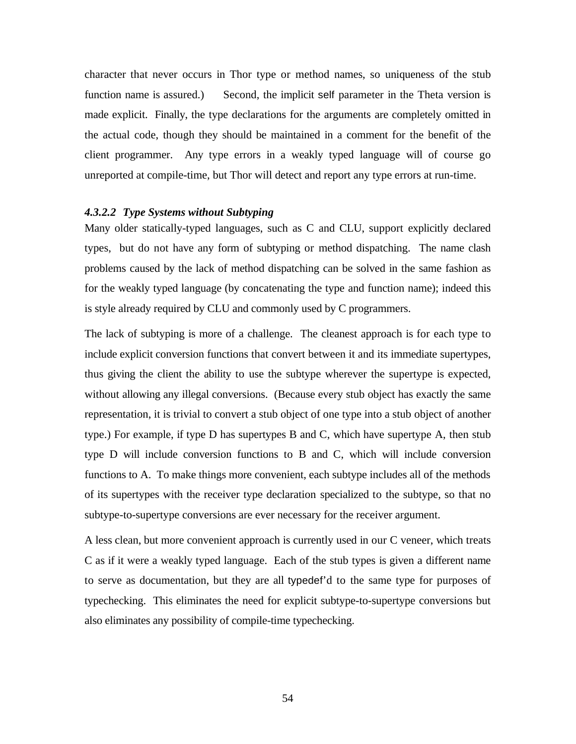character that never occurs in Thor type or method names, so uniqueness of the stub function name is assured.) Second, the implicit self parameter in the Theta version is made explicit. Finally, the type declarations for the arguments are completely omitted in the actual code, though they should be maintained in a comment for the benefit of the client programmer. Any type errors in a weakly typed language will of course go unreported at compile-time, but Thor will detect and report any type errors at run-time.

# *4.3.2.2 Type Systems without Subtyping*

Many older statically-typed languages, such as C and CLU, support explicitly declared types, but do not have any form of subtyping or method dispatching. The name clash problems caused by the lack of method dispatching can be solved in the same fashion as for the weakly typed language (by concatenating the type and function name); indeed this is style already required by CLU and commonly used by C programmers.

The lack of subtyping is more of a challenge. The cleanest approach is for each type to include explicit conversion functions that convert between it and its immediate supertypes, thus giving the client the ability to use the subtype wherever the supertype is expected, without allowing any illegal conversions. (Because every stub object has exactly the same representation, it is trivial to convert a stub object of one type into a stub object of another type.) For example, if type D has supertypes B and C, which have supertype A, then stub type D will include conversion functions to B and C, which will include conversion functions to A. To make things more convenient, each subtype includes all of the methods of its supertypes with the receiver type declaration specialized to the subtype, so that no subtype-to-supertype conversions are ever necessary for the receiver argument.

A less clean, but more convenient approach is currently used in our C veneer, which treats C as if it were a weakly typed language. Each of the stub types is given a different name to serve as documentation, but they are all typedef'd to the same type for purposes of typechecking. This eliminates the need for explicit subtype-to-supertype conversions but also eliminates any possibility of compile-time typechecking.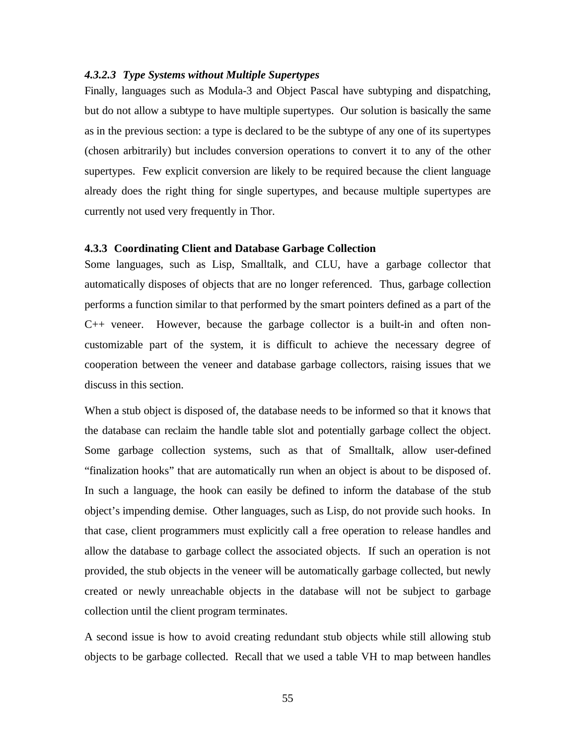### *4.3.2.3 Type Systems without Multiple Supertypes*

Finally, languages such as Modula-3 and Object Pascal have subtyping and dispatching, but do not allow a subtype to have multiple supertypes. Our solution is basically the same as in the previous section: a type is declared to be the subtype of any one of its supertypes (chosen arbitrarily) but includes conversion operations to convert it to any of the other supertypes. Few explicit conversion are likely to be required because the client language already does the right thing for single supertypes, and because multiple supertypes are currently not used very frequently in Thor.

### **4.3.3 Coordinating Client and Database Garbage Collection**

Some languages, such as Lisp, Smalltalk, and CLU, have a garbage collector that automatically disposes of objects that are no longer referenced. Thus, garbage collection performs a function similar to that performed by the smart pointers defined as a part of the C++ veneer. However, because the garbage collector is a built-in and often noncustomizable part of the system, it is difficult to achieve the necessary degree of cooperation between the veneer and database garbage collectors, raising issues that we discuss in this section.

When a stub object is disposed of, the database needs to be informed so that it knows that the database can reclaim the handle table slot and potentially garbage collect the object. Some garbage collection systems, such as that of Smalltalk, allow user-defined "finalization hooks" that are automatically run when an object is about to be disposed of. In such a language, the hook can easily be defined to inform the database of the stub object's impending demise. Other languages, such as Lisp, do not provide such hooks. In that case, client programmers must explicitly call a free operation to release handles and allow the database to garbage collect the associated objects. If such an operation is not provided, the stub objects in the veneer will be automatically garbage collected, but newly created or newly unreachable objects in the database will not be subject to garbage collection until the client program terminates.

A second issue is how to avoid creating redundant stub objects while still allowing stub objects to be garbage collected. Recall that we used a table VH to map between handles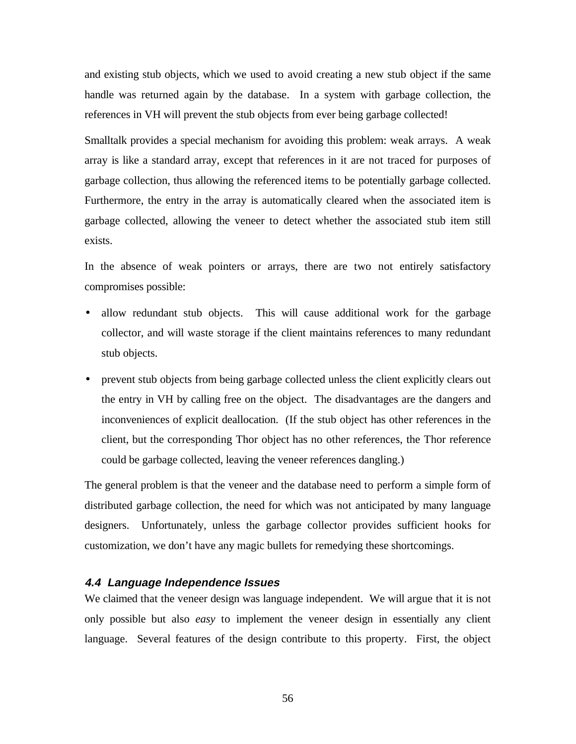and existing stub objects, which we used to avoid creating a new stub object if the same handle was returned again by the database. In a system with garbage collection, the references in VH will prevent the stub objects from ever being garbage collected!

Smalltalk provides a special mechanism for avoiding this problem: weak arrays. A weak array is like a standard array, except that references in it are not traced for purposes of garbage collection, thus allowing the referenced items to be potentially garbage collected. Furthermore, the entry in the array is automatically cleared when the associated item is garbage collected, allowing the veneer to detect whether the associated stub item still exists.

In the absence of weak pointers or arrays, there are two not entirely satisfactory compromises possible:

- allow redundant stub objects. This will cause additional work for the garbage collector, and will waste storage if the client maintains references to many redundant stub objects.
- prevent stub objects from being garbage collected unless the client explicitly clears out the entry in VH by calling free on the object. The disadvantages are the dangers and inconveniences of explicit deallocation. (If the stub object has other references in the client, but the corresponding Thor object has no other references, the Thor reference could be garbage collected, leaving the veneer references dangling.)

The general problem is that the veneer and the database need to perform a simple form of distributed garbage collection, the need for which was not anticipated by many language designers. Unfortunately, unless the garbage collector provides sufficient hooks for customization, we don't have any magic bullets for remedying these shortcomings.

# **4.4 Language Independence Issues**

We claimed that the veneer design was language independent. We will argue that it is not only possible but also *easy* to implement the veneer design in essentially any client language. Several features of the design contribute to this property. First, the object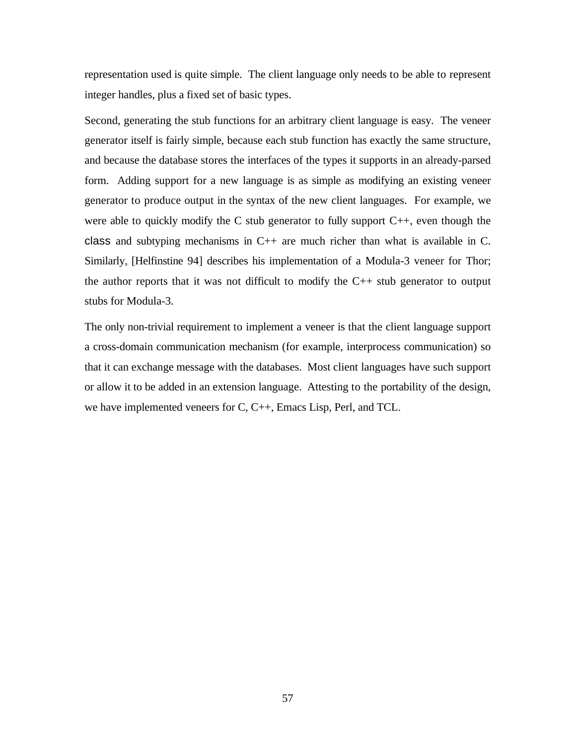representation used is quite simple. The client language only needs to be able to represent integer handles, plus a fixed set of basic types.

Second, generating the stub functions for an arbitrary client language is easy. The veneer generator itself is fairly simple, because each stub function has exactly the same structure, and because the database stores the interfaces of the types it supports in an already-parsed form. Adding support for a new language is as simple as modifying an existing veneer generator to produce output in the syntax of the new client languages. For example, we were able to quickly modify the C stub generator to fully support  $C_{++}$ , even though the class and subtyping mechanisms in  $C_{++}$  are much richer than what is available in C. Similarly, [Helfinstine 94] describes his implementation of a Modula-3 veneer for Thor; the author reports that it was not difficult to modify the  $C_{++}$  stub generator to output stubs for Modula-3.

The only non-trivial requirement to implement a veneer is that the client language support a cross-domain communication mechanism (for example, interprocess communication) so that it can exchange message with the databases. Most client languages have such support or allow it to be added in an extension language. Attesting to the portability of the design, we have implemented veneers for C, C++, Emacs Lisp, Perl, and TCL.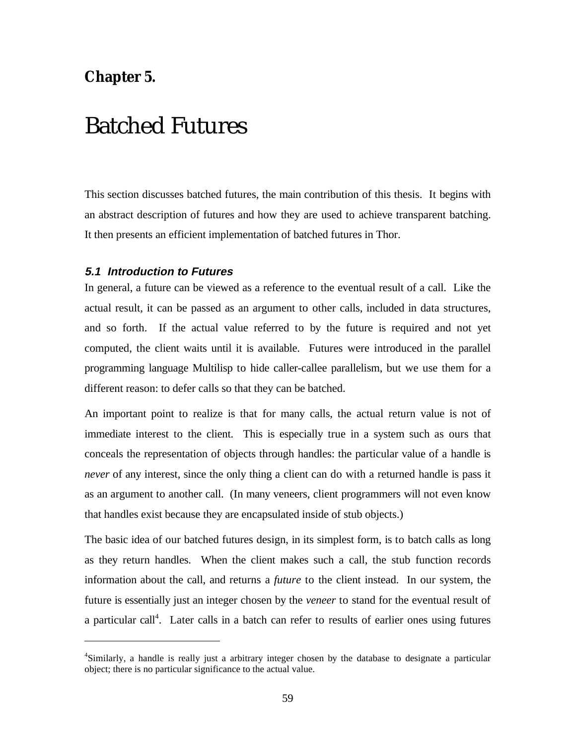# **Chapter 5.**

 $\overline{a}$ 

# Batched Futures

This section discusses batched futures, the main contribution of this thesis. It begins with an abstract description of futures and how they are used to achieve transparent batching. It then presents an efficient implementation of batched futures in Thor.

# **5.1 Introduction to Futures**

In general, a future can be viewed as a reference to the eventual result of a call. Like the actual result, it can be passed as an argument to other calls, included in data structures, and so forth. If the actual value referred to by the future is required and not yet computed, the client waits until it is available. Futures were introduced in the parallel programming language Multilisp to hide caller-callee parallelism, but we use them for a different reason: to defer calls so that they can be batched.

An important point to realize is that for many calls, the actual return value is not of immediate interest to the client. This is especially true in a system such as ours that conceals the representation of objects through handles: the particular value of a handle is *never* of any interest, since the only thing a client can do with a returned handle is pass it as an argument to another call. (In many veneers, client programmers will not even know that handles exist because they are encapsulated inside of stub objects.)

The basic idea of our batched futures design, in its simplest form, is to batch calls as long as they return handles. When the client makes such a call, the stub function records information about the call, and returns a *future* to the client instead. In our system, the future is essentially just an integer chosen by the *veneer* to stand for the eventual result of a particular call<sup>4</sup>. Later calls in a batch can refer to results of earlier ones using futures

<sup>&</sup>lt;sup>4</sup>Similarly, a handle is really just a arbitrary integer chosen by the database to designate a particular object; there is no particular significance to the actual value.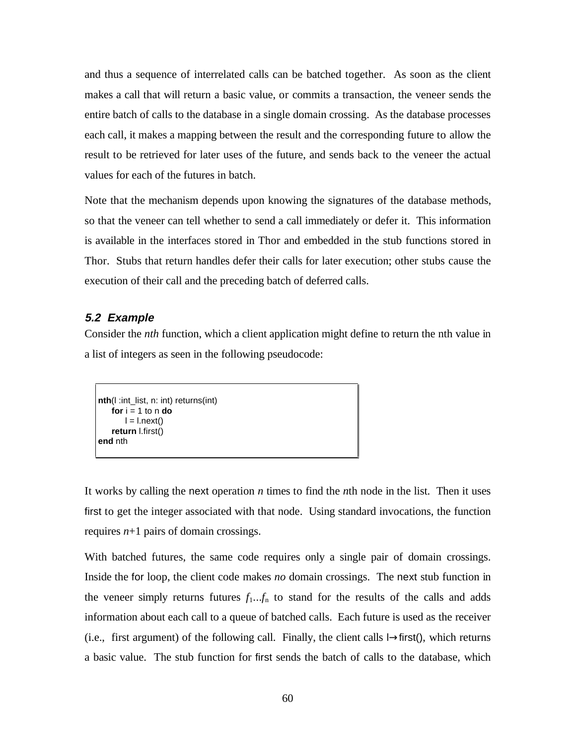and thus a sequence of interrelated calls can be batched together. As soon as the client makes a call that will return a basic value, or commits a transaction, the veneer sends the entire batch of calls to the database in a single domain crossing. As the database processes each call, it makes a mapping between the result and the corresponding future to allow the result to be retrieved for later uses of the future, and sends back to the veneer the actual values for each of the futures in batch.

Note that the mechanism depends upon knowing the signatures of the database methods, so that the veneer can tell whether to send a call immediately or defer it. This information is available in the interfaces stored in Thor and embedded in the stub functions stored in Thor. Stubs that return handles defer their calls for later execution; other stubs cause the execution of their call and the preceding batch of deferred calls.

# **5.2 Example**

Consider the *nth* function, which a client application might define to return the nth value in a list of integers as seen in the following pseudocode:

```
nth(l :int_list, n: int) returns(int)

      l = l.next()return l.first()
end nth
```
It works by calling the next operation *n* times to find the *n*th node in the list. Then it uses first to get the integer associated with that node. Using standard invocations, the function requires  $n+1$  pairs of domain crossings.

With batched futures, the same code requires only a single pair of domain crossings. Inside the for loop, the client code makes *no* domain crossings. The next stub function in the veneer simply returns futures  $f_1...f_n$  to stand for the results of the calls and adds information about each call to a queue of batched calls. Each future is used as the receiver (i.e., first argument) of the following call. Finally, the client calls l→first(), which returns a basic value. The stub function for first sends the batch of calls to the database, which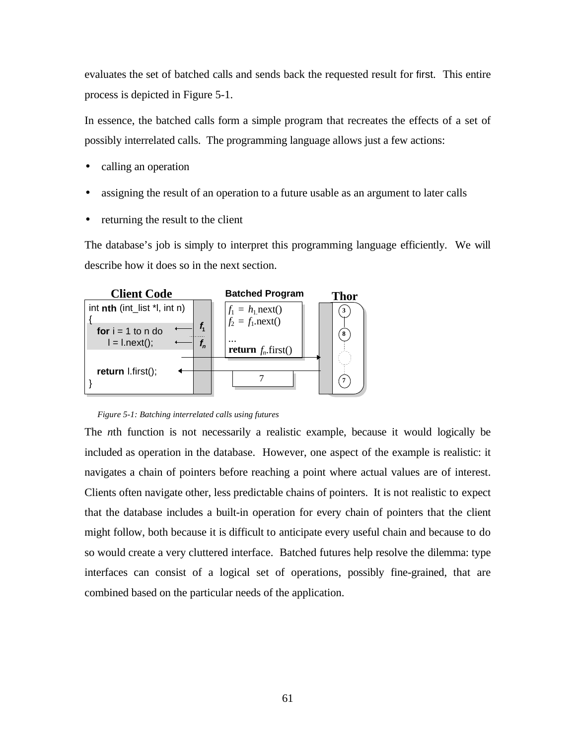evaluates the set of batched calls and sends back the requested result for first. This entire process is depicted in Figure 5-1.

In essence, the batched calls form a simple program that recreates the effects of a set of possibly interrelated calls. The programming language allows just a few actions:

- calling an operation
- assigning the result of an operation to a future usable as an argument to later calls
- returning the result to the client

The database's job is simply to interpret this programming language efficiently. We will describe how it does so in the next section.



*Figure 5-1: Batching interrelated calls using futures*

The *n*th function is not necessarily a realistic example, because it would logically be included as operation in the database. However, one aspect of the example is realistic: it navigates a chain of pointers before reaching a point where actual values are of interest. Clients often navigate other, less predictable chains of pointers. It is not realistic to expect that the database includes a built-in operation for every chain of pointers that the client might follow, both because it is difficult to anticipate every useful chain and because to do so would create a very cluttered interface. Batched futures help resolve the dilemma: type interfaces can consist of a logical set of operations, possibly fine-grained, that are combined based on the particular needs of the application.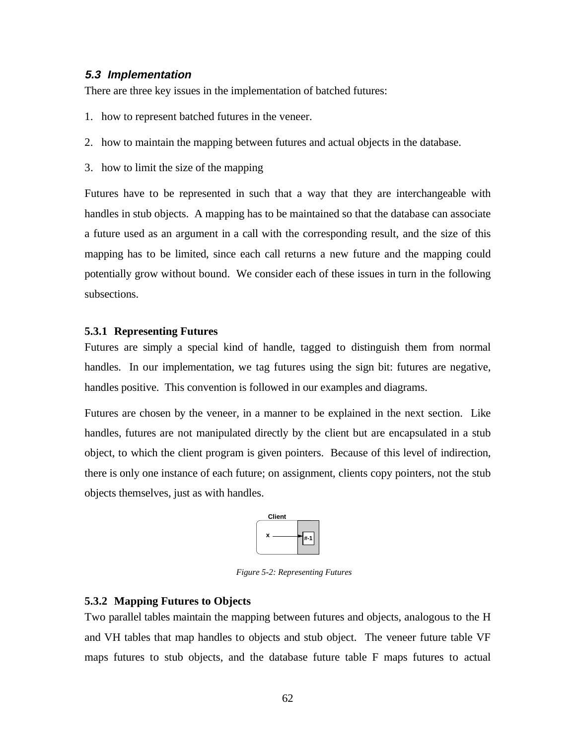# **5.3 Implementation**

There are three key issues in the implementation of batched futures:

- 1. how to represent batched futures in the veneer.
- 2. how to maintain the mapping between futures and actual objects in the database.
- 3. how to limit the size of the mapping

Futures have to be represented in such that a way that they are interchangeable with handles in stub objects. A mapping has to be maintained so that the database can associate a future used as an argument in a call with the corresponding result, and the size of this mapping has to be limited, since each call returns a new future and the mapping could potentially grow without bound. We consider each of these issues in turn in the following subsections.

# **5.3.1 Representing Futures**

Futures are simply a special kind of handle, tagged to distinguish them from normal handles. In our implementation, we tag futures using the sign bit: futures are negative, handles positive. This convention is followed in our examples and diagrams.

Futures are chosen by the veneer, in a manner to be explained in the next section. Like handles, futures are not manipulated directly by the client but are encapsulated in a stub object, to which the client program is given pointers. Because of this level of indirection, there is only one instance of each future; on assignment, clients copy pointers, not the stub objects themselves, just as with handles.



*Figure 5-2: Representing Futures*

# **5.3.2 Mapping Futures to Objects**

Two parallel tables maintain the mapping between futures and objects, analogous to the H and VH tables that map handles to objects and stub object. The veneer future table VF maps futures to stub objects, and the database future table F maps futures to actual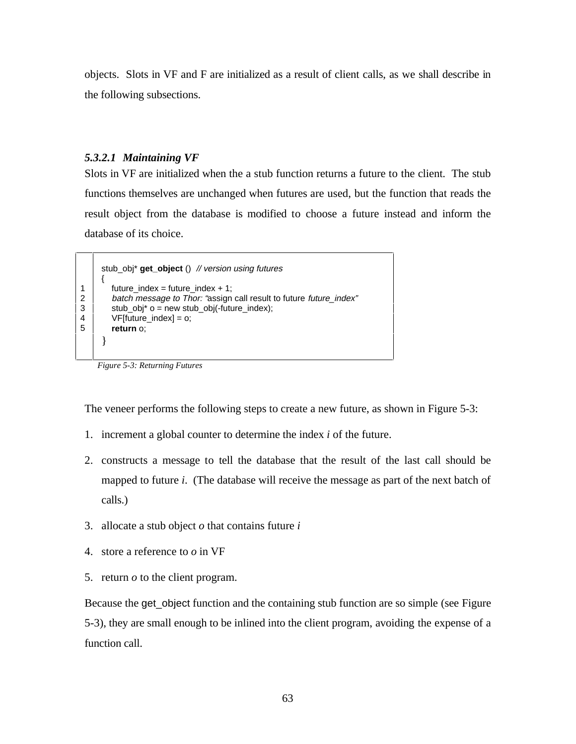objects. Slots in VF and F are initialized as a result of client calls, as we shall describe in the following subsections.

# *5.3.2.1 Maintaining VF*

Slots in VF are initialized when the a stub function returns a future to the client. The stub functions themselves are unchanged when futures are used, but the function that reads the result object from the database is modified to choose a future instead and inform the database of its choice.

stub\_obj\* **get\_object** () // version using futures { 1 | future index = future index + 1; 2 batch message to Thor: "assign call result to future future\_index"<br>3 stub\_obj\* o = new stub\_obj(-future\_index);  $stab\_obj^*$  o = new stub\_obj(-future\_index); VF[future\_index] = o; **return** o; }

*Figure 5-3: Returning Futures*

4 5

The veneer performs the following steps to create a new future, as shown in Figure 5-3:

- 1. increment a global counter to determine the index *i* of the future.
- 2. constructs a message to tell the database that the result of the last call should be mapped to future *i*. (The database will receive the message as part of the next batch of calls.)
- 3. allocate a stub object *o* that contains future *i*
- 4. store a reference to *o* in VF
- 5. return *o* to the client program.

Because the get\_object function and the containing stub function are so simple (see Figure 5-3), they are small enough to be inlined into the client program, avoiding the expense of a function call.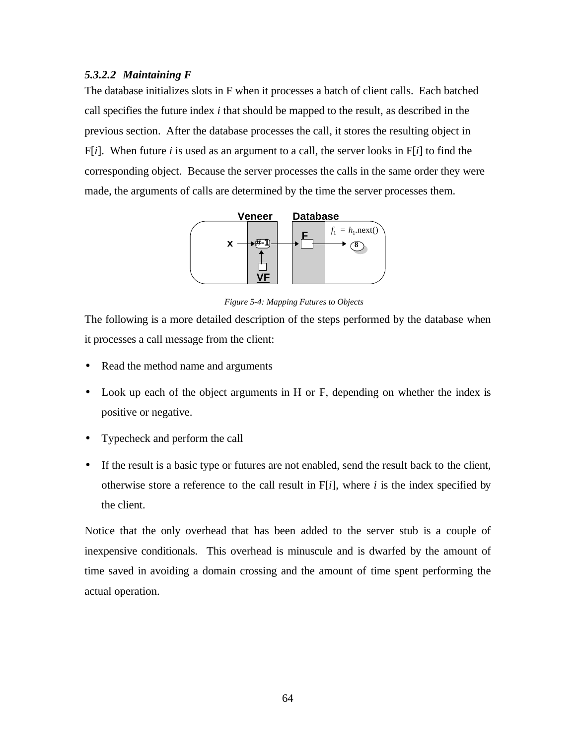# *5.3.2.2 Maintaining F*

The database initializes slots in F when it processes a batch of client calls. Each batched call specifies the future index *i* that should be mapped to the result, as described in the previous section. After the database processes the call, it stores the resulting object in  $F[i]$ . When future *i* is used as an argument to a call, the server looks in  $F[i]$  to find the corresponding object. Because the server processes the calls in the same order they were made, the arguments of calls are determined by the time the server processes them.



*Figure 5-4: Mapping Futures to Objects*

The following is a more detailed description of the steps performed by the database when it processes a call message from the client:

- Read the method name and arguments
- Look up each of the object arguments in H or F, depending on whether the index is positive or negative.
- Typecheck and perform the call
- If the result is a basic type or futures are not enabled, send the result back to the client, otherwise store a reference to the call result in F[*i*], where *i* is the index specified by the client.

Notice that the only overhead that has been added to the server stub is a couple of inexpensive conditionals. This overhead is minuscule and is dwarfed by the amount of time saved in avoiding a domain crossing and the amount of time spent performing the actual operation.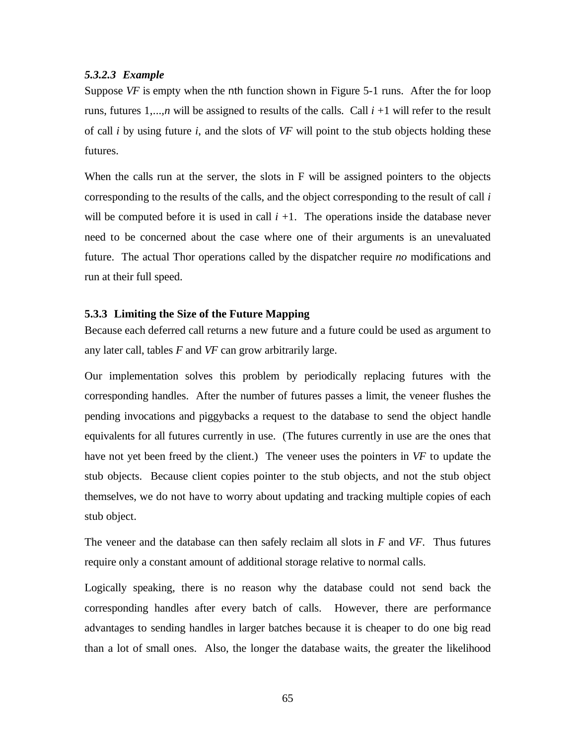### *5.3.2.3 Example*

Suppose *VF* is empty when the nth function shown in Figure 5-1 runs. After the for loop runs, futures 1,...*,n* will be assigned to results of the calls. Call *i* +1 will refer to the result of call *i* by using future *i*, and the slots of *VF* will point to the stub objects holding these futures.

When the calls run at the server, the slots in F will be assigned pointers to the objects corresponding to the results of the calls, and the object corresponding to the result of call *i* will be computed before it is used in call  $i + 1$ . The operations inside the database never need to be concerned about the case where one of their arguments is an unevaluated future. The actual Thor operations called by the dispatcher require *no* modifications and run at their full speed.

### **5.3.3 Limiting the Size of the Future Mapping**

Because each deferred call returns a new future and a future could be used as argument to any later call, tables *F* and *VF* can grow arbitrarily large.

Our implementation solves this problem by periodically replacing futures with the corresponding handles. After the number of futures passes a limit, the veneer flushes the pending invocations and piggybacks a request to the database to send the object handle equivalents for all futures currently in use. (The futures currently in use are the ones that have not yet been freed by the client.) The veneer uses the pointers in *VF* to update the stub objects. Because client copies pointer to the stub objects, and not the stub object themselves, we do not have to worry about updating and tracking multiple copies of each stub object.

The veneer and the database can then safely reclaim all slots in *F* and *VF*. Thus futures require only a constant amount of additional storage relative to normal calls.

Logically speaking, there is no reason why the database could not send back the corresponding handles after every batch of calls. However, there are performance advantages to sending handles in larger batches because it is cheaper to do one big read than a lot of small ones. Also, the longer the database waits, the greater the likelihood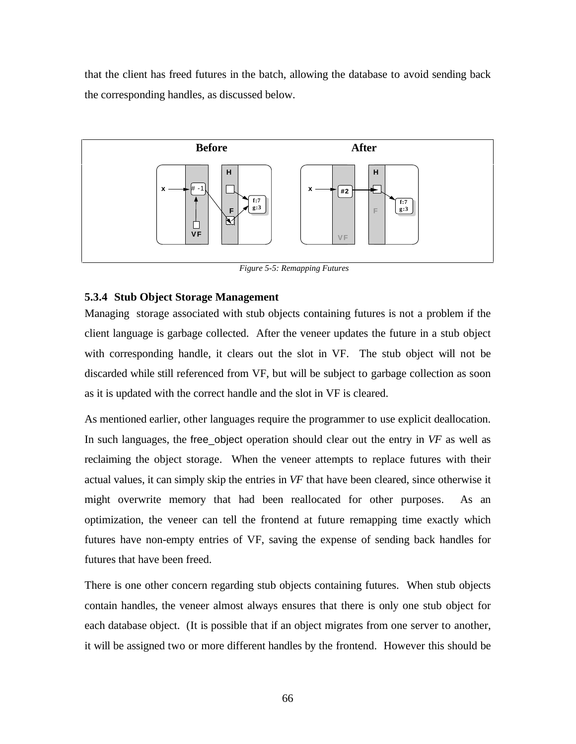that the client has freed futures in the batch, allowing the database to avoid sending back the corresponding handles, as discussed below.



*Figure 5-5: Remapping Futures*

### **5.3.4 Stub Object Storage Management**

Managing storage associated with stub objects containing futures is not a problem if the client language is garbage collected. After the veneer updates the future in a stub object with corresponding handle, it clears out the slot in VF. The stub object will not be discarded while still referenced from VF, but will be subject to garbage collection as soon as it is updated with the correct handle and the slot in VF is cleared.

As mentioned earlier, other languages require the programmer to use explicit deallocation. In such languages, the free\_object operation should clear out the entry in *VF* as well as reclaiming the object storage. When the veneer attempts to replace futures with their actual values, it can simply skip the entries in *VF* that have been cleared, since otherwise it might overwrite memory that had been reallocated for other purposes. As an optimization, the veneer can tell the frontend at future remapping time exactly which futures have non-empty entries of VF, saving the expense of sending back handles for futures that have been freed.

There is one other concern regarding stub objects containing futures. When stub objects contain handles, the veneer almost always ensures that there is only one stub object for each database object. (It is possible that if an object migrates from one server to another, it will be assigned two or more different handles by the frontend. However this should be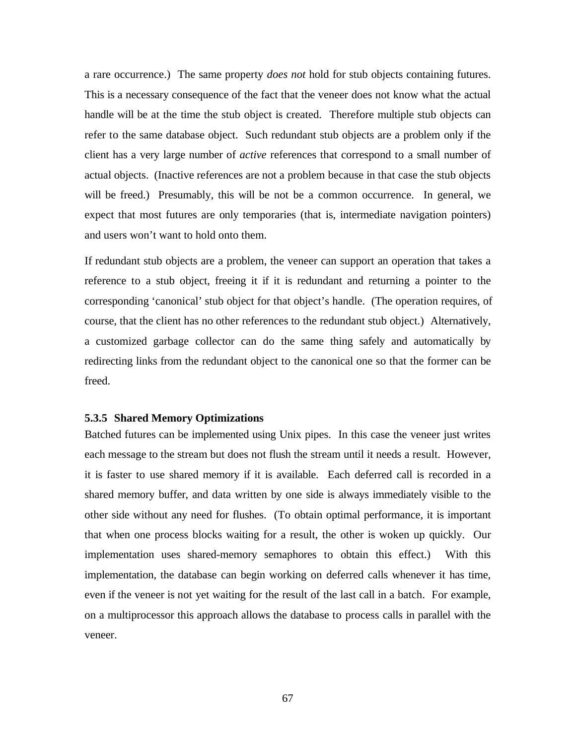a rare occurrence.) The same property *does not* hold for stub objects containing futures. This is a necessary consequence of the fact that the veneer does not know what the actual handle will be at the time the stub object is created. Therefore multiple stub objects can refer to the same database object. Such redundant stub objects are a problem only if the client has a very large number of *active* references that correspond to a small number of actual objects. (Inactive references are not a problem because in that case the stub objects will be freed.) Presumably, this will be not be a common occurrence. In general, we expect that most futures are only temporaries (that is, intermediate navigation pointers) and users won't want to hold onto them.

If redundant stub objects are a problem, the veneer can support an operation that takes a reference to a stub object, freeing it if it is redundant and returning a pointer to the corresponding 'canonical' stub object for that object's handle. (The operation requires, of course, that the client has no other references to the redundant stub object.) Alternatively, a customized garbage collector can do the same thing safely and automatically by redirecting links from the redundant object to the canonical one so that the former can be freed.

# **5.3.5 Shared Memory Optimizations**

Batched futures can be implemented using Unix pipes. In this case the veneer just writes each message to the stream but does not flush the stream until it needs a result. However, it is faster to use shared memory if it is available. Each deferred call is recorded in a shared memory buffer, and data written by one side is always immediately visible to the other side without any need for flushes. (To obtain optimal performance, it is important that when one process blocks waiting for a result, the other is woken up quickly. Our implementation uses shared-memory semaphores to obtain this effect.) With this implementation, the database can begin working on deferred calls whenever it has time, even if the veneer is not yet waiting for the result of the last call in a batch. For example, on a multiprocessor this approach allows the database to process calls in parallel with the veneer.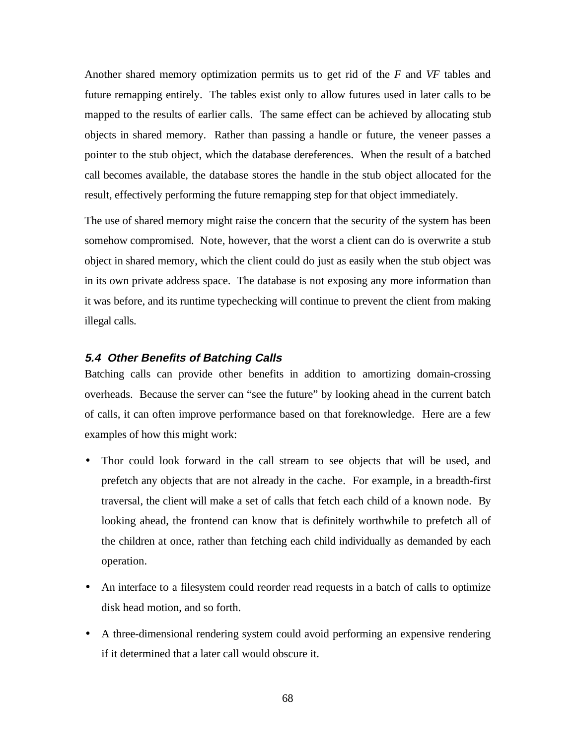Another shared memory optimization permits us to get rid of the *F* and *VF* tables and future remapping entirely. The tables exist only to allow futures used in later calls to be mapped to the results of earlier calls. The same effect can be achieved by allocating stub objects in shared memory. Rather than passing a handle or future, the veneer passes a pointer to the stub object, which the database dereferences. When the result of a batched call becomes available, the database stores the handle in the stub object allocated for the result, effectively performing the future remapping step for that object immediately.

The use of shared memory might raise the concern that the security of the system has been somehow compromised. Note, however, that the worst a client can do is overwrite a stub object in shared memory, which the client could do just as easily when the stub object was in its own private address space. The database is not exposing any more information than it was before, and its runtime typechecking will continue to prevent the client from making illegal calls.

# **5.4 Other Benefits of Batching Calls**

Batching calls can provide other benefits in addition to amortizing domain-crossing overheads. Because the server can "see the future" by looking ahead in the current batch of calls, it can often improve performance based on that foreknowledge. Here are a few examples of how this might work:

- Thor could look forward in the call stream to see objects that will be used, and prefetch any objects that are not already in the cache. For example, in a breadth-first traversal, the client will make a set of calls that fetch each child of a known node. By looking ahead, the frontend can know that is definitely worthwhile to prefetch all of the children at once, rather than fetching each child individually as demanded by each operation.
- An interface to a filesystem could reorder read requests in a batch of calls to optimize disk head motion, and so forth.
- A three-dimensional rendering system could avoid performing an expensive rendering if it determined that a later call would obscure it.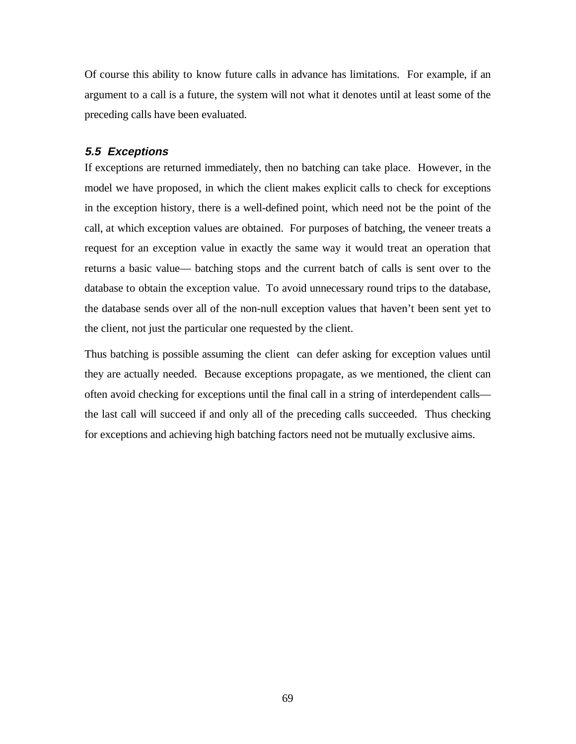Of course this ability to know future calls in advance has limitations. For example, if an argument to a call is a future, the system will not what it denotes until at least some of the preceding calls have been evaluated.

# **5.5 Exceptions**

If exceptions are returned immediately, then no batching can take place. However, in the model we have proposed, in which the client makes explicit calls to check for exceptions in the exception history, there is a well-defined point, which need not be the point of the call, at which exception values are obtained. For purposes of batching, the veneer treats a request for an exception value in exactly the same way it would treat an operation that returns a basic value— batching stops and the current batch of calls is sent over to the database to obtain the exception value. To avoid unnecessary round trips to the database, the database sends over all of the non-null exception values that haven't been sent yet to the client, not just the particular one requested by the client.

Thus batching is possible assuming the client can defer asking for exception values until they are actually needed. Because exceptions propagate, as we mentioned, the client can often avoid checking for exceptions until the final call in a string of interdependent calls the last call will succeed if and only all of the preceding calls succeeded. Thus checking for exceptions and achieving high batching factors need not be mutually exclusive aims.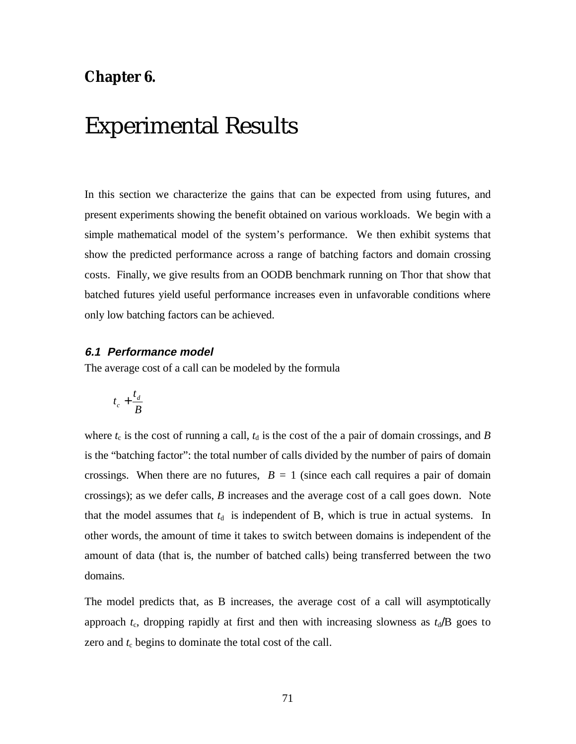# **Chapter 6.**

# Experimental Results

In this section we characterize the gains that can be expected from using futures, and present experiments showing the benefit obtained on various workloads. We begin with a simple mathematical model of the system's performance. We then exhibit systems that show the predicted performance across a range of batching factors and domain crossing costs. Finally, we give results from an OODB benchmark running on Thor that show that batched futures yield useful performance increases even in unfavorable conditions where only low batching factors can be achieved.

### **6.1 Performance model**

The average cost of a call can be modeled by the formula

$$
t_c+\frac{t_d}{B}
$$

where  $t_c$  is the cost of running a call,  $t_d$  is the cost of the a pair of domain crossings, and *B* is the "batching factor": the total number of calls divided by the number of pairs of domain crossings. When there are no futures,  $B = 1$  (since each call requires a pair of domain crossings); as we defer calls, *B* increases and the average cost of a call goes down. Note that the model assumes that  $t<sub>d</sub>$  is independent of B, which is true in actual systems. In other words, the amount of time it takes to switch between domains is independent of the amount of data (that is, the number of batched calls) being transferred between the two domains.

The model predicts that, as B increases, the average cost of a call will asymptotically approach  $t_c$ , dropping rapidly at first and then with increasing slowness as  $t_d$ /B goes to zero and  $t_c$  begins to dominate the total cost of the call.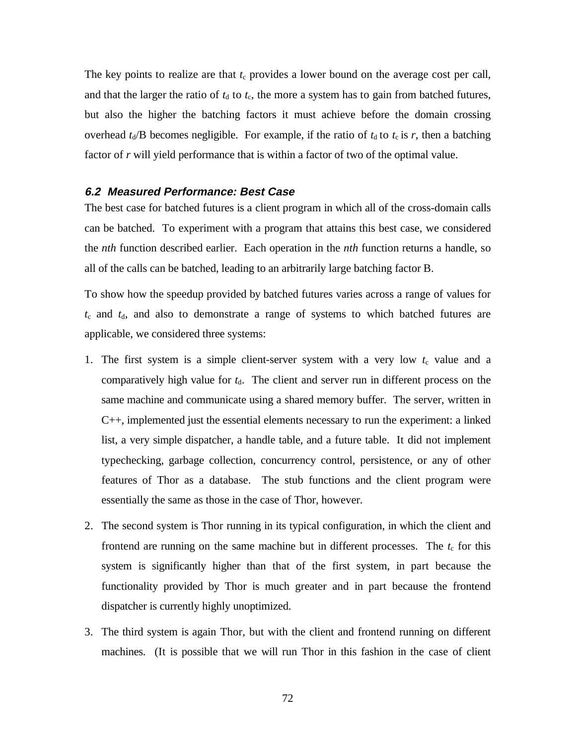The key points to realize are that  $t_c$  provides a lower bound on the average cost per call, and that the larger the ratio of  $t_d$  to  $t_c$ , the more a system has to gain from batched futures, but also the higher the batching factors it must achieve before the domain crossing overhead  $t_d$ /B becomes negligible. For example, if the ratio of  $t_d$  to  $t_c$  is r, then a batching factor of *r* will yield performance that is within a factor of two of the optimal value.

# **6.2 Measured Performance: Best Case**

The best case for batched futures is a client program in which all of the cross-domain calls can be batched. To experiment with a program that attains this best case, we considered the *nth* function described earlier. Each operation in the *nth* function returns a handle, so all of the calls can be batched, leading to an arbitrarily large batching factor B.

To show how the speedup provided by batched futures varies across a range of values for  $t_c$  and  $t_d$ , and also to demonstrate a range of systems to which batched futures are applicable, we considered three systems:

- 1. The first system is a simple client-server system with a very low  $t_c$  value and a comparatively high value for  $t<sub>d</sub>$ . The client and server run in different process on the same machine and communicate using a shared memory buffer. The server, written in C++, implemented just the essential elements necessary to run the experiment: a linked list, a very simple dispatcher, a handle table, and a future table. It did not implement typechecking, garbage collection, concurrency control, persistence, or any of other features of Thor as a database. The stub functions and the client program were essentially the same as those in the case of Thor, however.
- 2. The second system is Thor running in its typical configuration, in which the client and frontend are running on the same machine but in different processes. The  $t_c$  for this system is significantly higher than that of the first system, in part because the functionality provided by Thor is much greater and in part because the frontend dispatcher is currently highly unoptimized.
- 3. The third system is again Thor, but with the client and frontend running on different machines. (It is possible that we will run Thor in this fashion in the case of client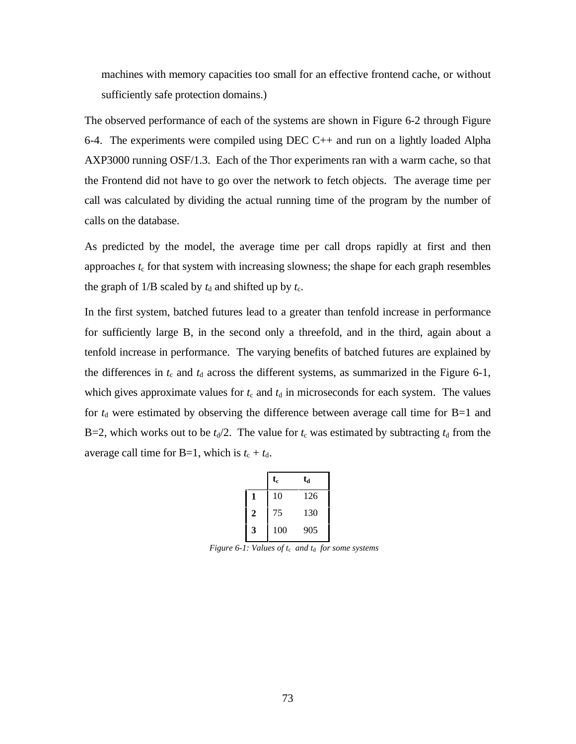machines with memory capacities too small for an effective frontend cache, or without sufficiently safe protection domains.)

The observed performance of each of the systems are shown in Figure 6-2 through Figure 6-4. The experiments were compiled using DEC C++ and run on a lightly loaded Alpha AXP3000 running OSF/1.3. Each of the Thor experiments ran with a warm cache, so that the Frontend did not have to go over the network to fetch objects. The average time per call was calculated by dividing the actual running time of the program by the number of calls on the database.

As predicted by the model, the average time per call drops rapidly at first and then approaches  $t_c$  for that system with increasing slowness; the shape for each graph resembles the graph of  $1/B$  scaled by  $t_d$  and shifted up by  $t_c$ .

In the first system, batched futures lead to a greater than tenfold increase in performance for sufficiently large B, in the second only a threefold, and in the third, again about a tenfold increase in performance. The varying benefits of batched futures are explained by the differences in  $t_c$  and  $t_d$  across the different systems, as summarized in the Figure 6-1, which gives approximate values for  $t_c$  and  $t_d$  in microseconds for each system. The values for  $t<sub>d</sub>$  were estimated by observing the difference between average call time for B=1 and B=2, which works out to be  $t_d/2$ . The value for  $t_c$  was estimated by subtracting  $t_d$  from the average call time for B=1, which is  $t_c + t_d$ .

|                | $\mathbf{t}_{\mathrm{c}}$ | ta  |
|----------------|---------------------------|-----|
| 1              | 10                        | 126 |
| $\overline{2}$ | 75                        | 130 |
| 3              | 100                       | 905 |

*Figure 6-1: Values of t<sub>c</sub> and t<sub>d</sub> for some systems*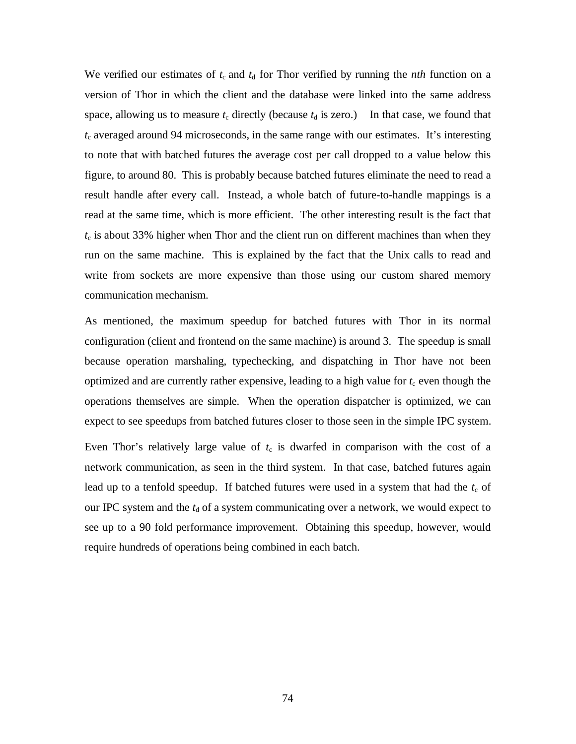We verified our estimates of  $t_c$  and  $t_d$  for Thor verified by running the *nth* function on a version of Thor in which the client and the database were linked into the same address space, allowing us to measure  $t_c$  directly (because  $t_d$  is zero.) In that case, we found that  $t_c$  averaged around 94 microseconds, in the same range with our estimates. It's interesting to note that with batched futures the average cost per call dropped to a value below this figure, to around 80. This is probably because batched futures eliminate the need to read a result handle after every call. Instead, a whole batch of future-to-handle mappings is a read at the same time, which is more efficient. The other interesting result is the fact that  $t_c$  is about 33% higher when Thor and the client run on different machines than when they run on the same machine. This is explained by the fact that the Unix calls to read and write from sockets are more expensive than those using our custom shared memory communication mechanism.

As mentioned, the maximum speedup for batched futures with Thor in its normal configuration (client and frontend on the same machine) is around 3. The speedup is small because operation marshaling, typechecking, and dispatching in Thor have not been optimized and are currently rather expensive, leading to a high value for  $t_c$  even though the operations themselves are simple. When the operation dispatcher is optimized, we can expect to see speedups from batched futures closer to those seen in the simple IPC system.

Even Thor's relatively large value of  $t_c$  is dwarfed in comparison with the cost of a network communication, as seen in the third system. In that case, batched futures again lead up to a tenfold speedup. If batched futures were used in a system that had the  $t_c$  of our IPC system and the  $t_d$  of a system communicating over a network, we would expect to see up to a 90 fold performance improvement. Obtaining this speedup, however, would require hundreds of operations being combined in each batch.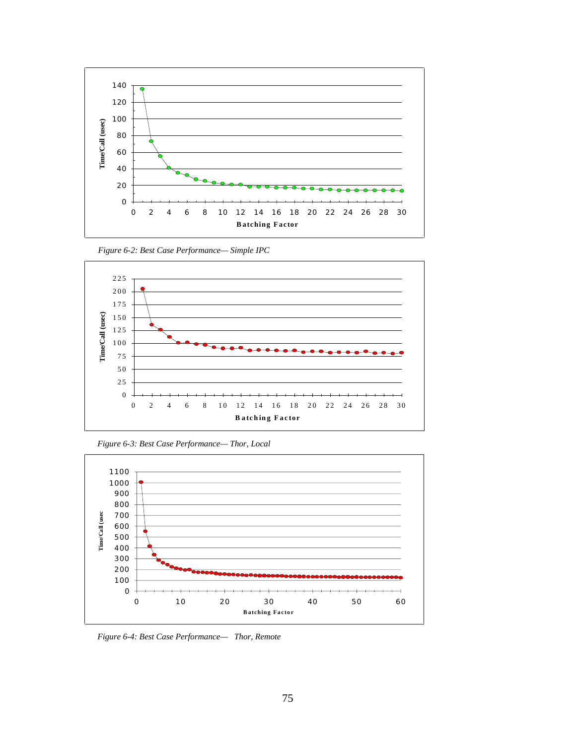



*Figure 6-2: Best Case Performance— Simple IPC*

*Figure 6-3: Best Case Performance— Thor, Local*



*Figure 6-4: Best Case Performance— Thor, Remote*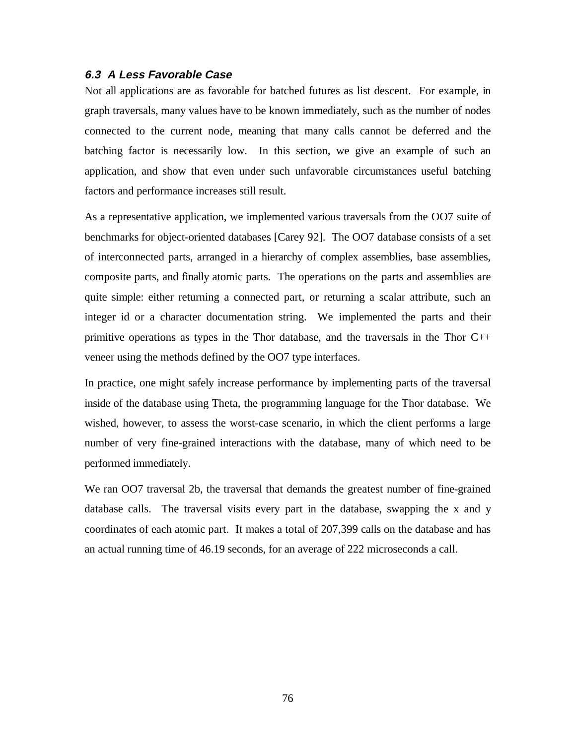#### **6.3 A Less Favorable Case**

Not all applications are as favorable for batched futures as list descent. For example, in graph traversals, many values have to be known immediately, such as the number of nodes connected to the current node, meaning that many calls cannot be deferred and the batching factor is necessarily low. In this section, we give an example of such an application, and show that even under such unfavorable circumstances useful batching factors and performance increases still result.

As a representative application, we implemented various traversals from the OO7 suite of benchmarks for object-oriented databases [Carey 92]. The OO7 database consists of a set of interconnected parts, arranged in a hierarchy of complex assemblies, base assemblies, composite parts, and finally atomic parts. The operations on the parts and assemblies are quite simple: either returning a connected part, or returning a scalar attribute, such an integer id or a character documentation string. We implemented the parts and their primitive operations as types in the Thor database, and the traversals in the Thor C++ veneer using the methods defined by the OO7 type interfaces.

In practice, one might safely increase performance by implementing parts of the traversal inside of the database using Theta, the programming language for the Thor database. We wished, however, to assess the worst-case scenario, in which the client performs a large number of very fine-grained interactions with the database, many of which need to be performed immediately.

We ran OO7 traversal 2b, the traversal that demands the greatest number of fine-grained database calls. The traversal visits every part in the database, swapping the x and y coordinates of each atomic part. It makes a total of 207,399 calls on the database and has an actual running time of 46.19 seconds, for an average of 222 microseconds a call.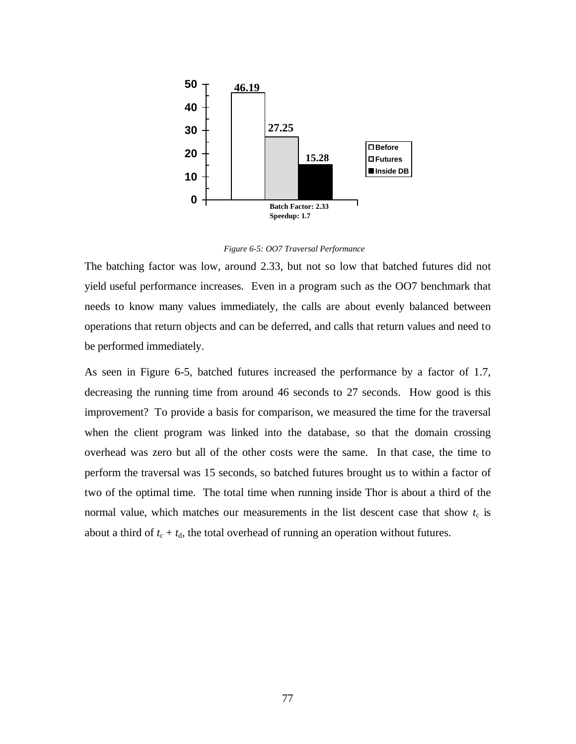

*Figure 6-5: OO7 Traversal Performance*

The batching factor was low, around 2.33, but not so low that batched futures did not yield useful performance increases. Even in a program such as the OO7 benchmark that needs to know many values immediately, the calls are about evenly balanced between operations that return objects and can be deferred, and calls that return values and need to be performed immediately.

As seen in Figure 6-5, batched futures increased the performance by a factor of 1.7, decreasing the running time from around 46 seconds to 27 seconds. How good is this improvement? To provide a basis for comparison, we measured the time for the traversal when the client program was linked into the database, so that the domain crossing overhead was zero but all of the other costs were the same. In that case, the time to perform the traversal was 15 seconds, so batched futures brought us to within a factor of two of the optimal time. The total time when running inside Thor is about a third of the normal value, which matches our measurements in the list descent case that show  $t_c$  is about a third of  $t_c + t_d$ , the total overhead of running an operation without futures.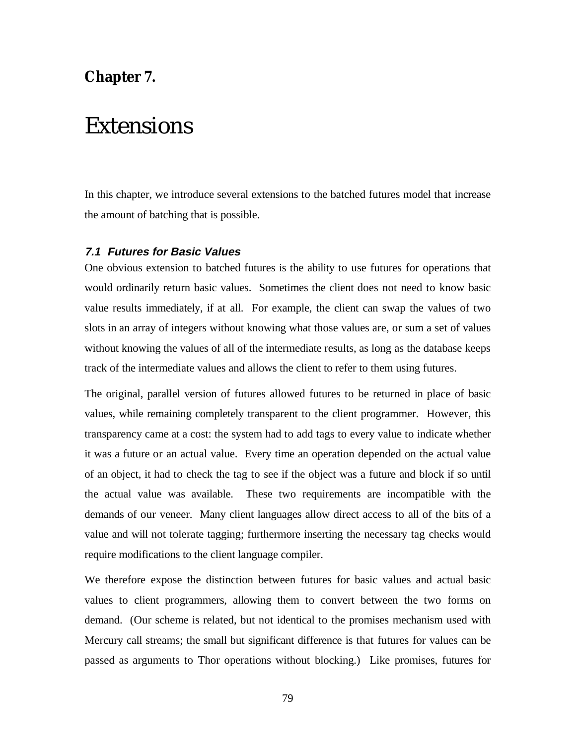### **Chapter 7.**

## Extensions

In this chapter, we introduce several extensions to the batched futures model that increase the amount of batching that is possible.

#### **7.1 Futures for Basic Values**

One obvious extension to batched futures is the ability to use futures for operations that would ordinarily return basic values. Sometimes the client does not need to know basic value results immediately, if at all. For example, the client can swap the values of two slots in an array of integers without knowing what those values are, or sum a set of values without knowing the values of all of the intermediate results, as long as the database keeps track of the intermediate values and allows the client to refer to them using futures.

The original, parallel version of futures allowed futures to be returned in place of basic values, while remaining completely transparent to the client programmer. However, this transparency came at a cost: the system had to add tags to every value to indicate whether it was a future or an actual value. Every time an operation depended on the actual value of an object, it had to check the tag to see if the object was a future and block if so until the actual value was available. These two requirements are incompatible with the demands of our veneer. Many client languages allow direct access to all of the bits of a value and will not tolerate tagging; furthermore inserting the necessary tag checks would require modifications to the client language compiler.

We therefore expose the distinction between futures for basic values and actual basic values to client programmers, allowing them to convert between the two forms on demand. (Our scheme is related, but not identical to the promises mechanism used with Mercury call streams; the small but significant difference is that futures for values can be passed as arguments to Thor operations without blocking.) Like promises, futures for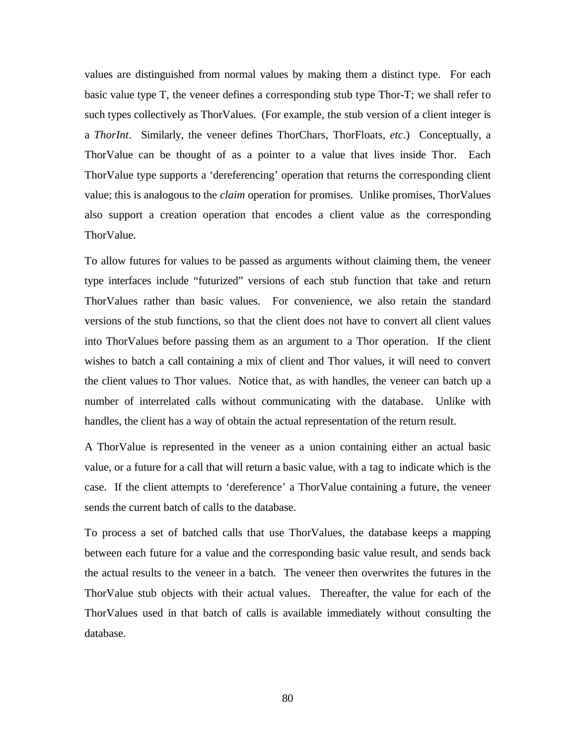values are distinguished from normal values by making them a distinct type. For each basic value type T, the veneer defines a corresponding stub type Thor-T; we shall refer to such types collectively as ThorValues. (For example, the stub version of a client integer is a *ThorInt*. Similarly, the veneer defines ThorChars, ThorFloats, *etc*.) Conceptually, a ThorValue can be thought of as a pointer to a value that lives inside Thor. Each ThorValue type supports a 'dereferencing' operation that returns the corresponding client value; this is analogous to the *claim* operation for promises. Unlike promises, ThorValues also support a creation operation that encodes a client value as the corresponding ThorValue.

To allow futures for values to be passed as arguments without claiming them, the veneer type interfaces include "futurized" versions of each stub function that take and return ThorValues rather than basic values. For convenience, we also retain the standard versions of the stub functions, so that the client does not have to convert all client values into ThorValues before passing them as an argument to a Thor operation. If the client wishes to batch a call containing a mix of client and Thor values, it will need to convert the client values to Thor values. Notice that, as with handles, the veneer can batch up a number of interrelated calls without communicating with the database. Unlike with handles, the client has a way of obtain the actual representation of the return result.

A ThorValue is represented in the veneer as a union containing either an actual basic value, or a future for a call that will return a basic value, with a tag to indicate which is the case. If the client attempts to 'dereference' a ThorValue containing a future, the veneer sends the current batch of calls to the database.

To process a set of batched calls that use ThorValues, the database keeps a mapping between each future for a value and the corresponding basic value result, and sends back the actual results to the veneer in a batch. The veneer then overwrites the futures in the ThorValue stub objects with their actual values. Thereafter, the value for each of the ThorValues used in that batch of calls is available immediately without consulting the database.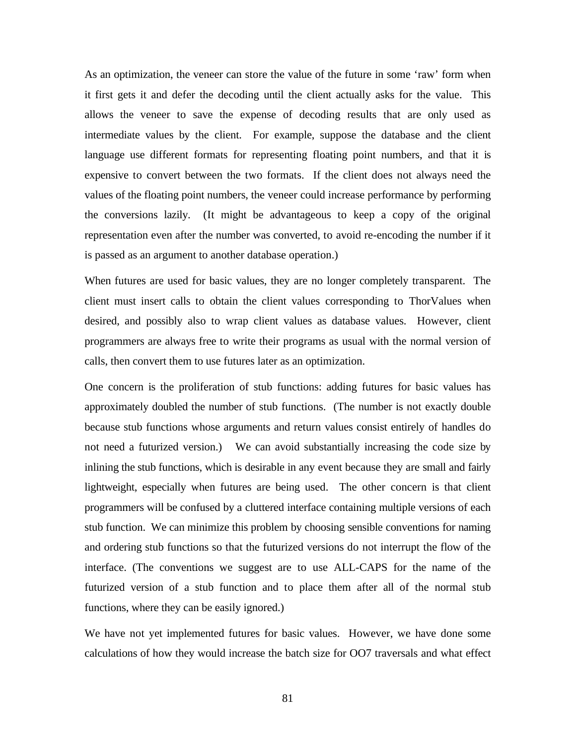As an optimization, the veneer can store the value of the future in some 'raw' form when it first gets it and defer the decoding until the client actually asks for the value. This allows the veneer to save the expense of decoding results that are only used as intermediate values by the client. For example, suppose the database and the client language use different formats for representing floating point numbers, and that it is expensive to convert between the two formats. If the client does not always need the values of the floating point numbers, the veneer could increase performance by performing the conversions lazily. (It might be advantageous to keep a copy of the original representation even after the number was converted, to avoid re-encoding the number if it is passed as an argument to another database operation.)

When futures are used for basic values, they are no longer completely transparent. The client must insert calls to obtain the client values corresponding to ThorValues when desired, and possibly also to wrap client values as database values. However, client programmers are always free to write their programs as usual with the normal version of calls, then convert them to use futures later as an optimization.

One concern is the proliferation of stub functions: adding futures for basic values has approximately doubled the number of stub functions. (The number is not exactly double because stub functions whose arguments and return values consist entirely of handles do not need a futurized version.) We can avoid substantially increasing the code size by inlining the stub functions, which is desirable in any event because they are small and fairly lightweight, especially when futures are being used. The other concern is that client programmers will be confused by a cluttered interface containing multiple versions of each stub function. We can minimize this problem by choosing sensible conventions for naming and ordering stub functions so that the futurized versions do not interrupt the flow of the interface. (The conventions we suggest are to use ALL-CAPS for the name of the futurized version of a stub function and to place them after all of the normal stub functions, where they can be easily ignored.)

We have not yet implemented futures for basic values. However, we have done some calculations of how they would increase the batch size for OO7 traversals and what effect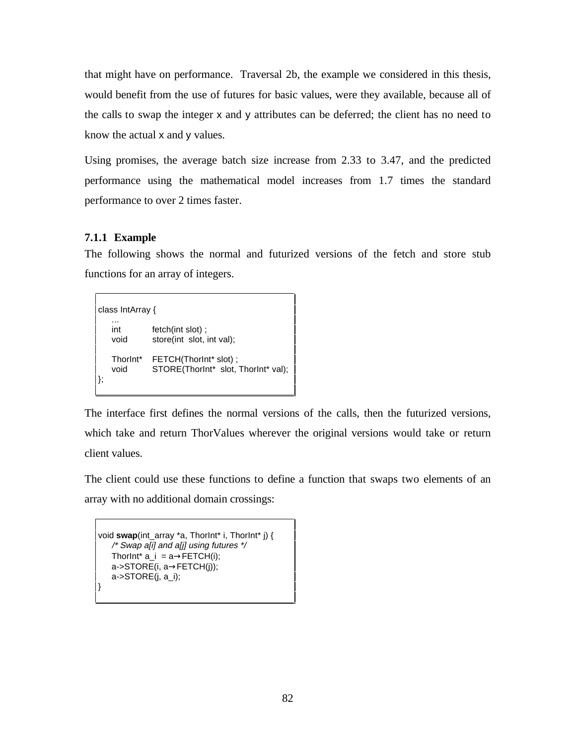that might have on performance. Traversal 2b, the example we considered in this thesis, would benefit from the use of futures for basic values, were they available, because all of the calls to swap the integer x and y attributes can be deferred; the client has no need to know the actual x and y values.

Using promises, the average batch size increase from 2.33 to 3.47, and the predicted performance using the mathematical model increases from 1.7 times the standard performance to over 2 times faster.

#### **7.1.1 Example**

The following shows the normal and futurized versions of the fetch and store stub functions for an array of integers.

class IntArray { ... int fetch(int slot) ; void store(int slot, int val); ThorInt\* FETCH(ThorInt\* slot) ; void STORE(ThorInt\* slot, ThorInt\* val); };

The interface first defines the normal versions of the calls, then the futurized versions, which take and return ThorValues wherever the original versions would take or return client values.

The client could use these functions to define a function that swaps two elements of an array with no additional domain crossings:

```
void swap(int_array *a, ThorInt* i, ThorInt* j) {
   /* Swap a[i] and a[j] using futures */
   ThorInt* a_i = a \rightarrow FETCH(i);a->STORE(i, a→FETCH(j));
   a->STORE(j, a_i);
}
```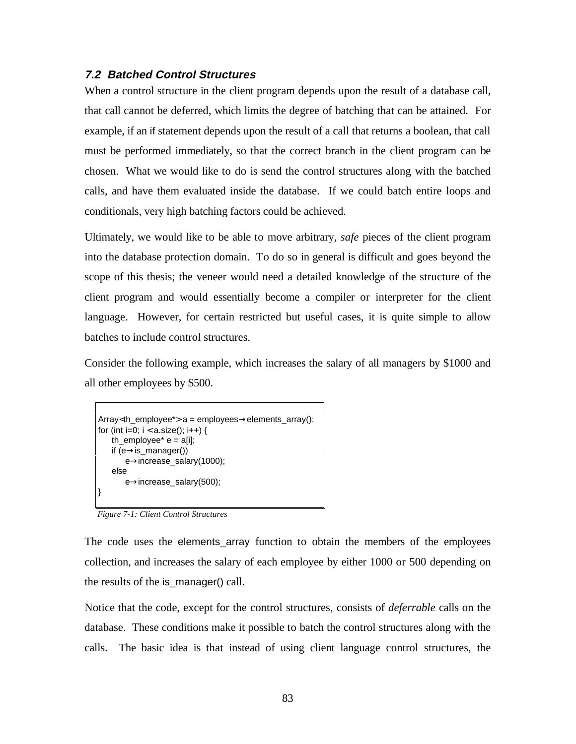#### **7.2 Batched Control Structures**

When a control structure in the client program depends upon the result of a database call, that call cannot be deferred, which limits the degree of batching that can be attained. For example, if an if statement depends upon the result of a call that returns a boolean, that call must be performed immediately, so that the correct branch in the client program can be chosen. What we would like to do is send the control structures along with the batched calls, and have them evaluated inside the database. If we could batch entire loops and conditionals, very high batching factors could be achieved.

Ultimately, we would like to be able to move arbitrary, *safe* pieces of the client program into the database protection domain. To do so in general is difficult and goes beyond the scope of this thesis; the veneer would need a detailed knowledge of the structure of the client program and would essentially become a compiler or interpreter for the client language. However, for certain restricted but useful cases, it is quite simple to allow batches to include control structures.

Consider the following example, which increases the salary of all managers by \$1000 and all other employees by \$500.

```
Array<th_employee*> a = employees→elements_array();
for (int i=0; i < a. size(); i++) {
   th_employee* e = a[i];
   if (e \rightarrow is\_manager()e→increase_salary(1000);
   else
       e→increase_salary(500);
}
```
*Figure 7-1: Client Control Structures*

The code uses the elements\_array function to obtain the members of the employees collection, and increases the salary of each employee by either 1000 or 500 depending on the results of the is\_manager() call.

Notice that the code, except for the control structures, consists of *deferrable* calls on the database. These conditions make it possible to batch the control structures along with the calls. The basic idea is that instead of using client language control structures, the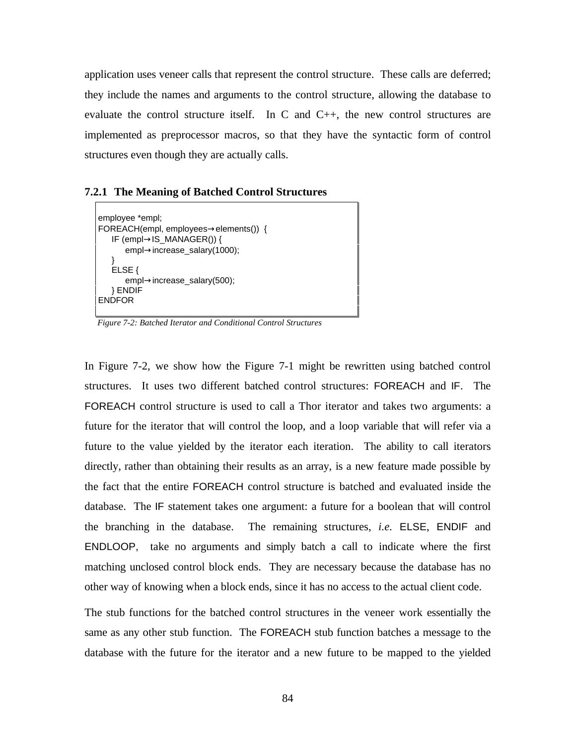application uses veneer calls that represent the control structure. These calls are deferred; they include the names and arguments to the control structure, allowing the database to evaluate the control structure itself. In C and  $C_{++}$ , the new control structures are implemented as preprocessor macros, so that they have the syntactic form of control structures even though they are actually calls.

#### **7.2.1 The Meaning of Batched Control Structures**

```
employee *empl;
FOREACH(empl, employees→elements()) {
   IF (empl→IS_MANAGER()) {
      empl→increase_salary(1000);
   }
   ELSE {
      empl→increase_salary(500);
   } ENDIF
ENDFOR
```
*Figure 7-2: Batched Iterator and Conditional Control Structures*

In Figure 7-2, we show how the Figure 7-1 might be rewritten using batched control structures. It uses two different batched control structures: FOREACH and IF. The FOREACH control structure is used to call a Thor iterator and takes two arguments: a future for the iterator that will control the loop, and a loop variable that will refer via a future to the value yielded by the iterator each iteration. The ability to call iterators directly, rather than obtaining their results as an array, is a new feature made possible by the fact that the entire FOREACH control structure is batched and evaluated inside the database. The IF statement takes one argument: a future for a boolean that will control the branching in the database. The remaining structures, *i.e.* ELSE, ENDIF and ENDLOOP, take no arguments and simply batch a call to indicate where the first matching unclosed control block ends. They are necessary because the database has no other way of knowing when a block ends, since it has no access to the actual client code.

The stub functions for the batched control structures in the veneer work essentially the same as any other stub function. The FOREACH stub function batches a message to the database with the future for the iterator and a new future to be mapped to the yielded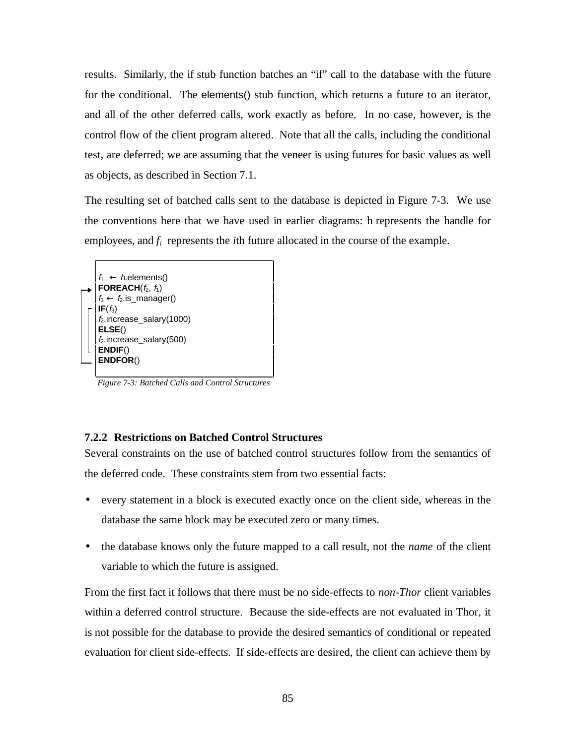results. Similarly, the if stub function batches an "if" call to the database with the future for the conditional. The elements() stub function, which returns a future to an iterator, and all of the other deferred calls, work exactly as before. In no case, however, is the control flow of the client program altered. Note that all the calls, including the conditional test, are deferred; we are assuming that the veneer is using futures for basic values as well as objects, as described in Section 7.1.

The resulting set of batched calls sent to the database is depicted in Figure 7-3. We use the conventions here that we have used in earlier diagrams: h represents the handle for employees, and  $f_i$  represents the *i*th future allocated in the course of the example.



*Figure 7-3: Batched Calls and Control Structures*

#### **7.2.2 Restrictions on Batched Control Structures**

Several constraints on the use of batched control structures follow from the semantics of the deferred code. These constraints stem from two essential facts:

- every statement in a block is executed exactly once on the client side, whereas in the database the same block may be executed zero or many times.
- the database knows only the future mapped to a call result, not the *name* of the client variable to which the future is assigned.

From the first fact it follows that there must be no side-effects to *non-Thor* client variables within a deferred control structure. Because the side-effects are not evaluated in Thor, it is not possible for the database to provide the desired semantics of conditional or repeated evaluation for client side-effects. If side-effects are desired, the client can achieve them by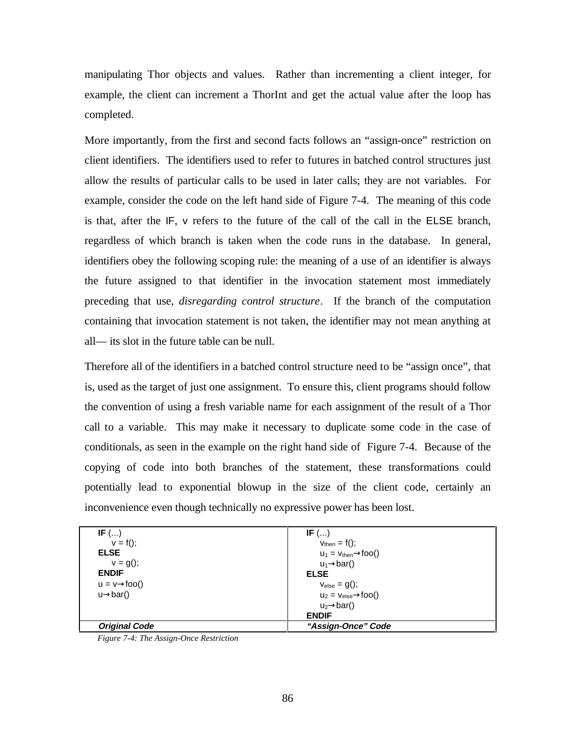manipulating Thor objects and values. Rather than incrementing a client integer, for example, the client can increment a ThorInt and get the actual value after the loop has completed.

More importantly, from the first and second facts follows an "assign-once" restriction on client identifiers. The identifiers used to refer to futures in batched control structures just allow the results of particular calls to be used in later calls; they are not variables. For example, consider the code on the left hand side of Figure 7-4. The meaning of this code is that, after the IF, v refers to the future of the call of the call in the ELSE branch, regardless of which branch is taken when the code runs in the database. In general, identifiers obey the following scoping rule: the meaning of a use of an identifier is always the future assigned to that identifier in the invocation statement most immediately preceding that use, *disregarding control structure*. If the branch of the computation containing that invocation statement is not taken, the identifier may not mean anything at all— its slot in the future table can be null.

Therefore all of the identifiers in a batched control structure need to be "assign once", that is, used as the target of just one assignment. To ensure this, client programs should follow the convention of using a fresh variable name for each assignment of the result of a Thor call to a variable. This may make it necessary to duplicate some code in the case of conditionals, as seen in the example on the right hand side of Figure 7-4. Because of the copying of code into both branches of the statement, these transformations could potentially lead to exponential blowup in the size of the client code, certainly an inconvenience even though technically no expressive power has been lost.

| IF $()$                   | IF $()$                            |  |
|---------------------------|------------------------------------|--|
| $v = f()$ ;               | $V_{\text{then}} = f()$ ;          |  |
| <b>ELSE</b>               | $u_1 = v_{then} \rightarrow 100()$ |  |
| $v = g($ ;                | $u_1 \rightarrow bar()$            |  |
| <b>ENDIF</b>              | <b>ELSE</b>                        |  |
| $u = v \rightarrow foo()$ | $V_{\text{else}} = g()$ ;          |  |
| $u \rightarrow bar()$     | $u_2 = v_{else} \rightarrow 100()$ |  |
|                           | $u_2 \rightarrow bar()$            |  |
|                           | <b>ENDIF</b>                       |  |
| <b>Original Code</b>      | "Assign-Once" Code                 |  |

*Figure 7-4: The Assign-Once Restriction*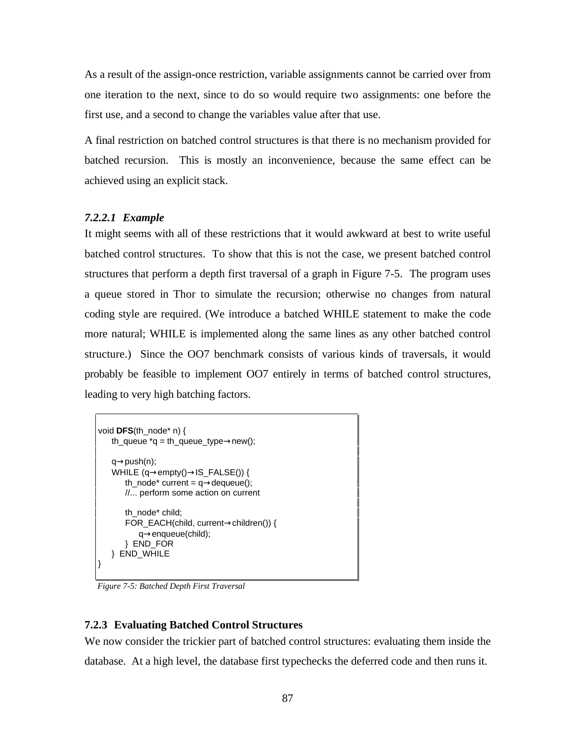As a result of the assign-once restriction, variable assignments cannot be carried over from one iteration to the next, since to do so would require two assignments: one before the first use, and a second to change the variables value after that use.

A final restriction on batched control structures is that there is no mechanism provided for batched recursion. This is mostly an inconvenience, because the same effect can be achieved using an explicit stack.

#### *7.2.2.1 Example*

It might seems with all of these restrictions that it would awkward at best to write useful batched control structures. To show that this is not the case, we present batched control structures that perform a depth first traversal of a graph in Figure 7-5. The program uses a queue stored in Thor to simulate the recursion; otherwise no changes from natural coding style are required. (We introduce a batched WHILE statement to make the code more natural; WHILE is implemented along the same lines as any other batched control structure.) Since the OO7 benchmark consists of various kinds of traversals, it would probably be feasible to implement OO7 entirely in terms of batched control structures, leading to very high batching factors.

```
void DFS(th_node* n) {
   th queue *q = th queue type\rightarrownew();
   q→push(n);
   WHILE (q→empty()→IS_FALSE()) {
       th_node* current = q\rightarrowdequeue();
      //... perform some action on current
       th_node* child;
       FOR_EACH(child, current→children()) {
          q→enqueue(child);
       } END_FOR
   } END_WHILE
}
```
*Figure 7-5: Batched Depth First Traversal*

#### **7.2.3 Evaluating Batched Control Structures**

We now consider the trickier part of batched control structures: evaluating them inside the database. At a high level, the database first typechecks the deferred code and then runs it.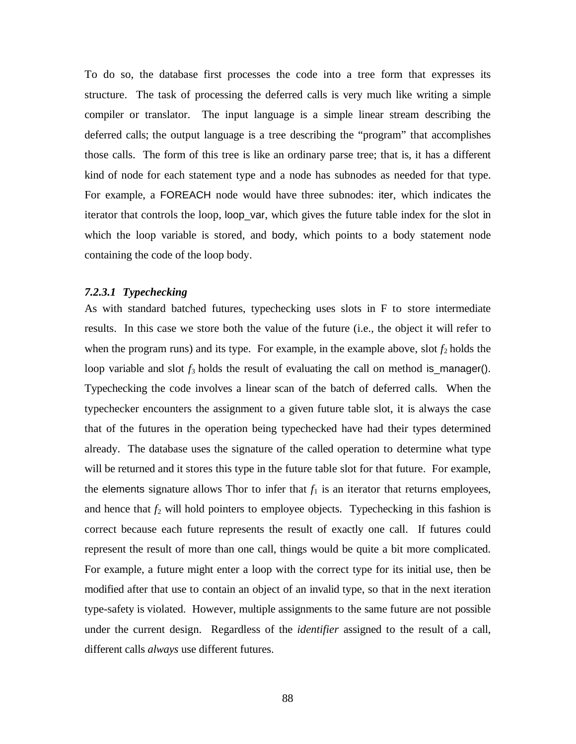To do so, the database first processes the code into a tree form that expresses its structure. The task of processing the deferred calls is very much like writing a simple compiler or translator. The input language is a simple linear stream describing the deferred calls; the output language is a tree describing the "program" that accomplishes those calls. The form of this tree is like an ordinary parse tree; that is, it has a different kind of node for each statement type and a node has subnodes as needed for that type. For example, a FOREACH node would have three subnodes: iter, which indicates the iterator that controls the loop, loop\_var, which gives the future table index for the slot in which the loop variable is stored, and body, which points to a body statement node containing the code of the loop body.

#### *7.2.3.1 Typechecking*

As with standard batched futures, typechecking uses slots in F to store intermediate results. In this case we store both the value of the future (i.e., the object it will refer to when the program runs) and its type. For example, in the example above, slot  $f_2$  holds the loop variable and slot  $f_3$  holds the result of evaluating the call on method is\_manager(). Typechecking the code involves a linear scan of the batch of deferred calls. When the typechecker encounters the assignment to a given future table slot, it is always the case that of the futures in the operation being typechecked have had their types determined already. The database uses the signature of the called operation to determine what type will be returned and it stores this type in the future table slot for that future. For example, the elements signature allows Thor to infer that  $f_1$  is an iterator that returns employees, and hence that  $f_2$  will hold pointers to employee objects. Typechecking in this fashion is correct because each future represents the result of exactly one call. If futures could represent the result of more than one call, things would be quite a bit more complicated. For example, a future might enter a loop with the correct type for its initial use, then be modified after that use to contain an object of an invalid type, so that in the next iteration type-safety is violated. However, multiple assignments to the same future are not possible under the current design. Regardless of the *identifier* assigned to the result of a call, different calls *always* use different futures.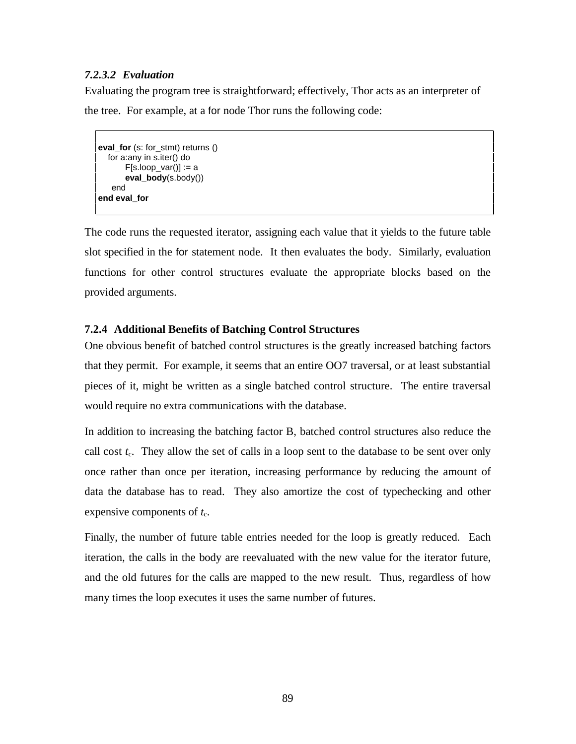#### *7.2.3.2 Evaluation*

Evaluating the program tree is straightforward; effectively, Thor acts as an interpreter of the tree. For example, at a for node Thor runs the following code:

```
eval_for (s: for_stmt) returns ()
   for a:any in s.iter() do
       F[s-loop\_var()] := aeval_body(s.body())
   end
end eval_for
```
The code runs the requested iterator, assigning each value that it yields to the future table slot specified in the for statement node. It then evaluates the body. Similarly, evaluation functions for other control structures evaluate the appropriate blocks based on the provided arguments.

#### **7.2.4 Additional Benefits of Batching Control Structures**

One obvious benefit of batched control structures is the greatly increased batching factors that they permit. For example, it seems that an entire OO7 traversal, or at least substantial pieces of it, might be written as a single batched control structure. The entire traversal would require no extra communications with the database.

In addition to increasing the batching factor B, batched control structures also reduce the call cost  $t_c$ . They allow the set of calls in a loop sent to the database to be sent over only once rather than once per iteration, increasing performance by reducing the amount of data the database has to read. They also amortize the cost of typechecking and other expensive components of  $t_c$ .

Finally, the number of future table entries needed for the loop is greatly reduced. Each iteration, the calls in the body are reevaluated with the new value for the iterator future, and the old futures for the calls are mapped to the new result. Thus, regardless of how many times the loop executes it uses the same number of futures.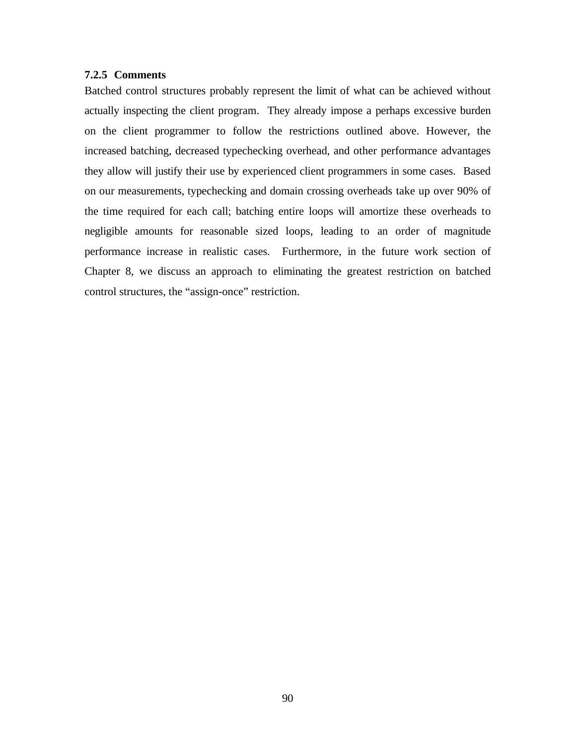#### **7.2.5 Comments**

Batched control structures probably represent the limit of what can be achieved without actually inspecting the client program. They already impose a perhaps excessive burden on the client programmer to follow the restrictions outlined above. However, the increased batching, decreased typechecking overhead, and other performance advantages they allow will justify their use by experienced client programmers in some cases. Based on our measurements, typechecking and domain crossing overheads take up over 90% of the time required for each call; batching entire loops will amortize these overheads to negligible amounts for reasonable sized loops, leading to an order of magnitude performance increase in realistic cases. Furthermore, in the future work section of Chapter 8, we discuss an approach to eliminating the greatest restriction on batched control structures, the "assign-once" restriction.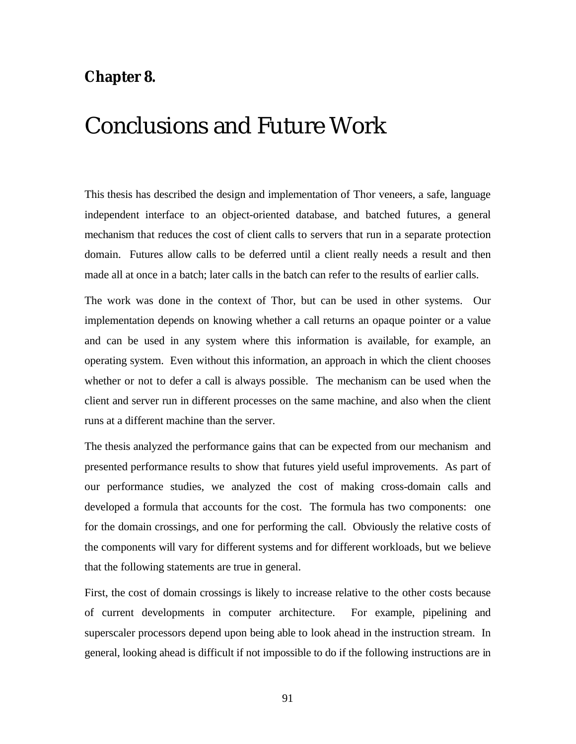### **Chapter 8.**

## Conclusions and Future Work

This thesis has described the design and implementation of Thor veneers, a safe, language independent interface to an object-oriented database, and batched futures, a general mechanism that reduces the cost of client calls to servers that run in a separate protection domain. Futures allow calls to be deferred until a client really needs a result and then made all at once in a batch; later calls in the batch can refer to the results of earlier calls.

The work was done in the context of Thor, but can be used in other systems. Our implementation depends on knowing whether a call returns an opaque pointer or a value and can be used in any system where this information is available, for example, an operating system. Even without this information, an approach in which the client chooses whether or not to defer a call is always possible. The mechanism can be used when the client and server run in different processes on the same machine, and also when the client runs at a different machine than the server.

The thesis analyzed the performance gains that can be expected from our mechanism and presented performance results to show that futures yield useful improvements. As part of our performance studies, we analyzed the cost of making cross-domain calls and developed a formula that accounts for the cost. The formula has two components: one for the domain crossings, and one for performing the call. Obviously the relative costs of the components will vary for different systems and for different workloads, but we believe that the following statements are true in general.

First, the cost of domain crossings is likely to increase relative to the other costs because of current developments in computer architecture. For example, pipelining and superscaler processors depend upon being able to look ahead in the instruction stream. In general, looking ahead is difficult if not impossible to do if the following instructions are in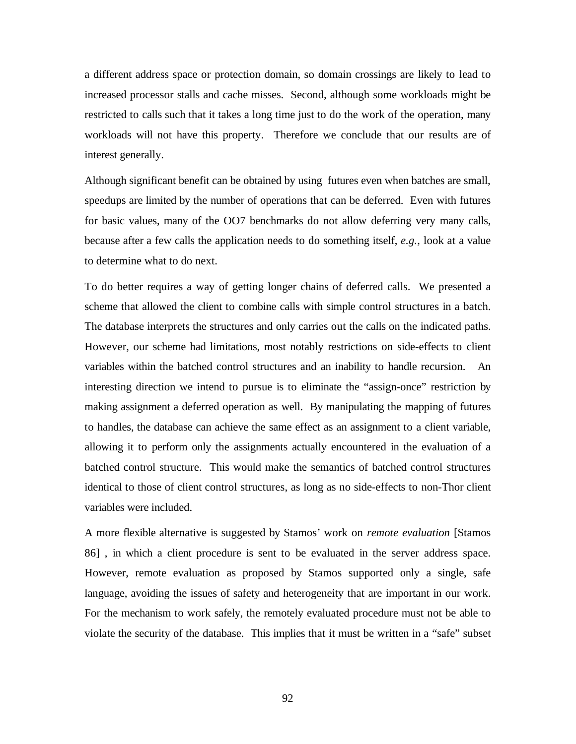a different address space or protection domain, so domain crossings are likely to lead to increased processor stalls and cache misses. Second, although some workloads might be restricted to calls such that it takes a long time just to do the work of the operation, many workloads will not have this property. Therefore we conclude that our results are of interest generally.

Although significant benefit can be obtained by using futures even when batches are small, speedups are limited by the number of operations that can be deferred. Even with futures for basic values, many of the OO7 benchmarks do not allow deferring very many calls, because after a few calls the application needs to do something itself, *e.g.*, look at a value to determine what to do next.

To do better requires a way of getting longer chains of deferred calls. We presented a scheme that allowed the client to combine calls with simple control structures in a batch. The database interprets the structures and only carries out the calls on the indicated paths. However, our scheme had limitations, most notably restrictions on side-effects to client variables within the batched control structures and an inability to handle recursion. An interesting direction we intend to pursue is to eliminate the "assign-once" restriction by making assignment a deferred operation as well. By manipulating the mapping of futures to handles, the database can achieve the same effect as an assignment to a client variable, allowing it to perform only the assignments actually encountered in the evaluation of a batched control structure. This would make the semantics of batched control structures identical to those of client control structures, as long as no side-effects to non-Thor client variables were included.

A more flexible alternative is suggested by Stamos' work on *remote evaluation* [Stamos 86] , in which a client procedure is sent to be evaluated in the server address space. However, remote evaluation as proposed by Stamos supported only a single, safe language, avoiding the issues of safety and heterogeneity that are important in our work. For the mechanism to work safely, the remotely evaluated procedure must not be able to violate the security of the database. This implies that it must be written in a "safe" subset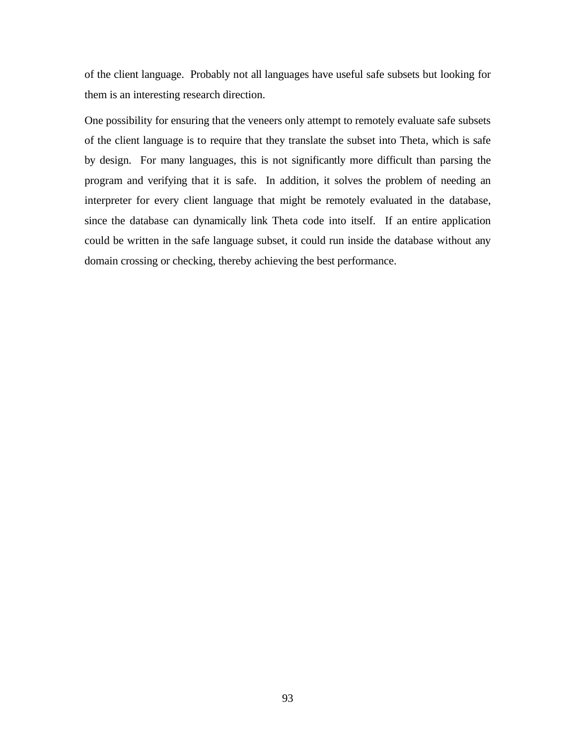of the client language. Probably not all languages have useful safe subsets but looking for them is an interesting research direction.

One possibility for ensuring that the veneers only attempt to remotely evaluate safe subsets of the client language is to require that they translate the subset into Theta, which is safe by design. For many languages, this is not significantly more difficult than parsing the program and verifying that it is safe. In addition, it solves the problem of needing an interpreter for every client language that might be remotely evaluated in the database, since the database can dynamically link Theta code into itself. If an entire application could be written in the safe language subset, it could run inside the database without any domain crossing or checking, thereby achieving the best performance.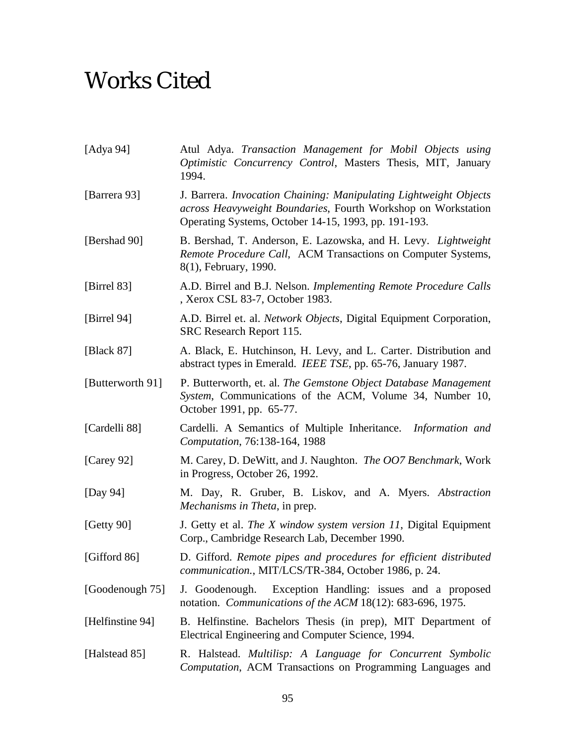# Works Cited

| [Adya 94]        | Atul Adya. Transaction Management for Mobil Objects using<br>Optimistic Concurrency Control, Masters Thesis, MIT, January<br>1994.                                                         |  |
|------------------|--------------------------------------------------------------------------------------------------------------------------------------------------------------------------------------------|--|
| [Barrera 93]     | J. Barrera. Invocation Chaining: Manipulating Lightweight Objects<br>across Heavyweight Boundaries, Fourth Workshop on Workstation<br>Operating Systems, October 14-15, 1993, pp. 191-193. |  |
| [Bershad 90]     | B. Bershad, T. Anderson, E. Lazowska, and H. Levy. <i>Lightweight</i><br>Remote Procedure Call, ACM Transactions on Computer Systems,<br>8(1), February, 1990.                             |  |
| [Birrel 83]      | A.D. Birrel and B.J. Nelson. Implementing Remote Procedure Calls<br>, Xerox CSL 83-7, October 1983.                                                                                        |  |
| [Birrel 94]      | A.D. Birrel et. al. <i>Network Objects</i> , Digital Equipment Corporation,<br>SRC Research Report 115.                                                                                    |  |
| [Black 87]       | A. Black, E. Hutchinson, H. Levy, and L. Carter. Distribution and<br>abstract types in Emerald. IEEE TSE, pp. 65-76, January 1987.                                                         |  |
| [Butterworth 91] | P. Butterworth, et. al. The Gemstone Object Database Management<br>System, Communications of the ACM, Volume 34, Number 10,<br>October 1991, pp. 65-77.                                    |  |
| [Cardelli 88]    | Cardelli. A Semantics of Multiple Inheritance.<br>Information and<br>Computation, 76:138-164, 1988                                                                                         |  |
| [Carey 92]       | M. Carey, D. DeWitt, and J. Naughton. The OO7 Benchmark, Work<br>in Progress, October 26, 1992.                                                                                            |  |
| [Day 94]         | M. Day, R. Gruber, B. Liskov, and A. Myers. Abstraction<br><i>Mechanisms in Theta</i> , in prep.                                                                                           |  |
| [Getty 90]       | J. Getty et al. The X window system version 11, Digital Equipment<br>Corp., Cambridge Research Lab, December 1990.                                                                         |  |
| [Gifford 86]     | D. Gifford. Remote pipes and procedures for efficient distributed<br>communication., MIT/LCS/TR-384, October 1986, p. 24.                                                                  |  |
| [Goodenough 75]  | Exception Handling: issues and a proposed<br>J. Goodenough.<br>notation. Communications of the ACM 18(12): 683-696, 1975.                                                                  |  |
| [Helfinstine 94] | B. Helfinstine. Bachelors Thesis (in prep), MIT Department of<br>Electrical Engineering and Computer Science, 1994.                                                                        |  |
| [Halstead 85]    | R. Halstead. Multilisp: A Language for Concurrent Symbolic<br>Computation, ACM Transactions on Programming Languages and                                                                   |  |